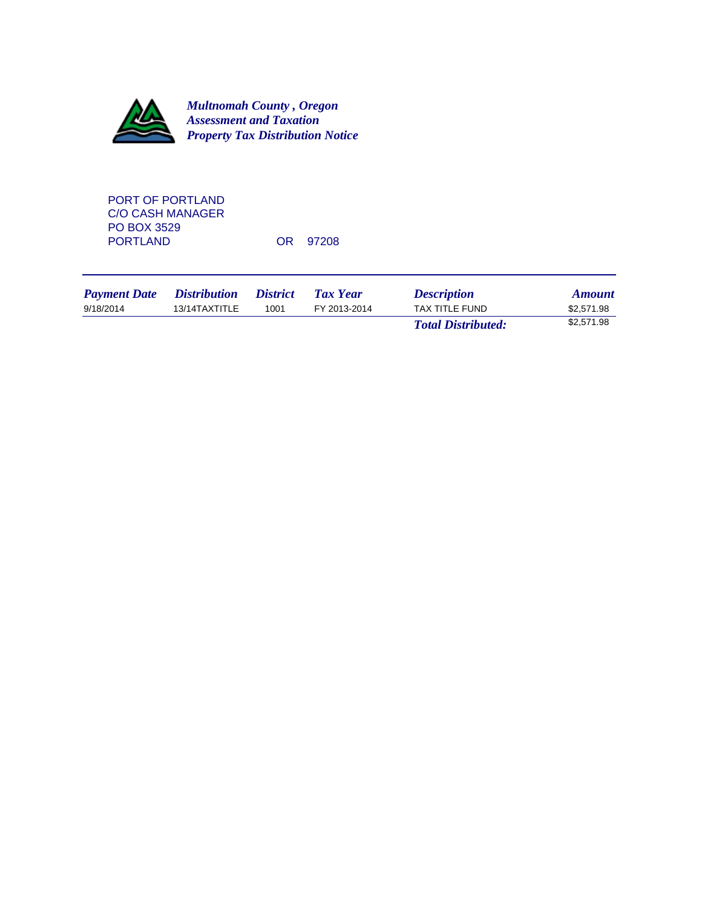

PORT OF PORTLAND C/O CASH MANAGER PO BOX 3529<br>PORTLAND

OR 97208

| <b>Payment Date</b> | <i>Distribution</i> | <i>District</i> | Tax Year     | <b>Description</b>        | <b>Amount</b> |
|---------------------|---------------------|-----------------|--------------|---------------------------|---------------|
| 9/18/2014           | 13/14TAXTITLE       | 1001            | FY 2013-2014 | TAX TITLE FUND            | \$2,571.98    |
|                     |                     |                 |              | <b>Total Distributed:</b> | \$2,571.98    |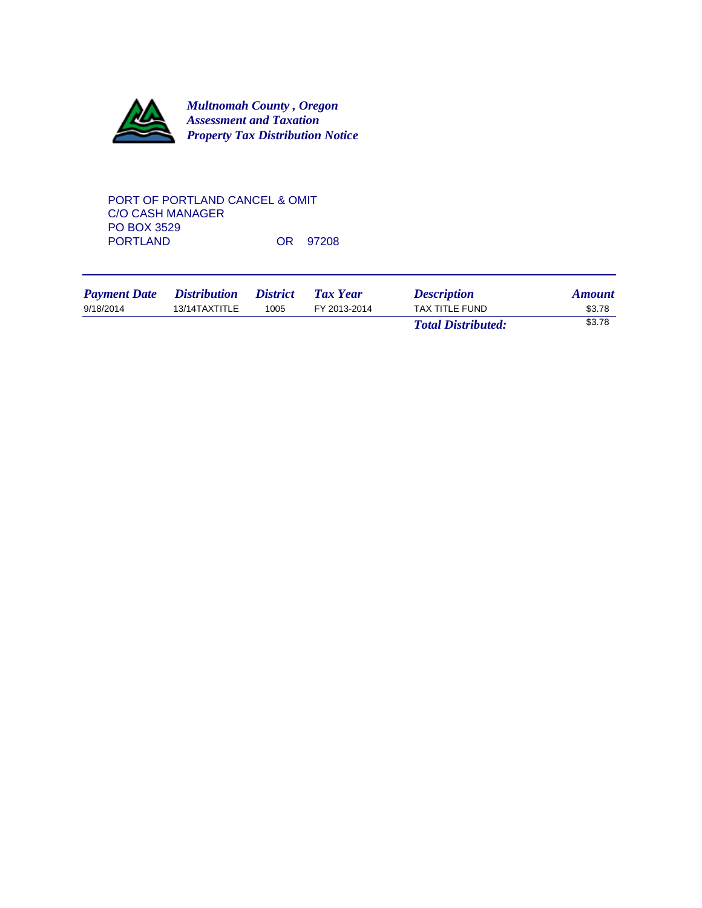

# PORT OF PORTLAND CANCEL & OMIT C/O CASH MANAGER PO BOX 3529<br>PORTLAND OR 97208

| <b>Payment Date</b> | <i>Distribution</i> | <i><b>District</b></i> | Tax Year     | <b>Description</b>        | <b>Amount</b> |
|---------------------|---------------------|------------------------|--------------|---------------------------|---------------|
| 9/18/2014           | 13/14TAXTITLE       | 1005                   | FY 2013-2014 | TAX TITLE FUND            | \$3.78        |
|                     |                     |                        |              | <b>Total Distributed:</b> | \$3.78        |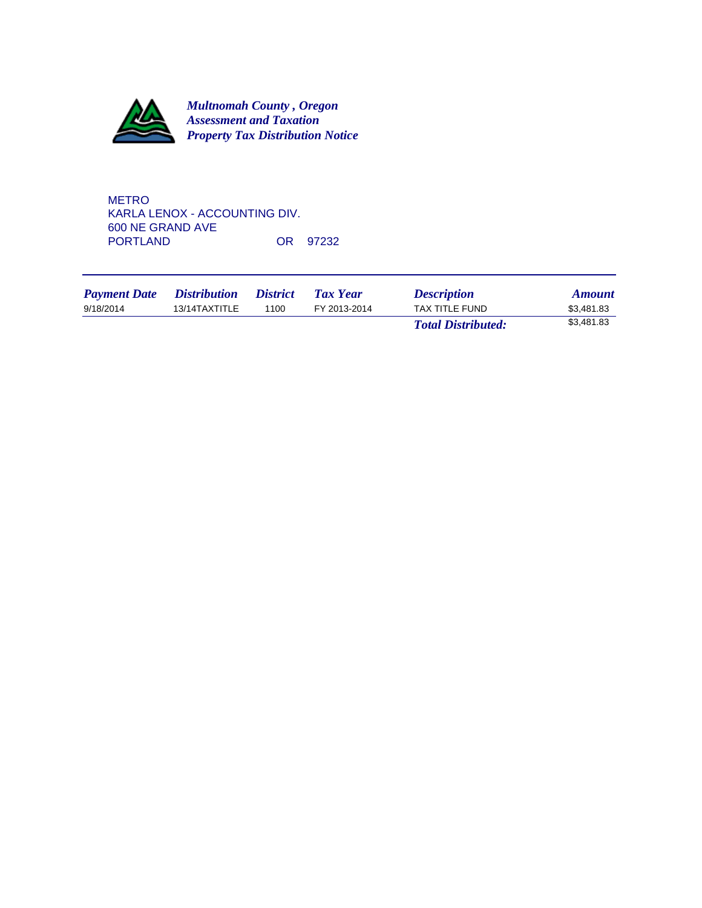

METRO KARLA LENOX - ACCOUNTING DIV. 600 NE GRAND AVE OR 97232

| <b>Payment Date</b> | <i>Distribution</i> | <i>District</i> | Tax Year     | <b>Description</b>        | <b>Amount</b> |
|---------------------|---------------------|-----------------|--------------|---------------------------|---------------|
| 9/18/2014           | 13/14TAXTITLE       | 1100            | FY 2013-2014 | TAX TITLE FUND            | \$3.481.83    |
|                     |                     |                 |              | <b>Total Distributed:</b> | \$3,481.83    |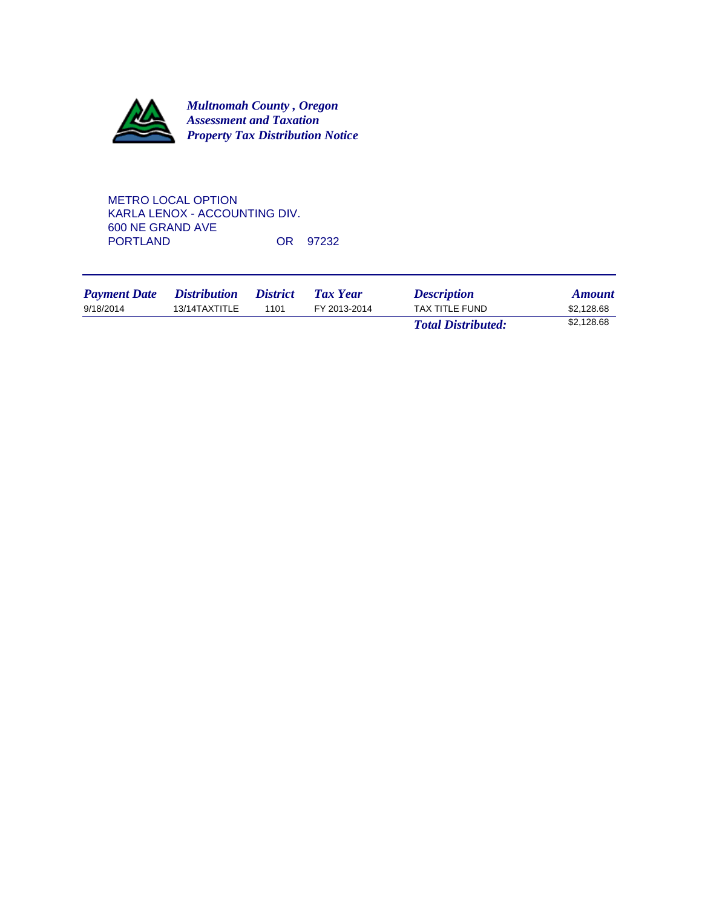

METRO LOCAL OPTION KARLA LENOX - ACCOUNTING DIV. 600 NE GRAND AVE OR 97232

| <b>Payment Date</b> | <i>Distribution</i> | <i>District</i> | Tax Year     | <b>Description</b>        | <b>Amount</b> |
|---------------------|---------------------|-----------------|--------------|---------------------------|---------------|
| 9/18/2014           | 13/14TAXTITLE       | 1101            | FY 2013-2014 | TAX TITLE FUND            | \$2,128.68    |
|                     |                     |                 |              | <b>Total Distributed:</b> | \$2,128.68    |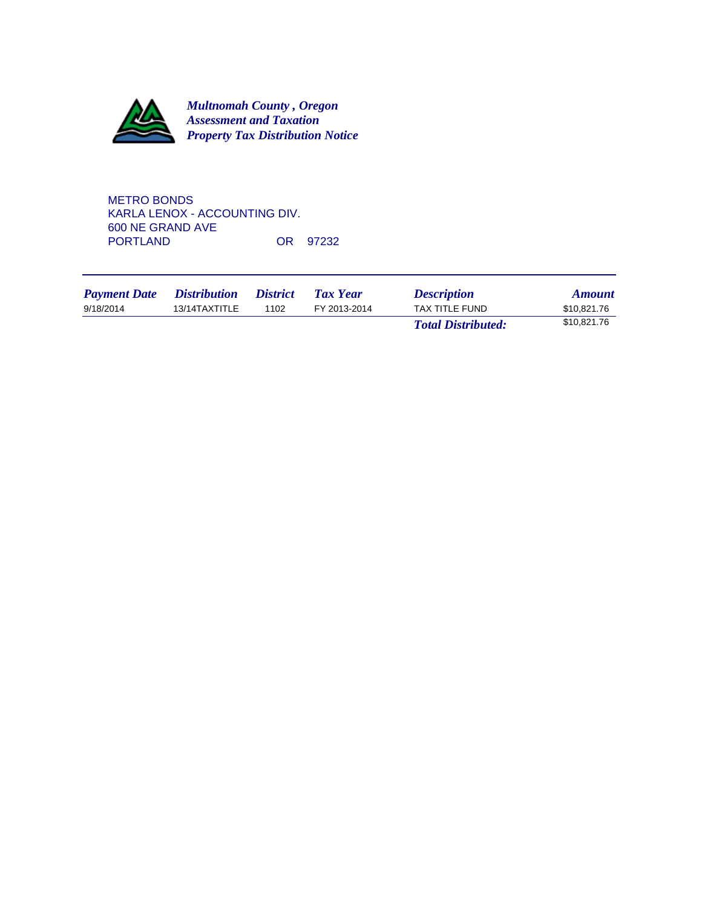

METRO BONDS KARLA LENOX - ACCOUNTING DIV. 600 NE GRAND AVE OR 97232

| <b>Payment Date</b> | <i>Distribution</i> | <i><b>District</b></i> | <b>Tax Year</b> | <b>Description</b>        | <b>Amount</b> |
|---------------------|---------------------|------------------------|-----------------|---------------------------|---------------|
| 9/18/2014           | 13/14TAXTITLE       | 1102                   | FY 2013-2014    | TAX TITLE FUND            | \$10.821.76   |
|                     |                     |                        |                 | <b>Total Distributed:</b> | \$10.821.76   |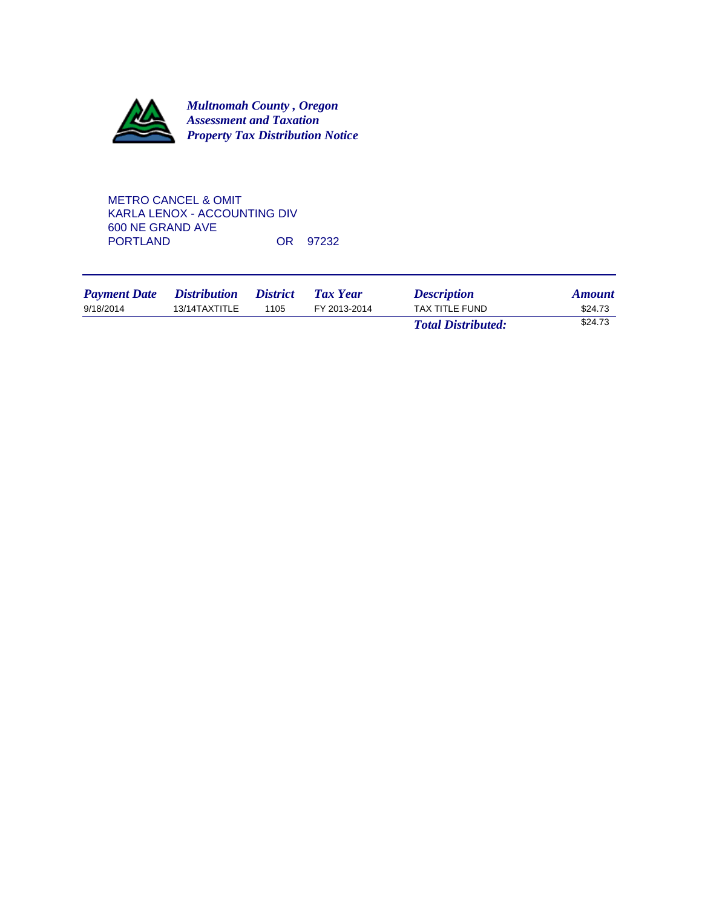

METRO CANCEL & OMIT KARLA LENOX - ACCOUNTING DIV 600 NE GRAND AVE OR 97232

| <b>Payment Date</b> | <i><b>Distribution</b></i> | <i><b>District</b></i> | <b>Tax Year</b> | <b>Description</b>        | <b>Amount</b> |
|---------------------|----------------------------|------------------------|-----------------|---------------------------|---------------|
| 9/18/2014           | 13/14TAXTITLE              | 1105                   | FY 2013-2014    | <b>TAX TITLE FUND</b>     | \$24.73       |
|                     |                            |                        |                 | <b>Total Distributed:</b> | \$24.73       |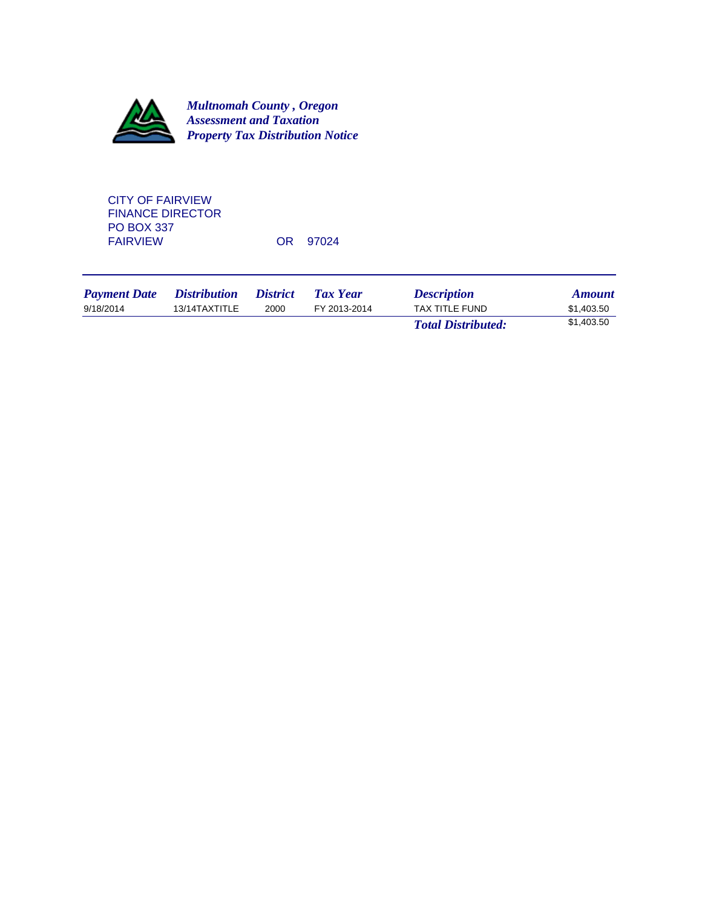

CITY OF FAIRVIEW FINANCE DIRECTOR PO BOX 337<br>FAIRVIEW

OR 97024

| <b>Payment Date</b> | <i>Distribution</i> | <i><b>District</b></i> | Tax Year     | <b>Description</b>        | <b>Amount</b> |
|---------------------|---------------------|------------------------|--------------|---------------------------|---------------|
| 9/18/2014           | 13/14TAXTITLE       | 2000                   | FY 2013-2014 | TAX TITLE FUND            | \$1.403.50    |
|                     |                     |                        |              | <b>Total Distributed:</b> | \$1,403.50    |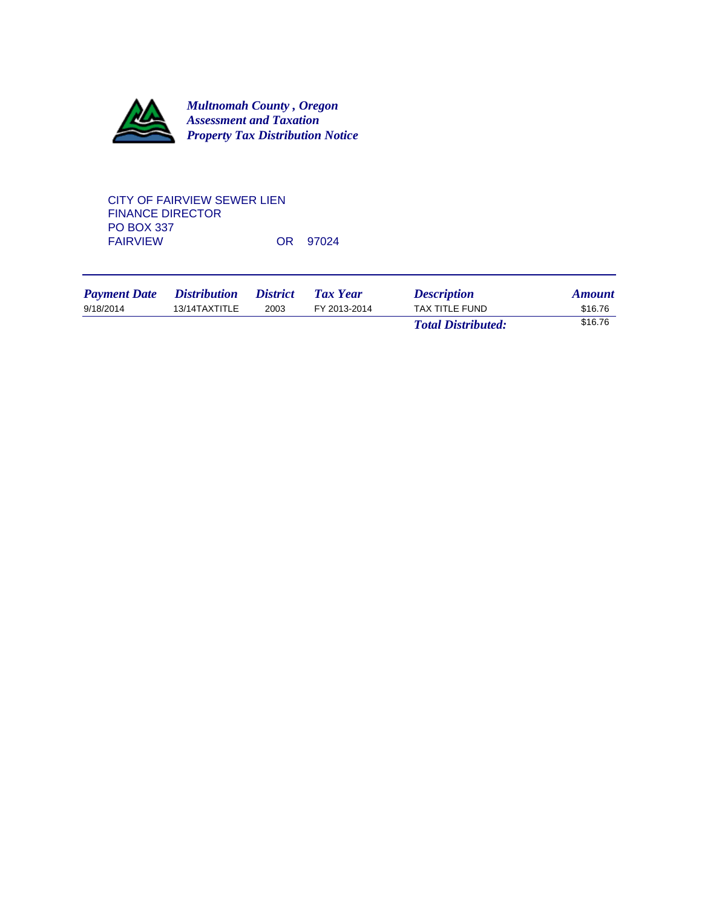

# CITY OF FAIRVIEW SEWER LIEN FINANCE DIRECTOR PO BOX 337<br>FAIRVIEW OR 97024

| <b>Payment Date</b> | <i>Distribution</i> | <i><b>District</b></i> | Tax Year     | <b>Description</b>        | <b>Amount</b> |
|---------------------|---------------------|------------------------|--------------|---------------------------|---------------|
| 9/18/2014           | 13/14TAXTITLE       | 2003                   | FY 2013-2014 | <b>TAX TITLE FUND</b>     | \$16.76       |
|                     |                     |                        |              | <b>Total Distributed:</b> | \$16.76       |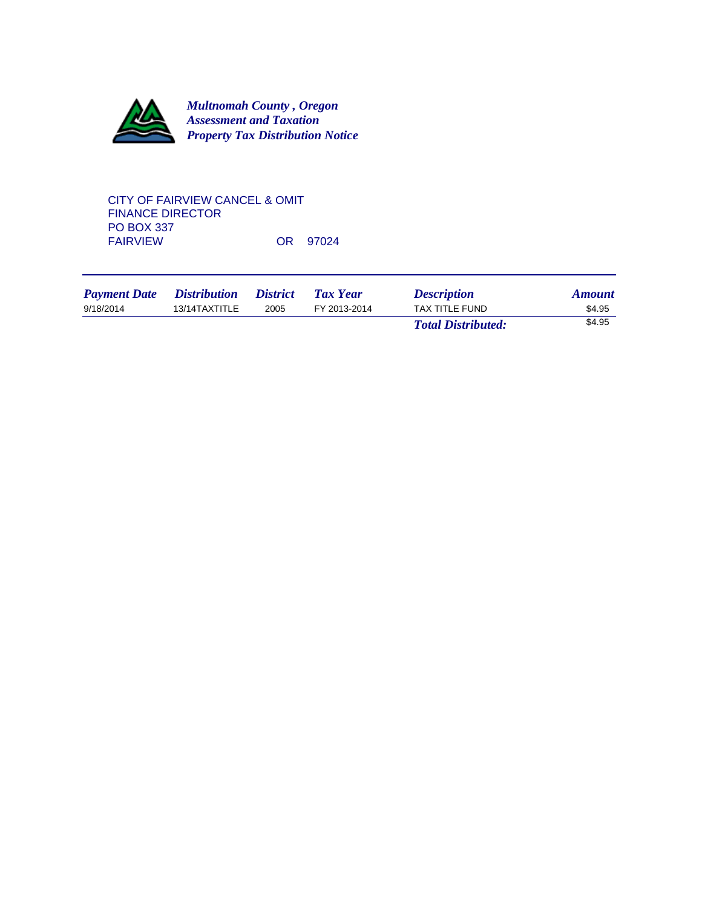

# CITY OF FAIRVIEW CANCEL & OMIT FINANCE DIRECTOR PO BOX 337<br>FAIRVIEW OR 97024

| <b>Payment Date</b> | <i>Distribution</i> | <i><b>District</b></i> | Tax Year     | <b>Description</b>        | <b>Amount</b> |
|---------------------|---------------------|------------------------|--------------|---------------------------|---------------|
| 9/18/2014           | 13/14TAXTITLE       | 2005                   | FY 2013-2014 | <b>TAX TITLE FUND</b>     | \$4.95        |
|                     |                     |                        |              | <b>Total Distributed:</b> | \$4.95        |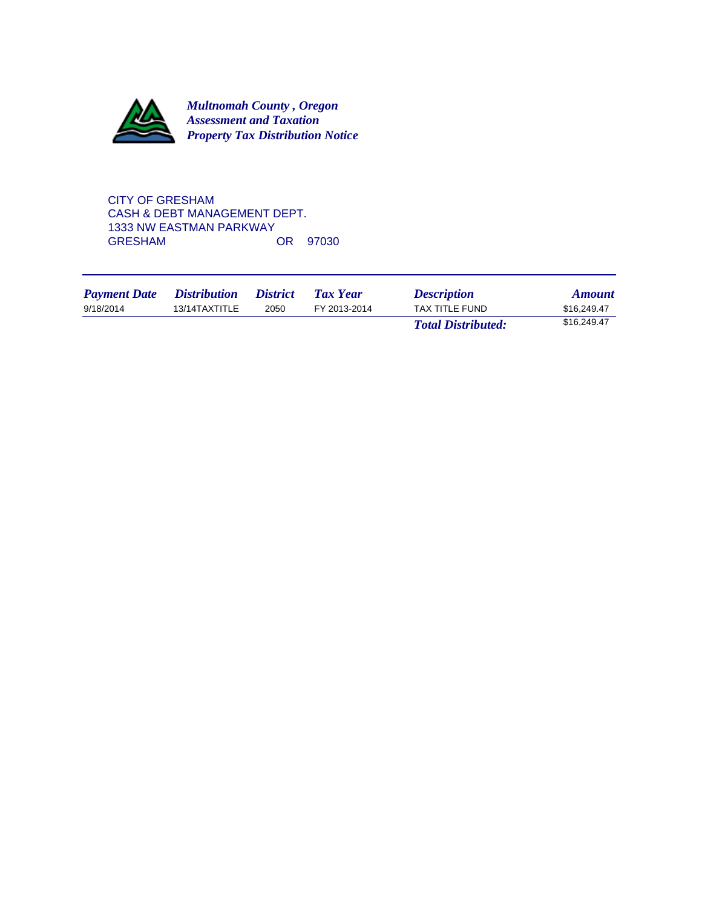

CITY OF GRESHAM CASH & DEBT MANAGEMENT DEPT. 1333 NW EASTMAN PARKWAY<br>GRESHAM OR 97030

| <b>Payment Date</b> | <i>Distribution</i> | <i>District</i> | Tax Year     | <b>Description</b>        | <b>Amount</b> |
|---------------------|---------------------|-----------------|--------------|---------------------------|---------------|
| 9/18/2014           | 13/14TAXTITLE       | 2050            | FY 2013-2014 | <b>TAX TITLE FUND</b>     | \$16,249.47   |
|                     |                     |                 |              | <b>Total Distributed:</b> | \$16,249.47   |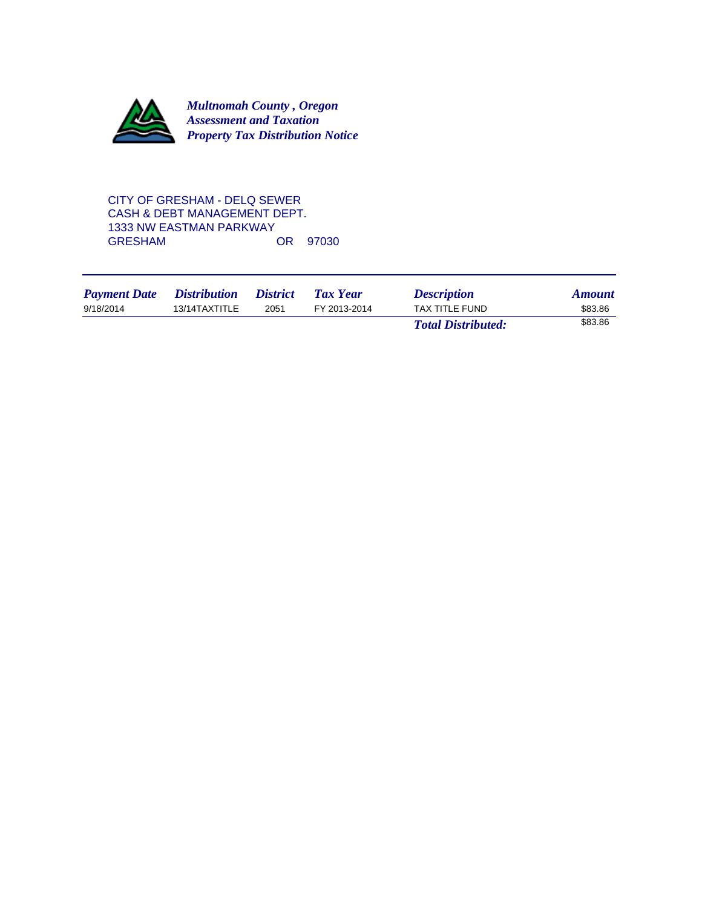

# CITY OF GRESHAM - DELQ SEWER CASH & DEBT MANAGEMENT DEPT. 1333 NW EASTMAN PARKWAY<br>GRESHAM OR 97030

| <b>Payment Date</b> | <i>Distribution</i> | <i><b>District</b></i> | Tax Year     | <b>Description</b>        | <b>Amount</b> |
|---------------------|---------------------|------------------------|--------------|---------------------------|---------------|
| 9/18/2014           | 13/14TAXTITLE       | 2051                   | FY 2013-2014 | <b>TAX TITLE FUND</b>     | \$83.86       |
|                     |                     |                        |              | <b>Total Distributed:</b> | \$83.86       |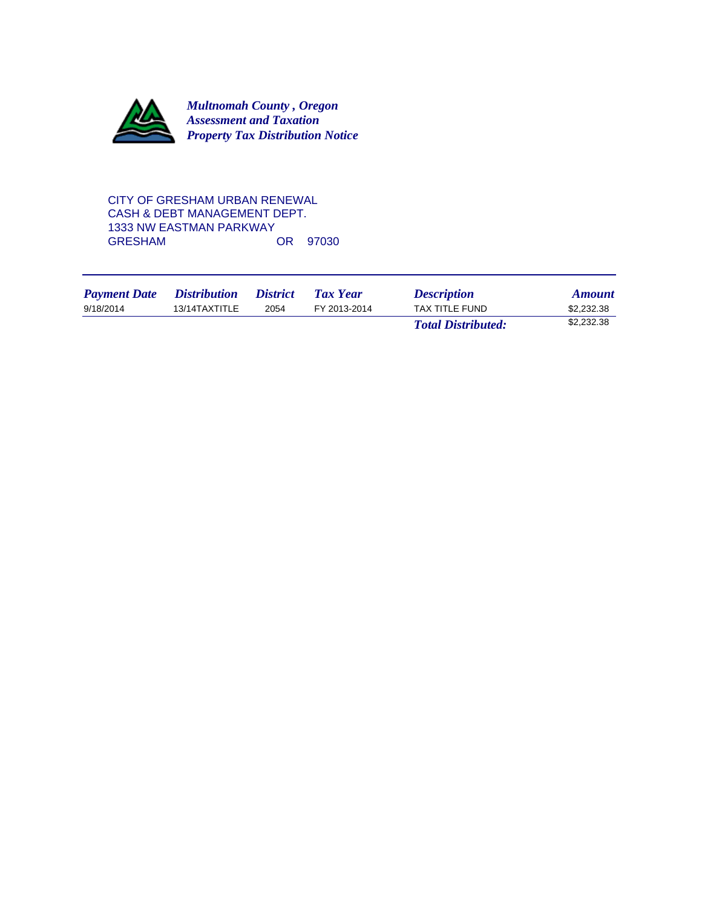

# CITY OF GRESHAM URBAN RENEWAL CASH & DEBT MANAGEMENT DEPT. 1333 NW EASTMAN PARKWAY<br>GRESHAM OR 97030

| <b>Payment Date</b> | <i>Distribution</i> | <i>District</i> | Tax Year     | <b>Description</b>        | <b>Amount</b> |
|---------------------|---------------------|-----------------|--------------|---------------------------|---------------|
| 9/18/2014           | 13/14TAXTITLE       | 2054            | FY 2013-2014 | TAX TITLE FUND            | \$2.232.38    |
|                     |                     |                 |              | <b>Total Distributed:</b> | \$2,232.38    |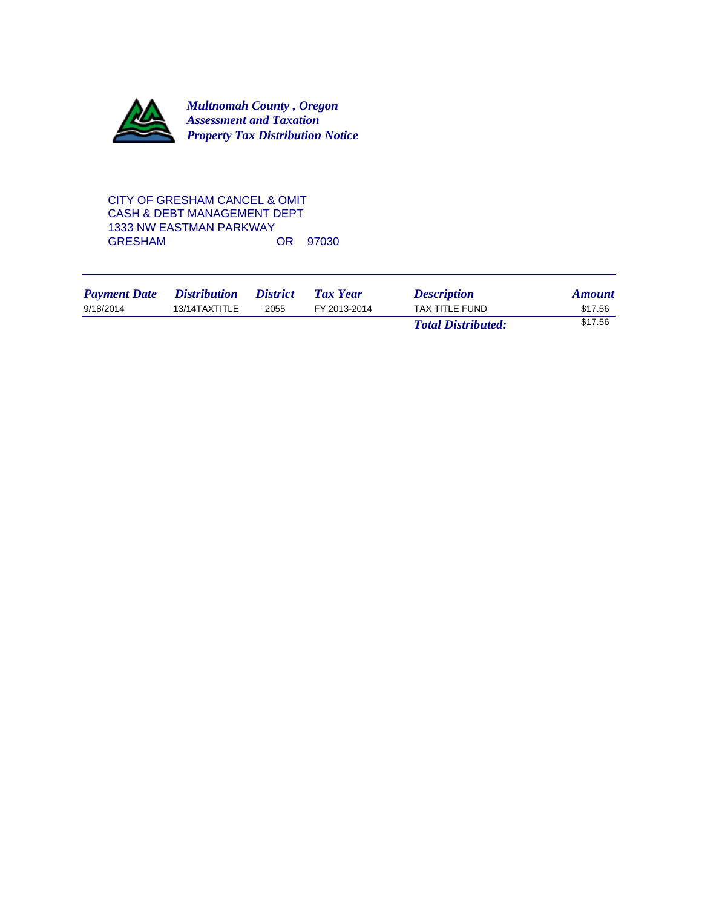

# CITY OF GRESHAM CANCEL & OMIT CASH & DEBT MANAGEMENT DEPT 1333 NW EASTMAN PARKWAY<br>GRESHAM OR 97030

| <b>Payment Date</b> | <i><b>Distribution</b></i> | <i>District</i> | Tax Year     | <b>Description</b>        | <b>Amount</b> |
|---------------------|----------------------------|-----------------|--------------|---------------------------|---------------|
| 9/18/2014           | 13/14TAXTITLE              | 2055            | FY 2013-2014 | TAX TITLE FUND            | \$17.56       |
|                     |                            |                 |              | <b>Total Distributed:</b> | \$17.56       |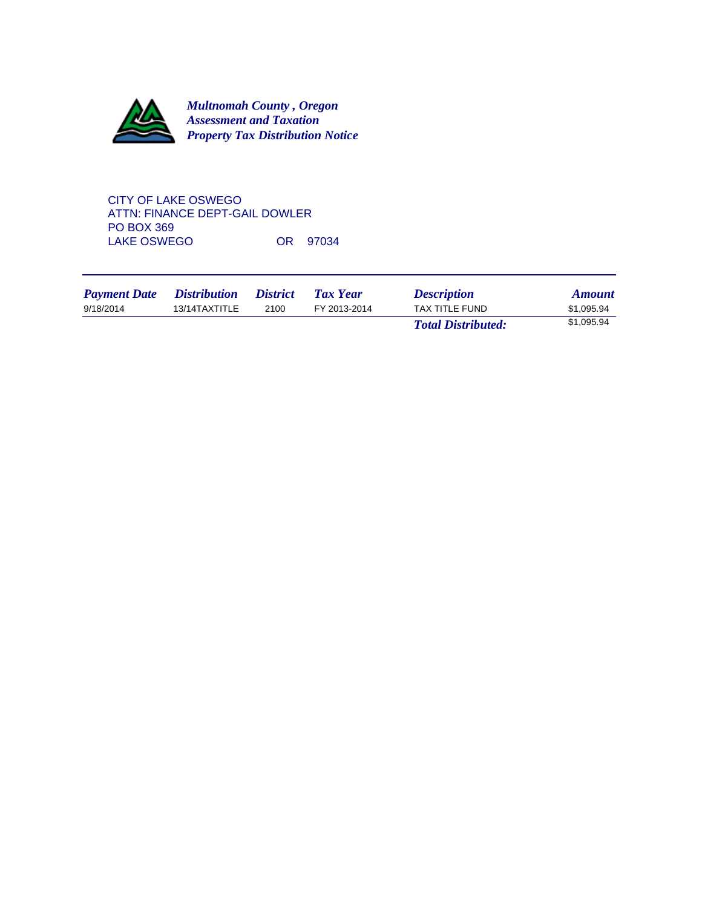

CITY OF LAKE OSWEGO ATTN: FINANCE DEPT-GAIL DOWLER PO BOX 369 LAKE OSWEGO OR 97034

| <b>Payment Date</b> | <i>Distribution</i> | <i>District</i> | Tax Year     | <b>Description</b>        | <b>Amount</b> |
|---------------------|---------------------|-----------------|--------------|---------------------------|---------------|
| 9/18/2014           | 13/14TAXTITLE       | 2100            | FY 2013-2014 | <b>TAX TITLE FUND</b>     | \$1.095.94    |
|                     |                     |                 |              | <b>Total Distributed:</b> | \$1,095.94    |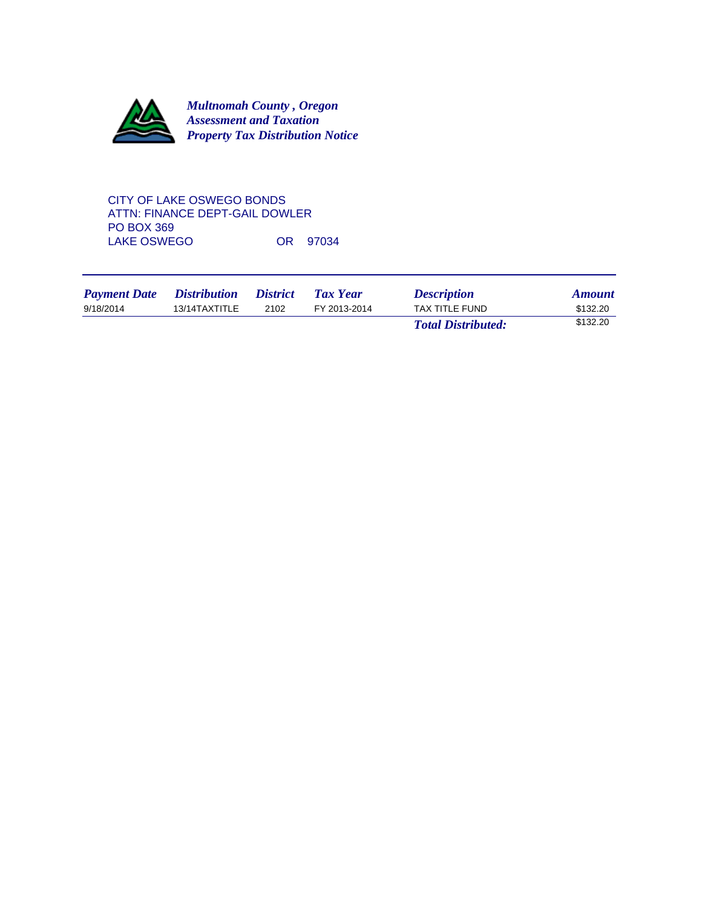

# CITY OF LAKE OSWEGO BONDS ATTN: FINANCE DEPT-GAIL DOWLER PO BOX 369 LAKE OSWEGO OR 97034

| <b>Payment Date</b> | <i>Distribution</i> | <i><b>District</b></i> | Tax Year     | <b>Description</b>        | <b>Amount</b> |
|---------------------|---------------------|------------------------|--------------|---------------------------|---------------|
| 9/18/2014           | 13/14TAXTITLE       | 2102                   | FY 2013-2014 | TAX TITLE FUND            | \$132.20      |
|                     |                     |                        |              | <b>Total Distributed:</b> | \$132.20      |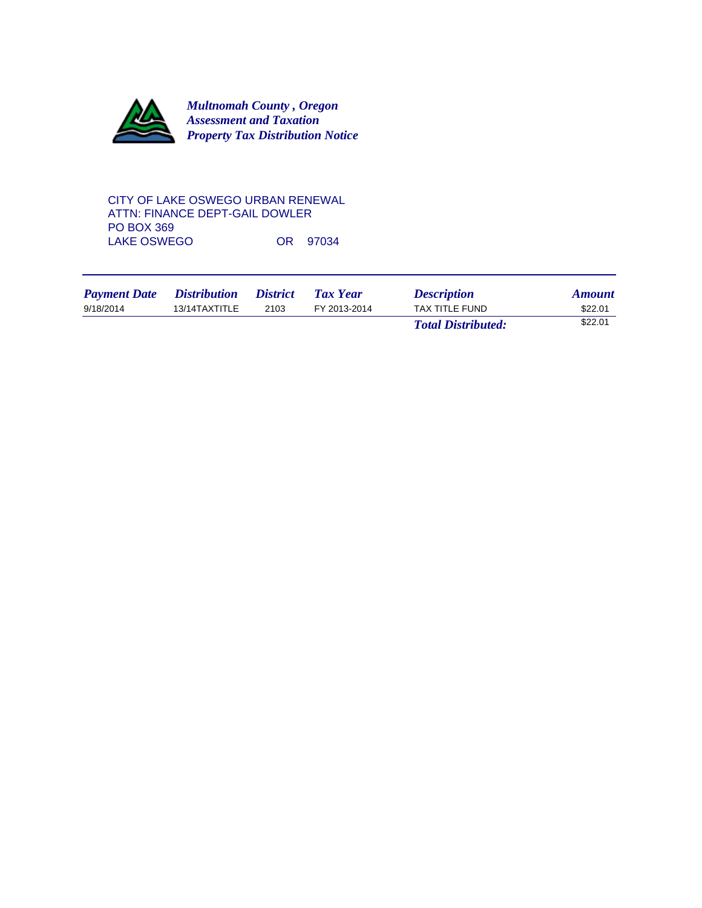

CITY OF LAKE OSWEGO URBAN RENEWAL ATTN: FINANCE DEPT-GAIL DOWLER PO BOX 369 LAKE OSWEGO OR 97034

| <b>Payment Date</b> | <i>Distribution</i> | <i><b>District</b></i> | Tax Year     | <b>Description</b>        | <b>Amount</b> |
|---------------------|---------------------|------------------------|--------------|---------------------------|---------------|
| 9/18/2014           | 13/14TAXTITLE       | 2103                   | FY 2013-2014 | TAX TITLE FUND            | \$22.01       |
|                     |                     |                        |              | <b>Total Distributed:</b> | \$22.01       |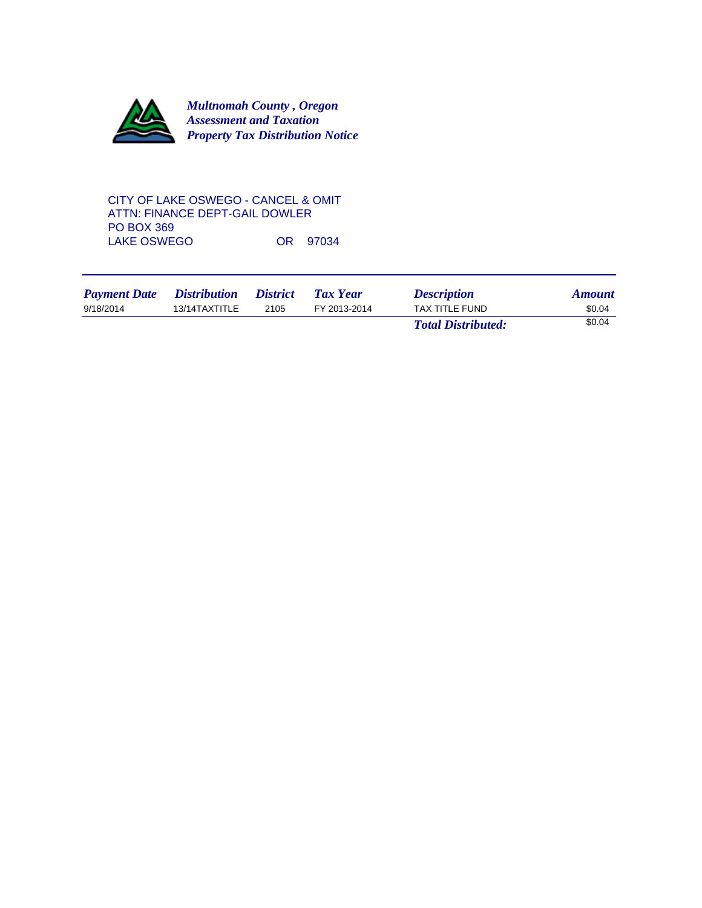

# CITY OF LAKE OSWEGO - CANCEL & OMIT ATTN: FINANCE DEPT-GAIL DOWLER PO BOX 369 LAKE OSWEGO OR 97034

| <b>Payment Date</b> | <i>Distribution</i> | <i><b>District</b></i> | Tax Year     | <b>Description</b>        | <b>Amount</b> |
|---------------------|---------------------|------------------------|--------------|---------------------------|---------------|
| 9/18/2014           | 13/14TAXTITLE       | 2105                   | FY 2013-2014 | TAX TITLE FUND            | \$0.04        |
|                     |                     |                        |              | <b>Total Distributed:</b> | \$0.04        |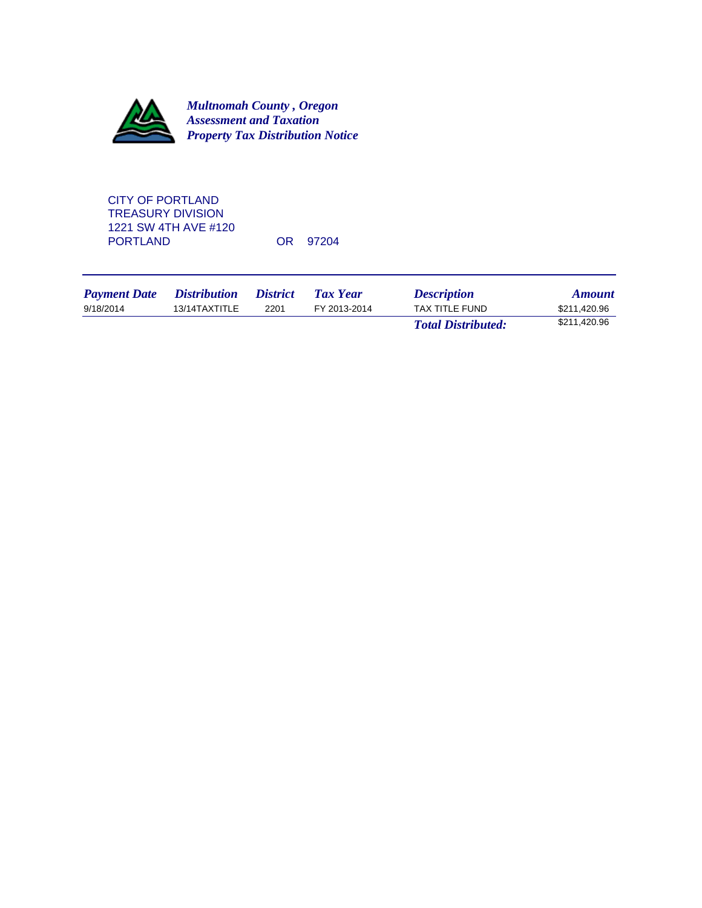

CITY OF PORTLAND TREASURY DIVISION 1221 SW 4TH AVE #120

OR 97204

| <b>Payment Date</b> | <i>Distribution</i> | <i><b>District</b></i> | Tax Year     | <b>Description</b>        | <b>Amount</b> |
|---------------------|---------------------|------------------------|--------------|---------------------------|---------------|
| 9/18/2014           | 13/14TAXTITLE       | 2201                   | FY 2013-2014 | TAX TITLE FUND            | \$211,420.96  |
|                     |                     |                        |              | <b>Total Distributed:</b> | \$211,420.96  |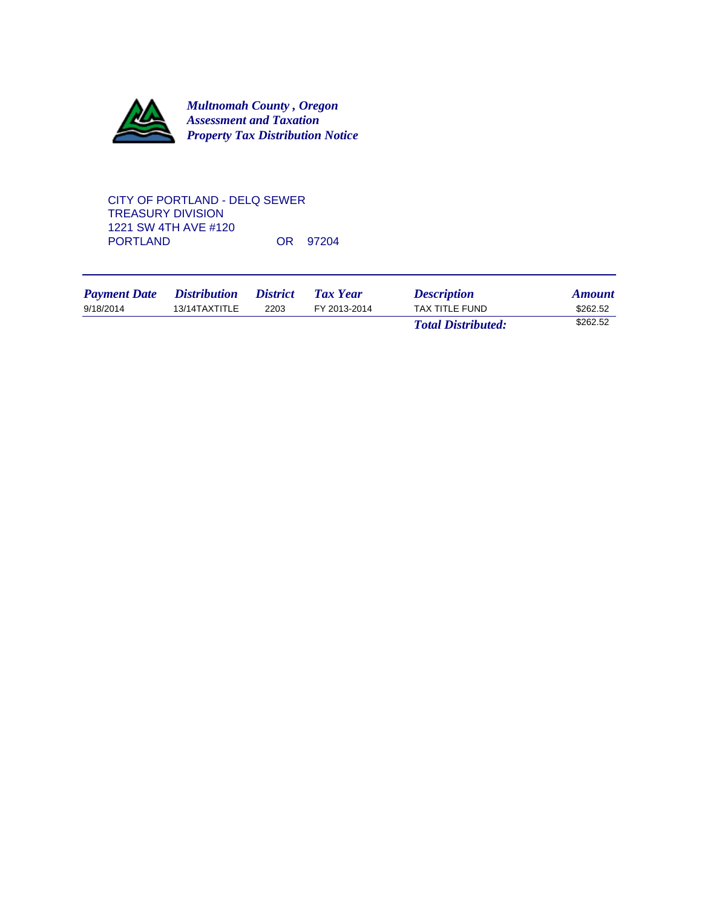

### CITY OF PORTLAND - DELQ SEWER TREASURY DIVISION 1221 SW 4TH AVE #120 OR 97204

| <b>Payment Date</b> | <i>Distribution</i> | <i>District</i> | Tax Year     | <b>Description</b>        | <b>Amount</b> |
|---------------------|---------------------|-----------------|--------------|---------------------------|---------------|
| 9/18/2014           | 13/14TAXTITLE       | 2203            | FY 2013-2014 | TAX TITLE FUND            | \$262.52      |
|                     |                     |                 |              | <b>Total Distributed:</b> | \$262.52      |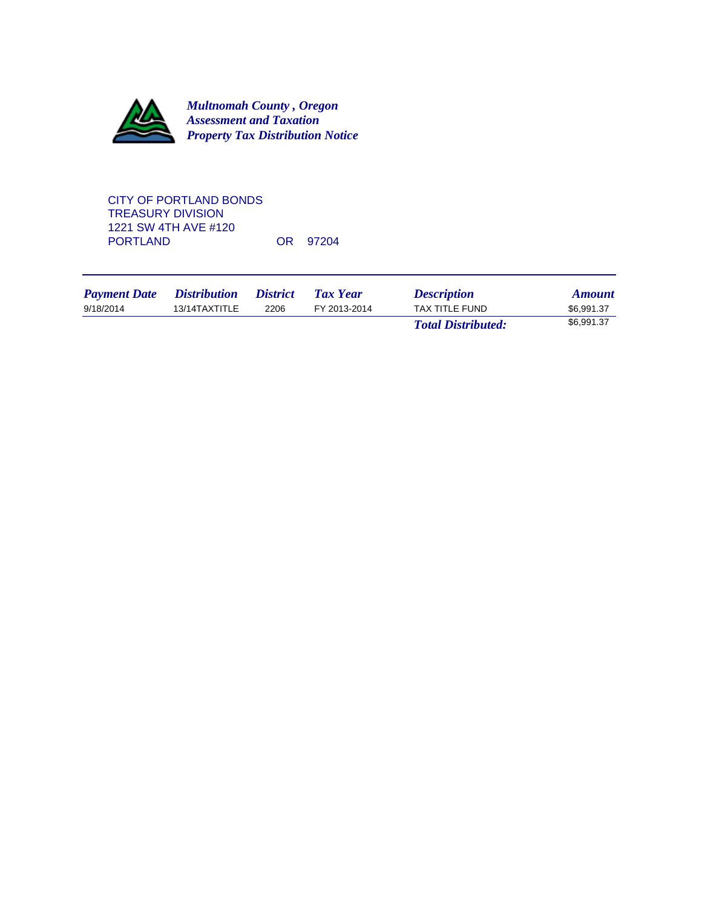

CITY OF PORTLAND BONDS TREASURY DIVISION 1221 SW 4TH AVE #120 OR 97204

| <b>Payment Date</b> | <i>Distribution</i> | <i>District</i> | Tax Year     | <b>Description</b>        | <b>Amount</b> |
|---------------------|---------------------|-----------------|--------------|---------------------------|---------------|
| 9/18/2014           | 13/14TAXTITLE       | 2206            | FY 2013-2014 | TAX TITLE FUND            | \$6.991.37    |
|                     |                     |                 |              | <b>Total Distributed:</b> | \$6,991.37    |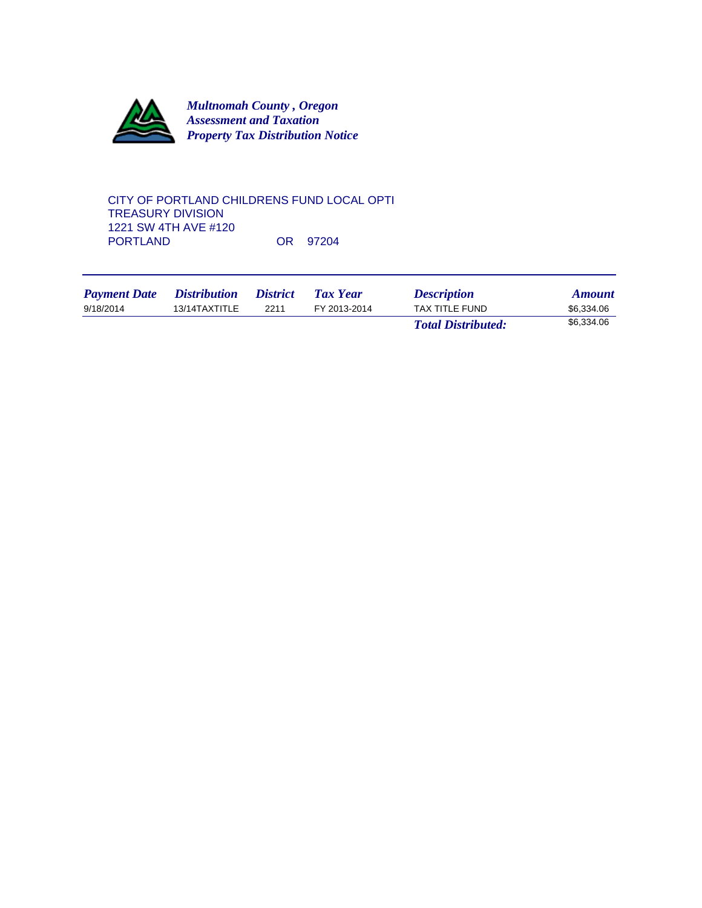

### CITY OF PORTLAND CHILDRENS FUND LOCAL OPTI TREASURY DIVISION 1221 SW 4TH AVE #120 OR 97204

| <b>Payment Date</b> | <i>Distribution</i> | <i>District</i> | Tax Year     | <b>Description</b>        | <b>Amount</b> |
|---------------------|---------------------|-----------------|--------------|---------------------------|---------------|
| 9/18/2014           | 13/14TAXTITLE       | 2211            | FY 2013-2014 | <b>TAX TITLE FUND</b>     | \$6,334.06    |
|                     |                     |                 |              | <b>Total Distributed:</b> | \$6,334.06    |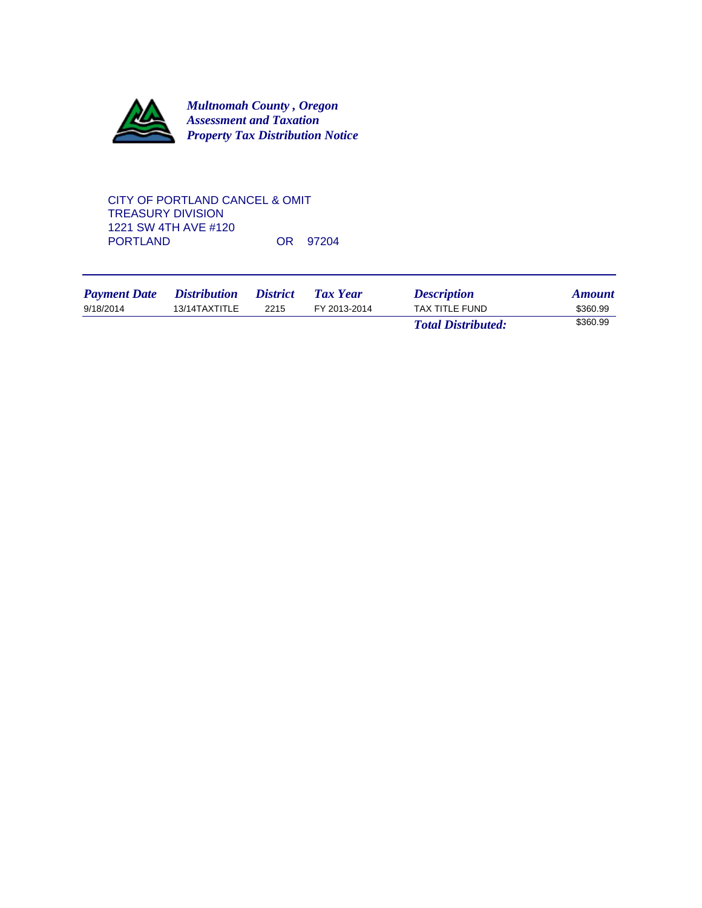

CITY OF PORTLAND CANCEL & OMIT TREASURY DIVISION 1221 SW 4TH AVE #120 OR 97204

| <b>Payment Date</b> | <i>Distribution</i> | <i><b>District</b></i> | <b>Tax Year</b> | <b>Description</b>        | <b>Amount</b> |
|---------------------|---------------------|------------------------|-----------------|---------------------------|---------------|
| 9/18/2014           | 13/14TAXTITLE       | 2215                   | FY 2013-2014    | TAX TITLE FUND            | \$360.99      |
|                     |                     |                        |                 | <b>Total Distributed:</b> | \$360.99      |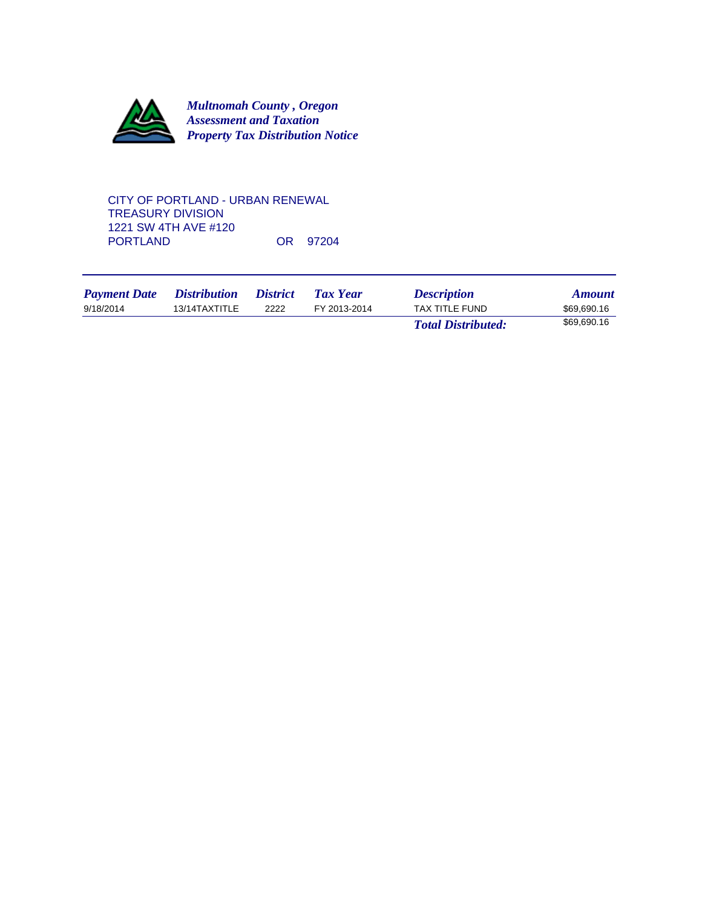

#### CITY OF PORTLAND - URBAN RENEWAL TREASURY DIVISION 1221 SW 4TH AVE #120 OR 97204

| <b>Payment Date</b> | <i>Distribution</i> | <i>District</i> | Tax Year     | <b>Description</b>        | <b>Amount</b> |
|---------------------|---------------------|-----------------|--------------|---------------------------|---------------|
| 9/18/2014           | 13/14TAXTITLE       | 2222            | FY 2013-2014 | <b>TAX TITLE FUND</b>     | \$69,690.16   |
|                     |                     |                 |              | <b>Total Distributed:</b> | \$69,690.16   |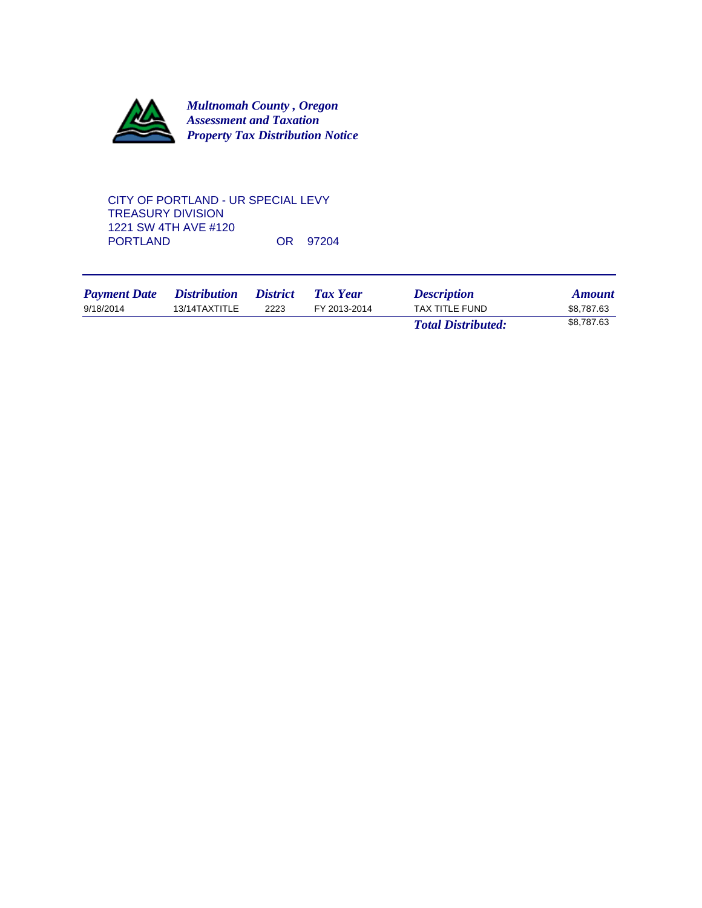

#### CITY OF PORTLAND - UR SPECIAL LEVY TREASURY DIVISION 1221 SW 4TH AVE #120 OR 97204

| <b>Payment Date</b> | <i>Distribution</i> | <i><b>District</b></i> | Tax Year     | <b>Description</b>        | <b>Amount</b> |
|---------------------|---------------------|------------------------|--------------|---------------------------|---------------|
| 9/18/2014           | 13/14TAXTITLE       | 2223                   | FY 2013-2014 | TAX TITLE FUND            | \$8.787.63    |
|                     |                     |                        |              | <b>Total Distributed:</b> | \$8.787.63    |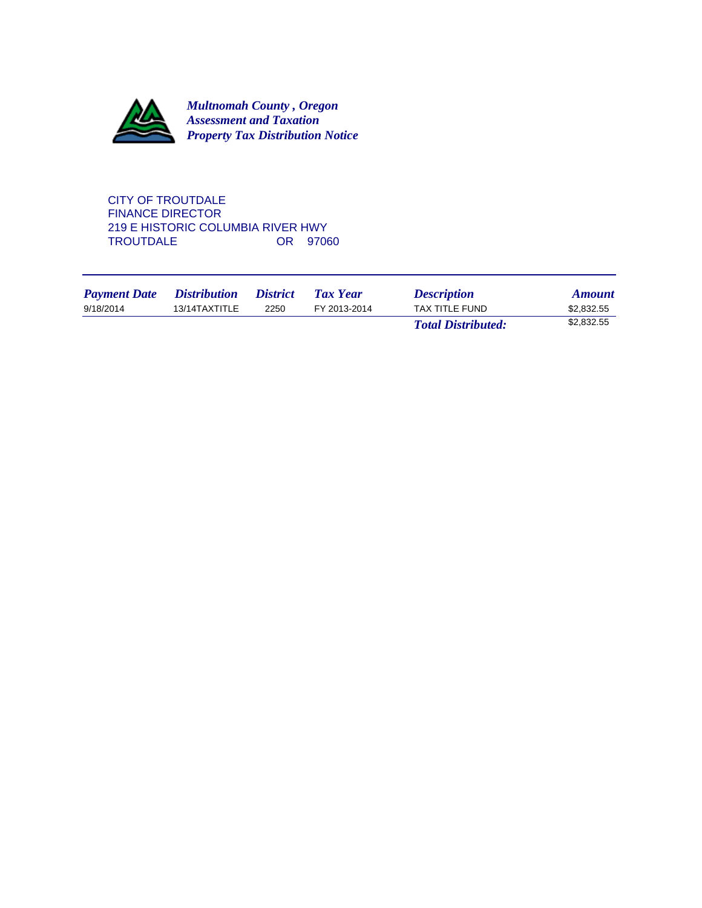

CITY OF TROUTDALE FINANCE DIRECTOR 219 E HISTORIC COLUMBIA RIVER HWY<br>TROUTDALE 0R 97060 TROUTDALE

| <b>Payment Date</b> | <i>Distribution</i> | <i>District</i> | <b>Tax Year</b> | <b>Description</b>        | <b>Amount</b> |
|---------------------|---------------------|-----------------|-----------------|---------------------------|---------------|
| 9/18/2014           | 13/14TAXTITLE       | 2250            | FY 2013-2014    | <b>TAX TITLE FUND</b>     | \$2,832.55    |
|                     |                     |                 |                 | <b>Total Distributed:</b> | \$2,832.55    |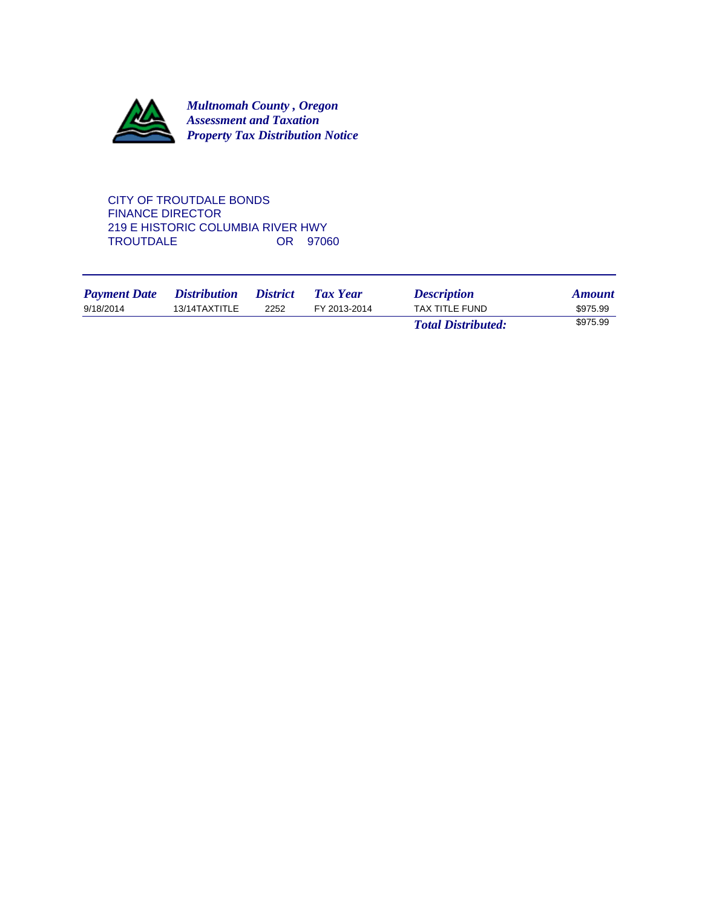

CITY OF TROUTDALE BONDS FINANCE DIRECTOR 219 E HISTORIC COLUMBIA RIVER HWY<br>TROUTDALE 0R 97060 TROUTDALE

| <b>Payment Date</b> | <i>Distribution</i> | <i>District</i> | <b>Tax Year</b> | <b>Description</b>        | <b>Amount</b> |
|---------------------|---------------------|-----------------|-----------------|---------------------------|---------------|
| 9/18/2014           | 13/14TAXTITLE       | 2252            | FY 2013-2014    | <b>TAX TITLE FUND</b>     | \$975.99      |
|                     |                     |                 |                 | <b>Total Distributed:</b> | \$975.99      |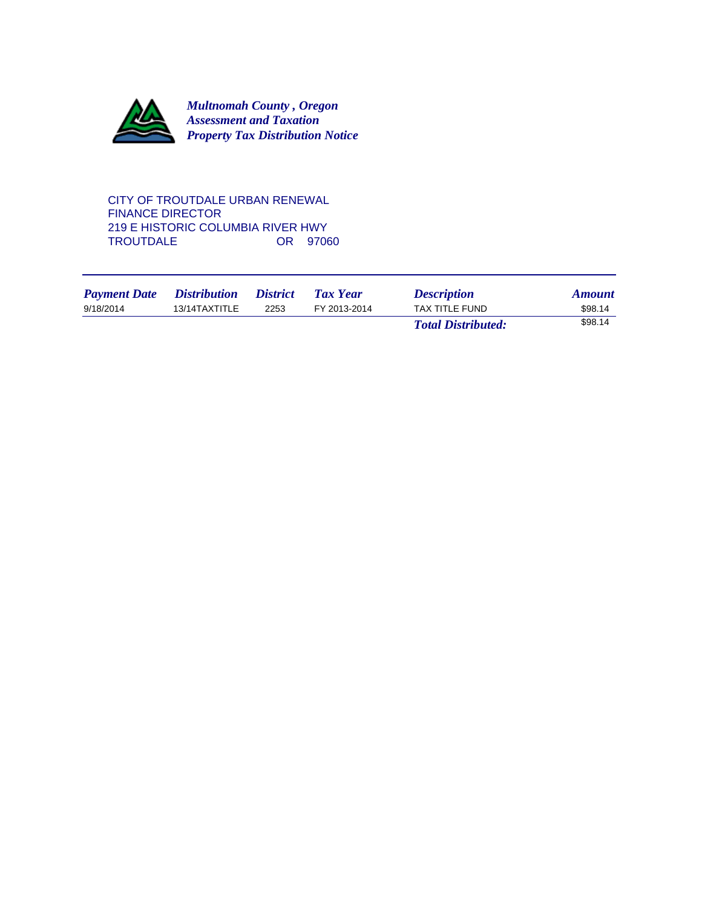

CITY OF TROUTDALE URBAN RENEWAL FINANCE DIRECTOR 219 E HISTORIC COLUMBIA RIVER HWY<br>TROUTDALE 0R 97060 TROUTDALE

| <b>Payment Date</b> | <i>Distribution</i> | <i><b>District</b></i> | <b>Tax Year</b> | <b>Description</b>        | <b>Amount</b> |
|---------------------|---------------------|------------------------|-----------------|---------------------------|---------------|
| 9/18/2014           | 13/14TAXTITLE       | 2253                   | FY 2013-2014    | <b>TAX TITLE FUND</b>     | \$98.14       |
|                     |                     |                        |                 | <b>Total Distributed:</b> | \$98.14       |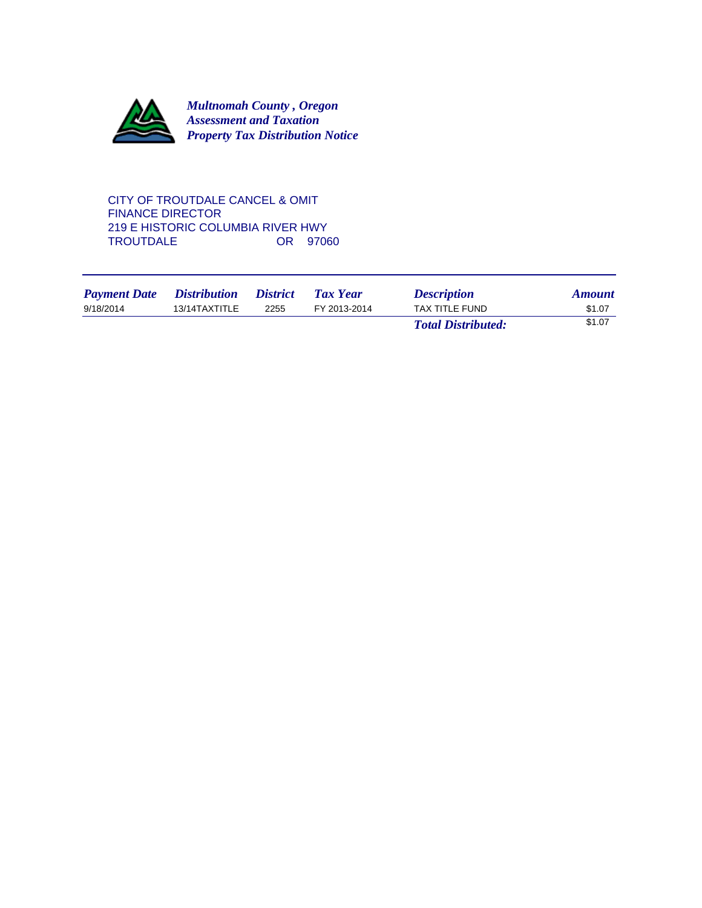

CITY OF TROUTDALE CANCEL & OMIT FINANCE DIRECTOR 219 E HISTORIC COLUMBIA RIVER HWY<br>TROUTDALE 0R 97060 TROUTDALE

| <b>Payment Date</b> | <i><b>Distribution</b></i> | <i><b>District</b></i> | <b>Tax Year</b> | <b>Description</b>        | <b>Amount</b> |
|---------------------|----------------------------|------------------------|-----------------|---------------------------|---------------|
| 9/18/2014           | 13/14TAXTITLE              | 2255                   | FY 2013-2014    | TAX TITLE FUND            | \$1.07        |
|                     |                            |                        |                 | <b>Total Distributed:</b> | \$1.07        |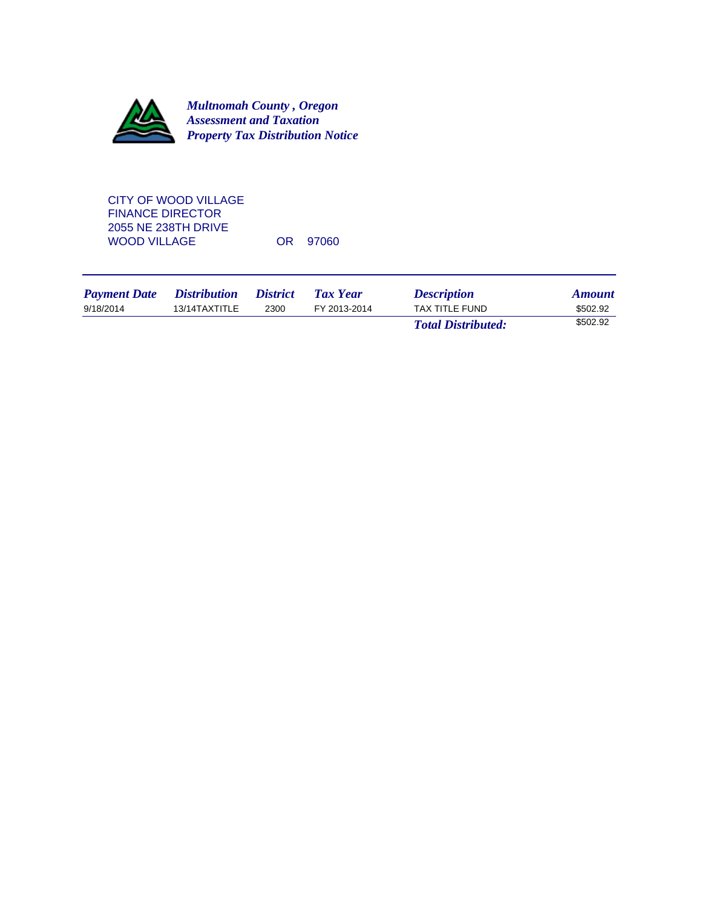

CITY OF WOOD VILLAGE FINANCE DIRECTOR 2055 NE 238TH DRIVE WOOD VILLAGE OR 97060

| <b>Payment Date</b> | <i>Distribution</i> | <i>District</i> | Tax Year     | <b>Description</b>        | <b>Amount</b> |
|---------------------|---------------------|-----------------|--------------|---------------------------|---------------|
| 9/18/2014           | 13/14TAXTITLE       | 2300            | FY 2013-2014 | TAX TITLE FUND            | \$502.92      |
|                     |                     |                 |              | <b>Total Distributed:</b> | \$502.92      |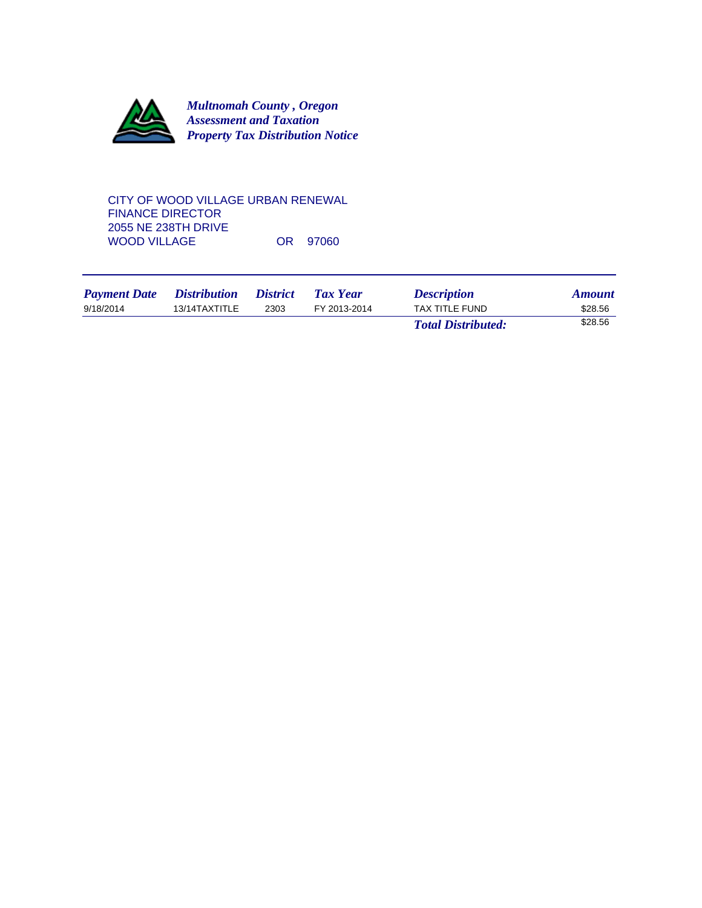

CITY OF WOOD VILLAGE URBAN RENEWAL FINANCE DIRECTOR 2055 NE 238TH DRIVE WOOD VILLAGE OR 97060

| <b>Payment Date</b> | <i>Distribution</i> | <i><b>District</b></i> | Tax Year     | <b>Description</b>        | <b>Amount</b> |
|---------------------|---------------------|------------------------|--------------|---------------------------|---------------|
| 9/18/2014           | 13/14TAXTITLE       | 2303                   | FY 2013-2014 | TAX TITLE FUND            | \$28.56       |
|                     |                     |                        |              | <b>Total Distributed:</b> | \$28.56       |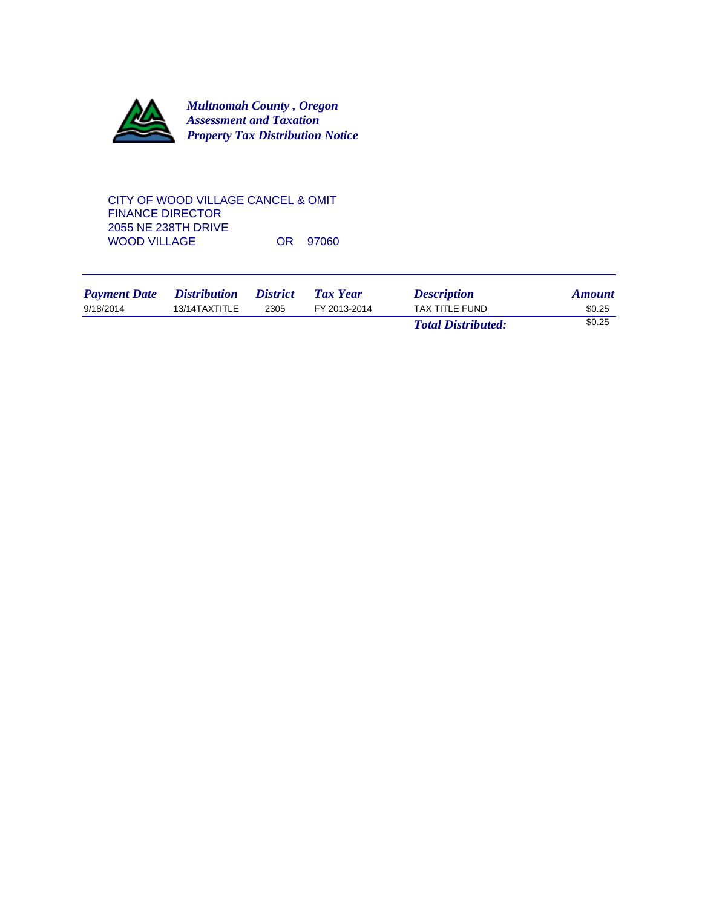

### CITY OF WOOD VILLAGE CANCEL & OMIT FINANCE DIRECTOR 2055 NE 238TH DRIVE WOOD VILLAGE OR 97060

| <b>Payment Date</b> | <i>Distribution</i> | <i><b>District</b></i> | Tax Year     | <b>Description</b>        | <b>Amount</b> |
|---------------------|---------------------|------------------------|--------------|---------------------------|---------------|
| 9/18/2014           | 13/14TAXTITLE       | 2305                   | FY 2013-2014 | <b>TAX TITLE FUND</b>     | \$0.25        |
|                     |                     |                        |              | <b>Total Distributed:</b> | \$0.25        |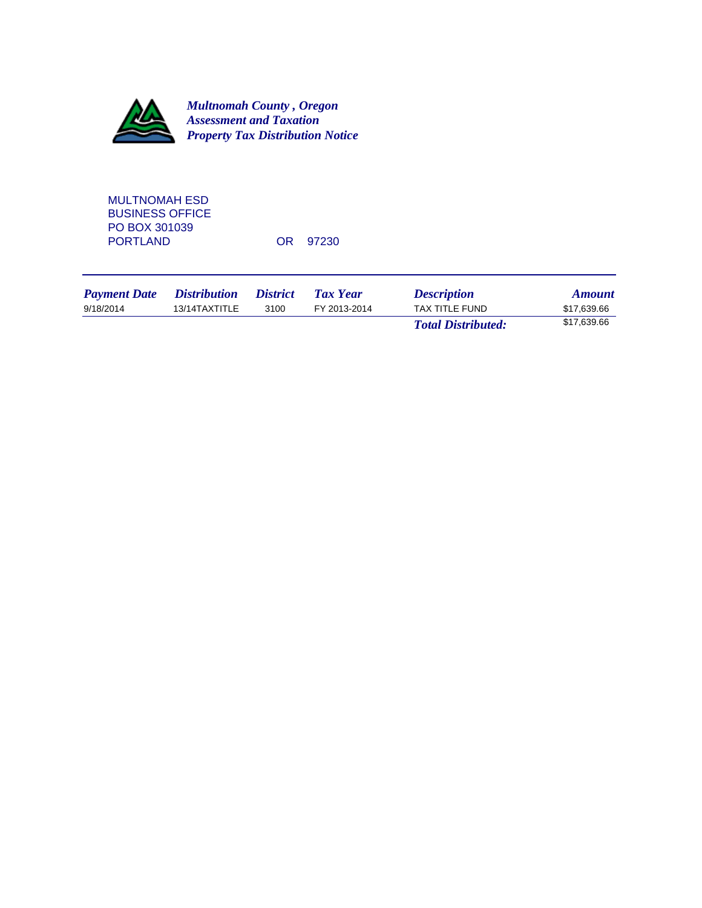

MULTNOMAH ESD BUSINESS OFFICE PO BOX 301039 PORTLAND OR 97230

| <b>Payment Date</b> | <i>Distribution</i> | <i><b>District</b></i> | Tax Year     | <b>Description</b>        | <b>Amount</b> |
|---------------------|---------------------|------------------------|--------------|---------------------------|---------------|
| 9/18/2014           | 13/14TAXTITLE       | 3100                   | FY 2013-2014 | TAX TITLE FUND            | \$17.639.66   |
|                     |                     |                        |              | <b>Total Distributed:</b> | \$17,639.66   |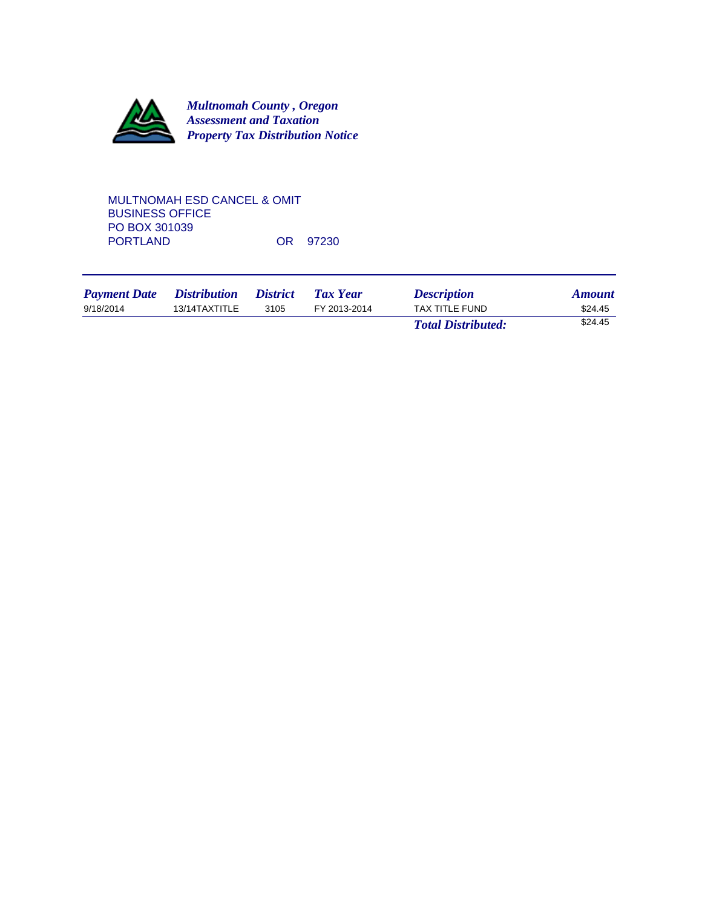

# MULTNOMAH ESD CANCEL & OMIT BUSINESS OFFICE PO BOX 301039<br>PORTLAND OR 97230

| <b>Payment Date</b> | <i>Distribution</i> | <i><b>District</b></i> | Tax Year     | <b>Description</b>        | <b>Amount</b> |
|---------------------|---------------------|------------------------|--------------|---------------------------|---------------|
| 9/18/2014           | 13/14TAXTITLE       | 3105                   | FY 2013-2014 | <b>TAX TITLE FUND</b>     | \$24.45       |
|                     |                     |                        |              | <b>Total Distributed:</b> | \$24.45       |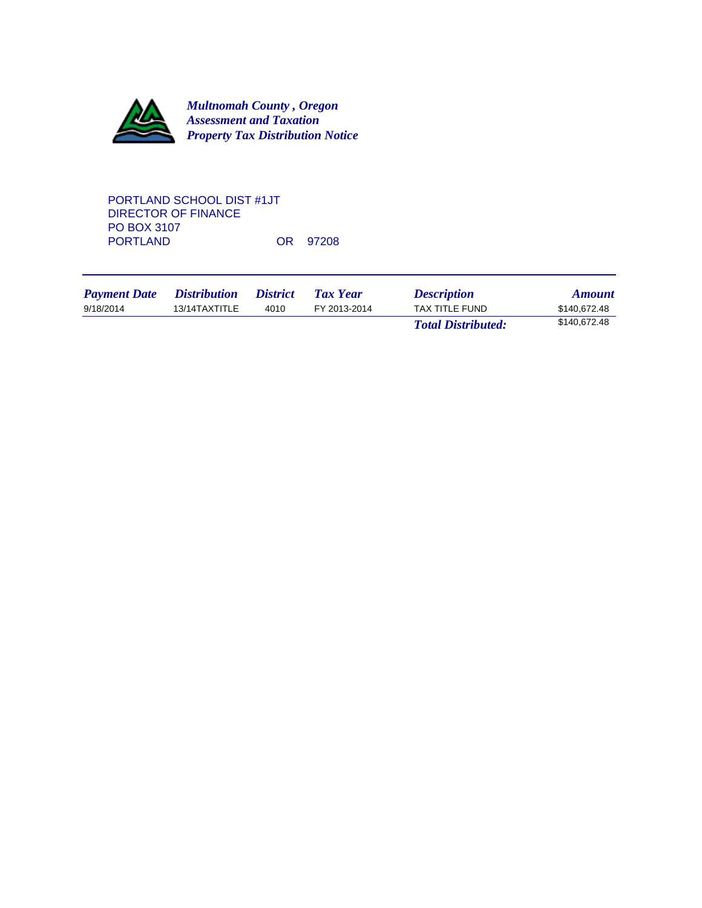

# PORTLAND SCHOOL DIST #1JT DIRECTOR OF FINANCE PO BOX 3107<br>PORTLAND OR 97208

| <b>Payment Date</b> | <i>Distribution</i> | <i>District</i> | Tax Year     | <b>Description</b>        | <b>Amount</b> |
|---------------------|---------------------|-----------------|--------------|---------------------------|---------------|
| 9/18/2014           | 13/14TAXTITLE       | 4010            | FY 2013-2014 | TAX TITLE FUND            | \$140.672.48  |
|                     |                     |                 |              | <b>Total Distributed:</b> | \$140.672.48  |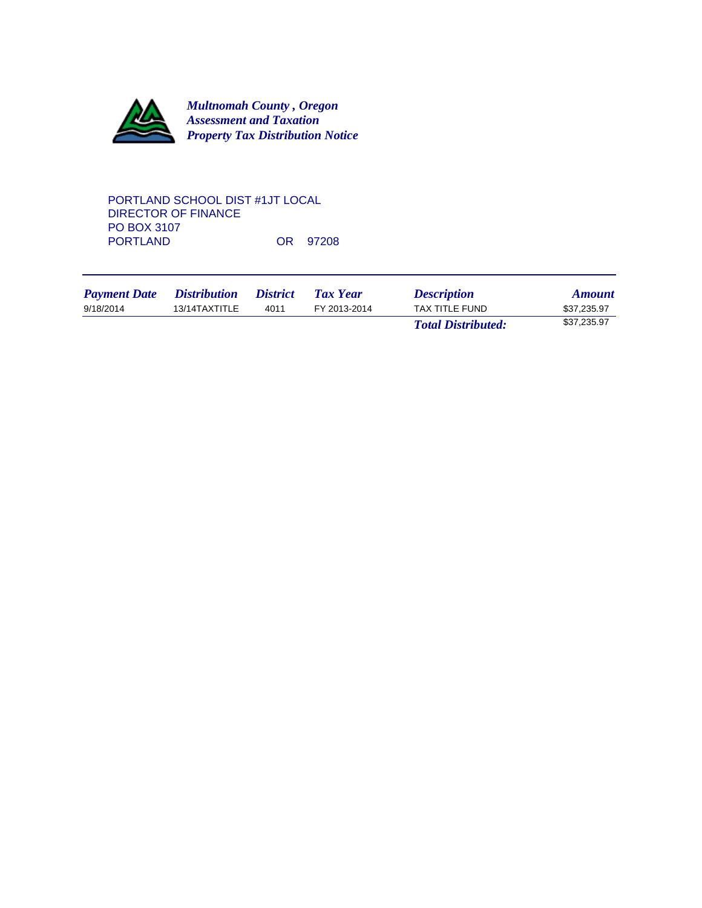

# PORTLAND SCHOOL DIST #1JT LOCAL DIRECTOR OF FINANCE PO BOX 3107<br>PORTLAND OR 97208

| <b>Payment Date</b> | <i>Distribution</i> | <i>District</i> | Tax Year     | <b>Description</b>        | <b>Amount</b> |
|---------------------|---------------------|-----------------|--------------|---------------------------|---------------|
| 9/18/2014           | 13/14TAXTITLE       | 4011            | FY 2013-2014 | <b>TAX TITLE FUND</b>     | \$37,235.97   |
|                     |                     |                 |              | <b>Total Distributed:</b> | \$37,235.97   |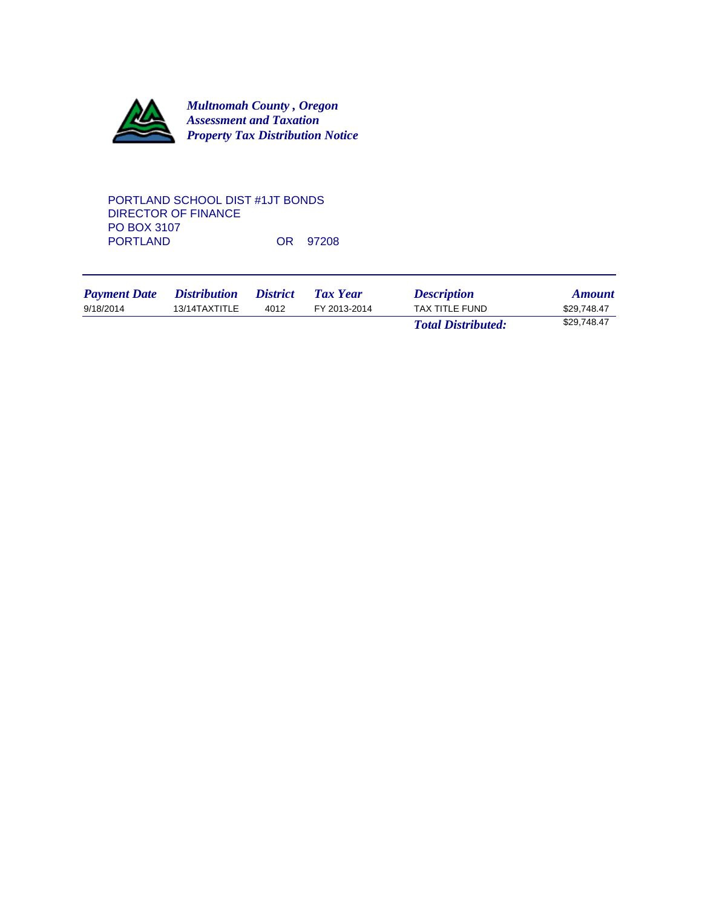

### PORTLAND SCHOOL DIST #1JT BONDS DIRECTOR OF FINANCE PO BOX 3107<br>PORTLAND OR 97208

| <b>Payment Date</b> | <i>Distribution</i> | <i>District</i> | <b>Tax Year</b> | <b>Description</b>        | <b>Amount</b> |
|---------------------|---------------------|-----------------|-----------------|---------------------------|---------------|
| 9/18/2014           | 13/14TAXTITLE       | 4012            | FY 2013-2014    | <b>TAX TITLE FUND</b>     | \$29.748.47   |
|                     |                     |                 |                 | <b>Total Distributed:</b> | \$29.748.47   |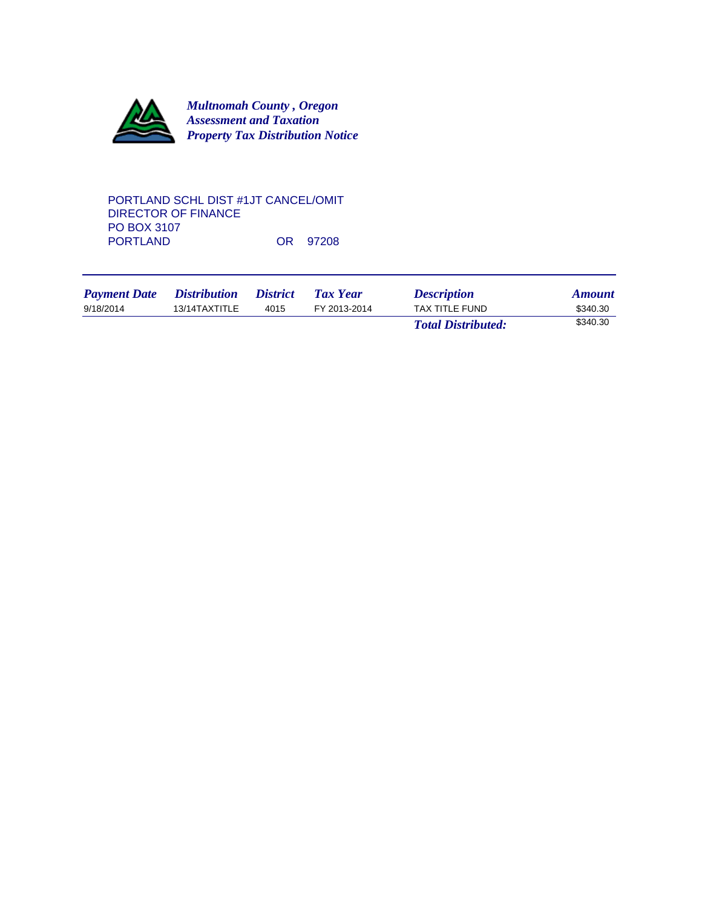

### PORTLAND SCHL DIST #1JT CANCEL/OMIT DIRECTOR OF FINANCE PO BOX 3107<br>PORTLAND OR 97208

| <b>Payment Date</b> | <i>Distribution</i> | <i><b>District</b></i> | Tax Year     | <i><b>Description</b></i> | <b>Amount</b> |
|---------------------|---------------------|------------------------|--------------|---------------------------|---------------|
| 9/18/2014           | 13/14TAXTITLE       | 4015                   | FY 2013-2014 | <b>TAX TITLE FUND</b>     | \$340.30      |
|                     |                     |                        |              | <b>Total Distributed:</b> | \$340.30      |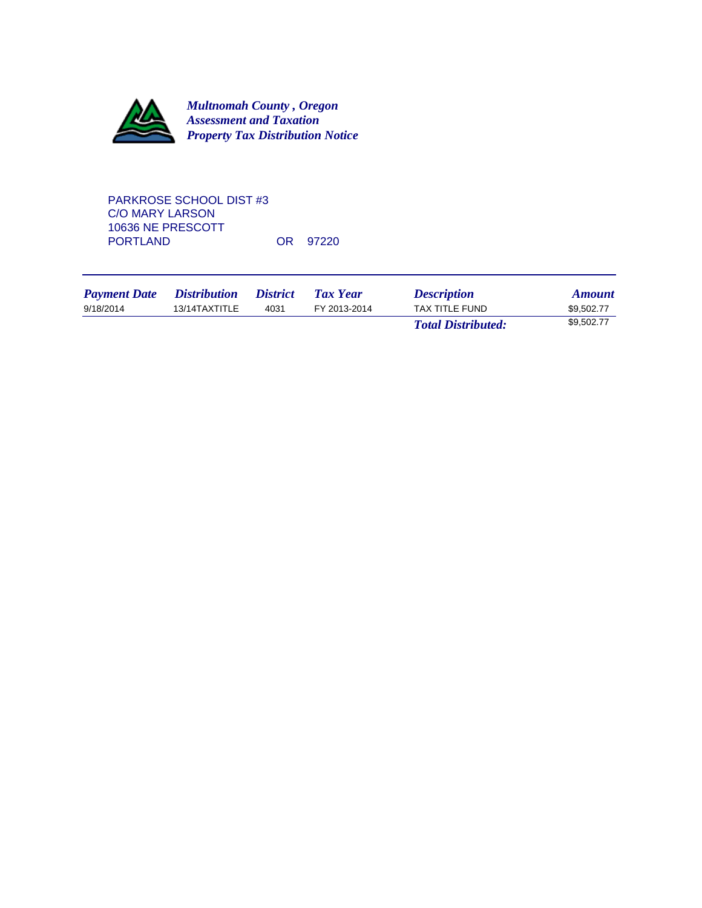

PARKROSE SCHOOL DIST #3 C/O MARY LARSON 10636 NE PRESCOTT OR 97220

| <b>Payment Date</b> | <i>Distribution</i> | <i>District</i> | Tax Year     | <b>Description</b>        | <b>Amount</b> |
|---------------------|---------------------|-----------------|--------------|---------------------------|---------------|
| 9/18/2014           | 13/14TAXTITLE       | 4031            | FY 2013-2014 | <b>TAX TITLE FUND</b>     | \$9.502.77    |
|                     |                     |                 |              | <b>Total Distributed:</b> | \$9.502.77    |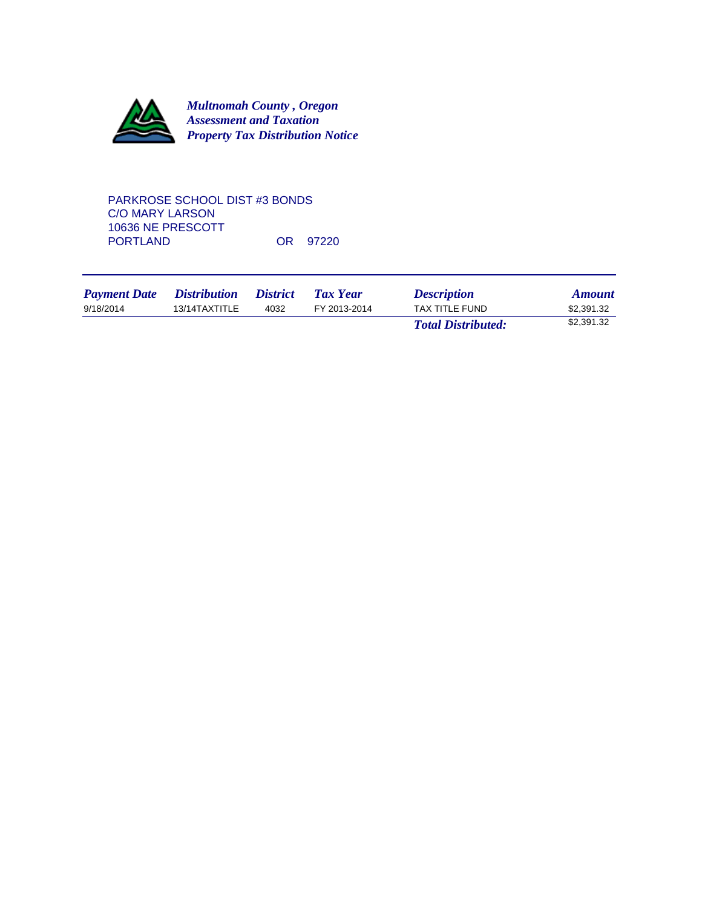

## PARKROSE SCHOOL DIST #3 BONDS C/O MARY LARSON 10636 NE PRESCOTT OR 97220

| <b>Payment Date</b> | <i>Distribution</i> | <i>District</i> | Tax Year     | <b>Description</b>        | <b>Amount</b> |
|---------------------|---------------------|-----------------|--------------|---------------------------|---------------|
| 9/18/2014           | 13/14TAXTITLE       | 4032            | FY 2013-2014 | <b>TAX TITLE FUND</b>     | \$2.391.32    |
|                     |                     |                 |              | <b>Total Distributed:</b> | \$2,391.32    |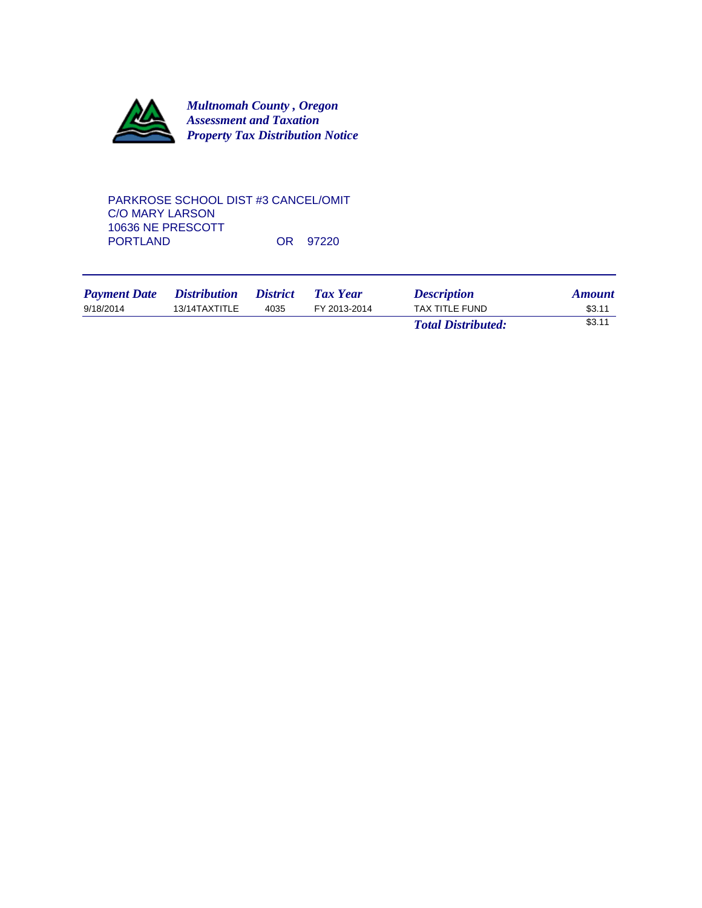

### PARKROSE SCHOOL DIST #3 CANCEL/OMIT C/O MARY LARSON 10636 NE PRESCOTT OR 97220

| <b>Payment Date</b> | <i>Distribution</i> | <i><b>District</b></i> | <b>Tax Year</b> | <b>Description</b>        | <b>Amount</b> |
|---------------------|---------------------|------------------------|-----------------|---------------------------|---------------|
| 9/18/2014           | 13/14TAXTITLE       | 4035                   | FY 2013-2014    | TAX TITLE FUND            | \$3.11        |
|                     |                     |                        |                 | <b>Total Distributed:</b> | \$3.11        |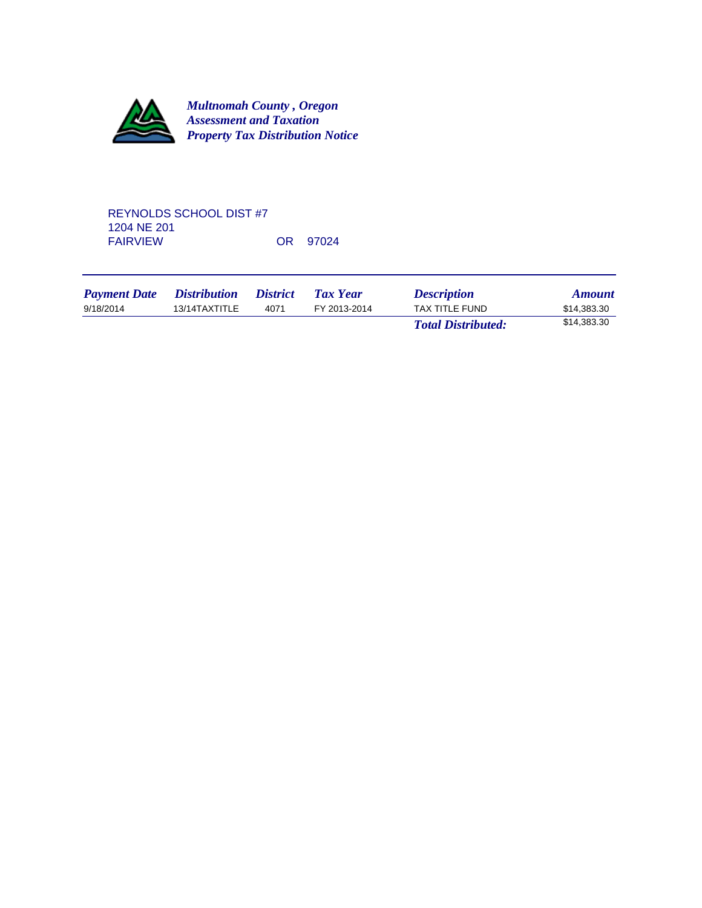

### REYNOLDS SCHOOL DIST #7 1204 NE 201 OR 97024

| <b>Payment Date</b> | <i>Distribution</i> | <i><b>District</b></i> | <b>Tax Year</b> | <b>Description</b>        | <b>Amount</b> |
|---------------------|---------------------|------------------------|-----------------|---------------------------|---------------|
| 9/18/2014           | 13/14TAXTITLE       | 4071                   | FY 2013-2014    | TAX TITLE FUND            | \$14.383.30   |
|                     |                     |                        |                 | <b>Total Distributed:</b> | \$14,383.30   |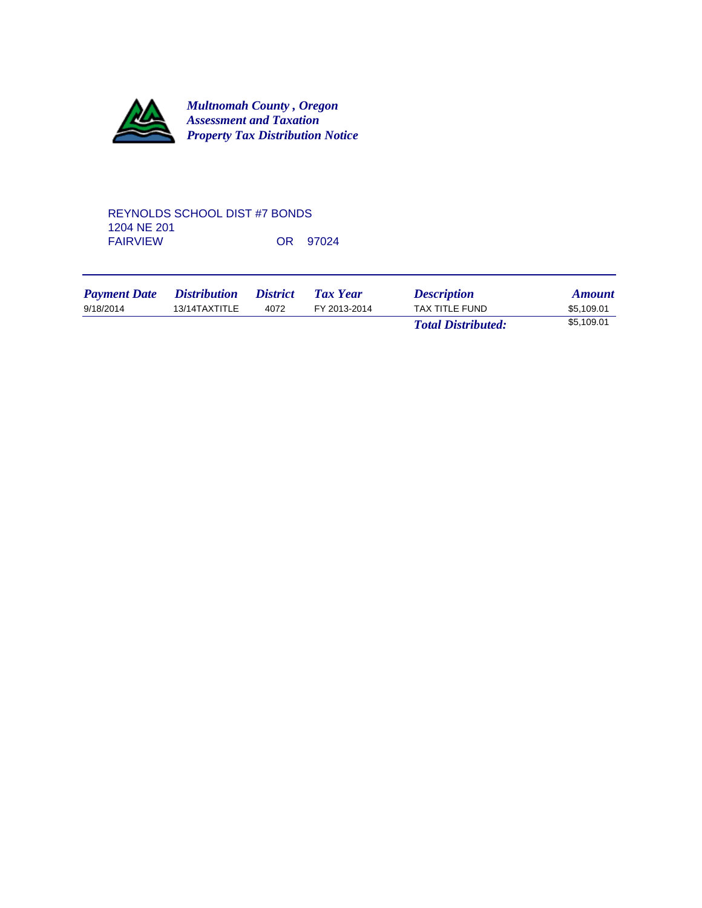

#### REYNOLDS SCHOOL DIST #7 BONDS 1204 NE 201 OR 97024

| <b>Payment Date</b> | <i>Distribution</i> | <i><b>District</b></i> | <b>Tax Year</b> | <b>Description</b>        | <b>Amount</b> |
|---------------------|---------------------|------------------------|-----------------|---------------------------|---------------|
| 9/18/2014           | 13/14TAXTITLE       | 4072                   | FY 2013-2014    | TAX TITLE FUND            | \$5.109.01    |
|                     |                     |                        |                 | <b>Total Distributed:</b> | \$5,109.01    |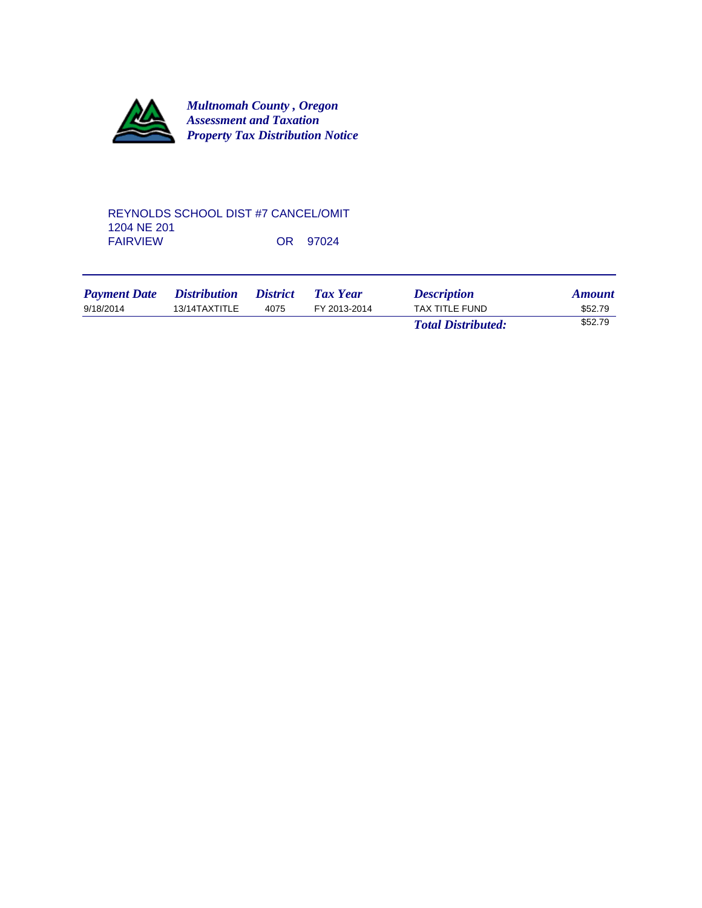

### REYNOLDS SCHOOL DIST #7 CANCEL/OMIT 1204 NE 201 OR 97024

| <b>Payment Date</b> | <i>Distribution</i> | <i><b>District</b></i> | Tax Year     | <b>Description</b>        | <b>Amount</b> |
|---------------------|---------------------|------------------------|--------------|---------------------------|---------------|
| 9/18/2014           | 13/14TAXTITLE       | 4075                   | FY 2013-2014 | TAX TITLE FUND            | \$52.79       |
|                     |                     |                        |              | <b>Total Distributed:</b> | \$52.79       |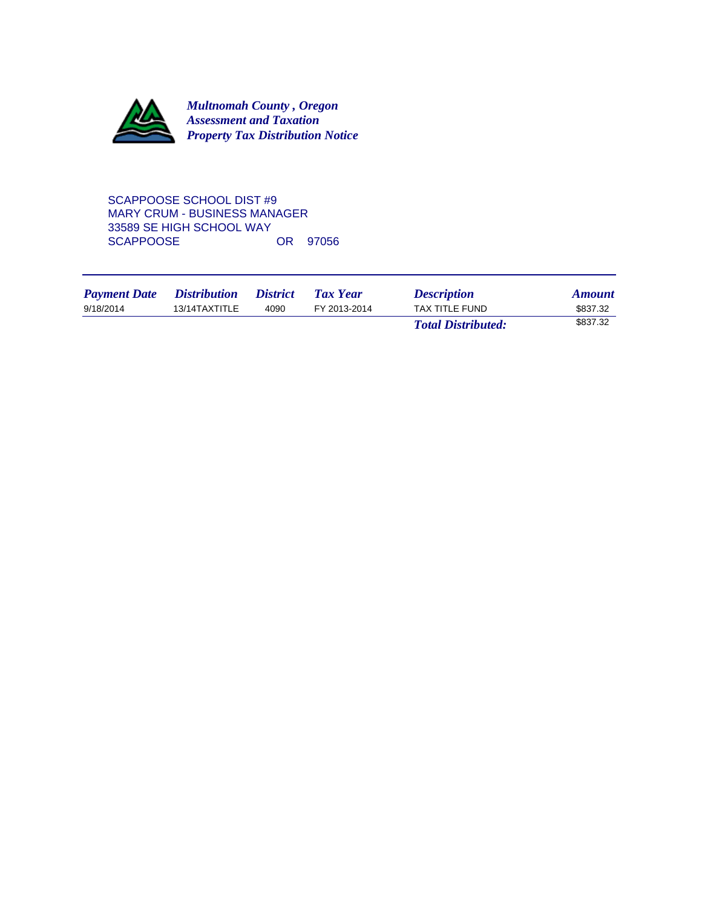

SCAPPOOSE SCHOOL DIST #9 MARY CRUM - BUSINESS MANAGER 33589 SE HIGH SCHOOL WAY SCAPPOOSE OR 97056

| <b>Payment Date</b> | <i>Distribution</i> | <i>District</i> | Tax Year     | <b>Description</b>        | <b>Amount</b> |
|---------------------|---------------------|-----------------|--------------|---------------------------|---------------|
| 9/18/2014           | 13/14TAXTITLE       | 4090            | FY 2013-2014 | <b>TAX TITLE FUND</b>     | \$837.32      |
|                     |                     |                 |              | <b>Total Distributed:</b> | \$837.32      |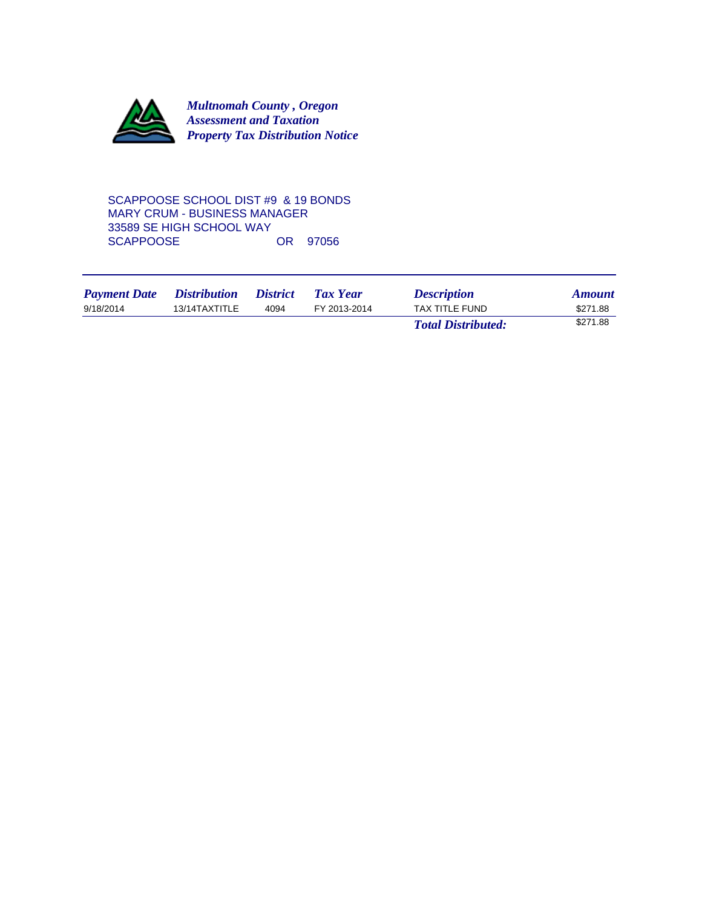

SCAPPOOSE SCHOOL DIST #9 & 19 BONDS MARY CRUM - BUSINESS MANAGER 33589 SE HIGH SCHOOL WAY SCAPPOOSE OR 97056

| <b>Payment Date</b> | <i>Distribution</i> | <i>District</i> | <b>Tax Year</b> | <b>Description</b>        | <b>Amount</b> |
|---------------------|---------------------|-----------------|-----------------|---------------------------|---------------|
| 9/18/2014           | 13/14TAXTITLE       | 4094            | FY 2013-2014    | <b>TAX TITLE FUND</b>     | \$271.88      |
|                     |                     |                 |                 | <b>Total Distributed:</b> | \$271.88      |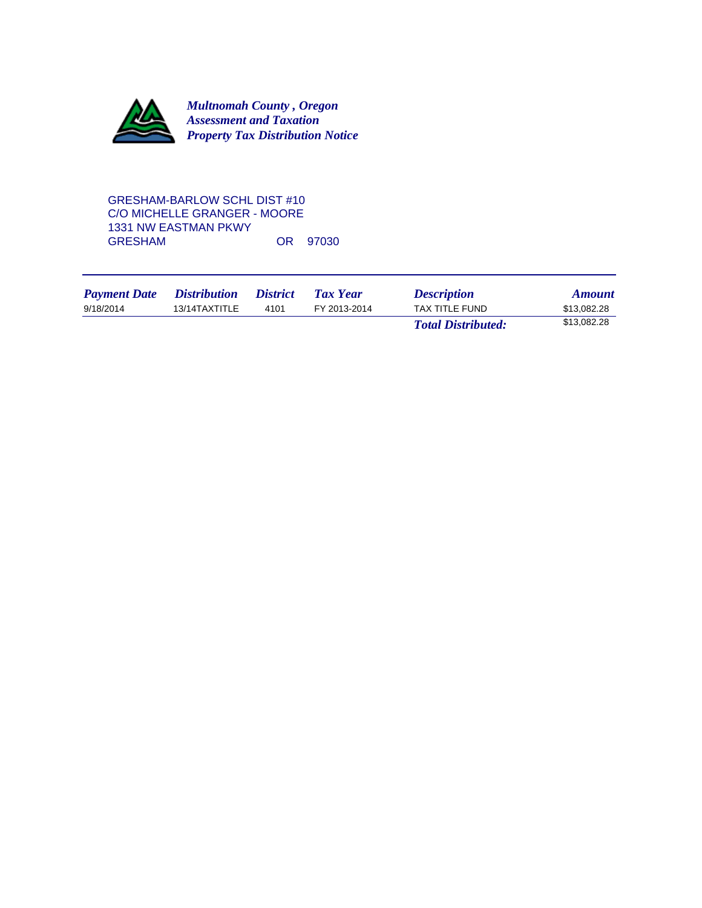

## GRESHAM-BARLOW SCHL DIST #10 C/O MICHELLE GRANGER - MOORE 1331 NW EASTMAN PKWY OR 97030

| <b>Payment Date</b> | <i>Distribution</i> | <i>District</i> | Tax Year     | <b>Description</b>        | <b>Amount</b> |
|---------------------|---------------------|-----------------|--------------|---------------------------|---------------|
| 9/18/2014           | 13/14TAXTITLE       | 4101            | FY 2013-2014 | TAX TITLE FUND            | \$13,082.28   |
|                     |                     |                 |              | <b>Total Distributed:</b> | \$13,082.28   |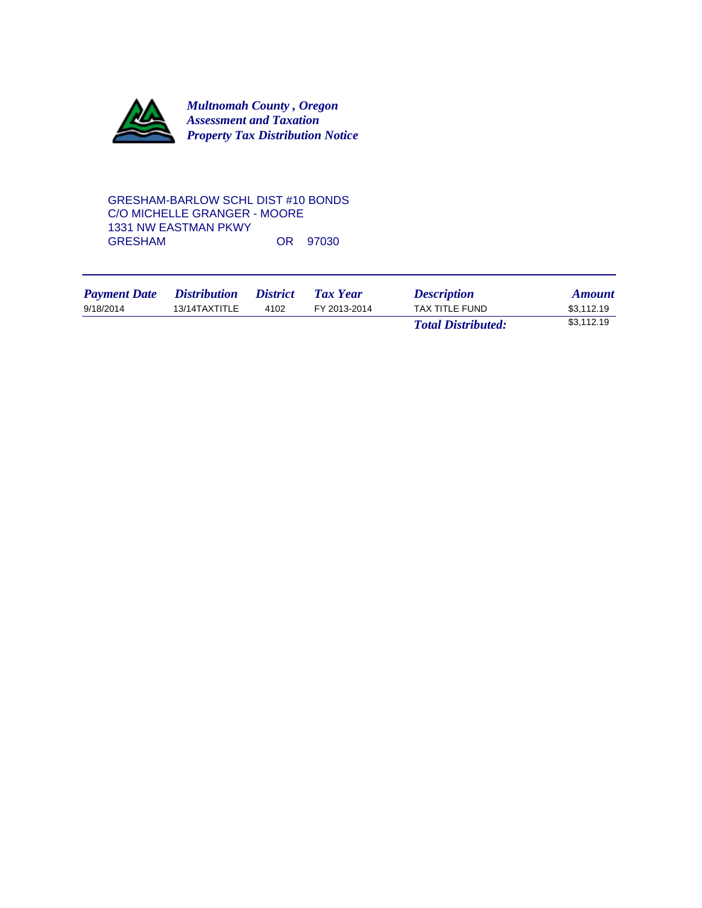

GRESHAM-BARLOW SCHL DIST #10 BONDS C/O MICHELLE GRANGER - MOORE 1331 NW EASTMAN PKWY OR 97030

| <b>Payment Date</b> | <i>Distribution</i> | <i>District</i> | <b>Tax Year</b> | <b>Description</b>        | <b>Amount</b> |
|---------------------|---------------------|-----------------|-----------------|---------------------------|---------------|
| 9/18/2014           | 13/14TAXTITLE       | 4102            | FY 2013-2014    | TAX TITLE FUND            | \$3.112.19    |
|                     |                     |                 |                 | <b>Total Distributed:</b> | \$3,112.19    |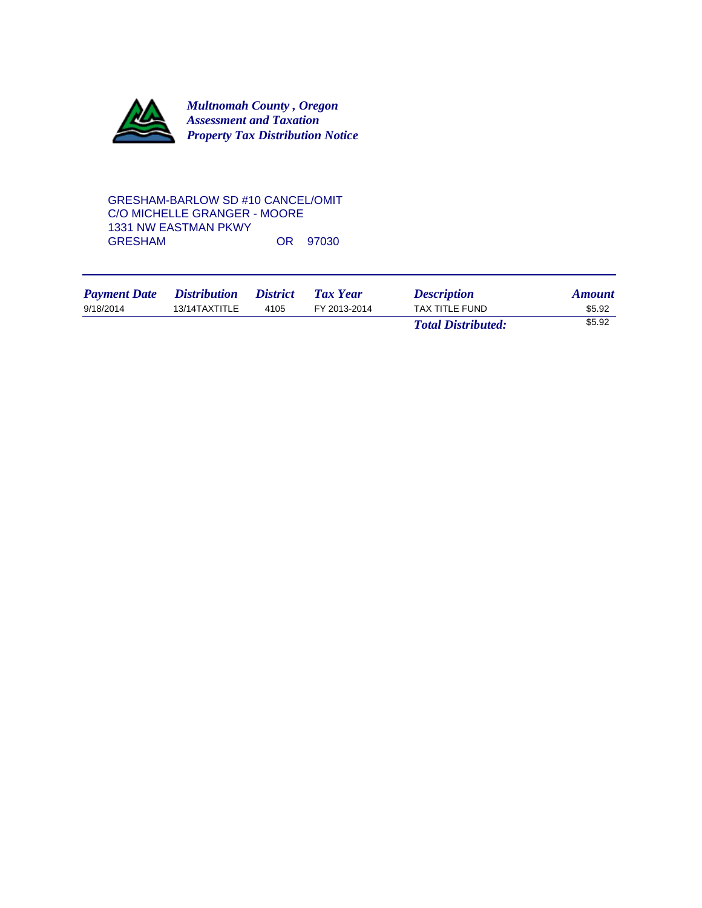

### GRESHAM-BARLOW SD #10 CANCEL/OMIT C/O MICHELLE GRANGER - MOORE 1331 NW EASTMAN PKWY OR 97030

| <b>Payment Date</b> | <i><b>Distribution</b></i> | <i><b>District</b></i> | Tax Year     | <b>Description</b>        | <b>Amount</b> |
|---------------------|----------------------------|------------------------|--------------|---------------------------|---------------|
| 9/18/2014           | 13/14TAXTITLE              | 4105                   | FY 2013-2014 | TAX TITLE FUND            | \$5.92        |
|                     |                            |                        |              | <b>Total Distributed:</b> | \$5.92        |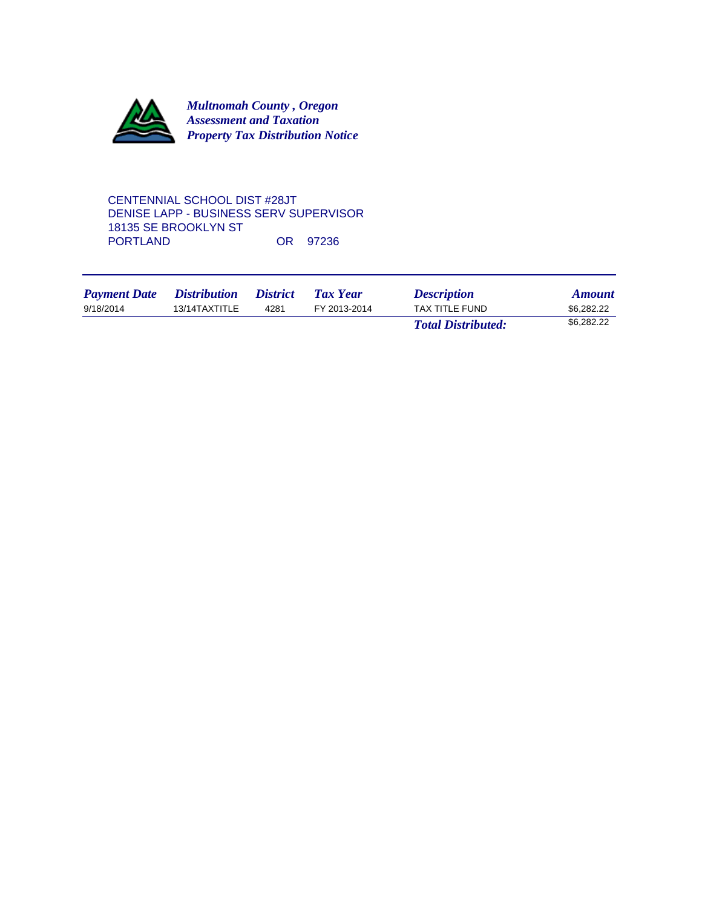

CENTENNIAL SCHOOL DIST #28JT DENISE LAPP - BUSINESS SERV SUPERVISOR 18135 SE BROOKLYN ST OR 97236

| <b>Payment Date</b> | <i>Distribution</i> | <i>District</i> | <b>Tax Year</b> | <b>Description</b>        | <b>Amount</b> |
|---------------------|---------------------|-----------------|-----------------|---------------------------|---------------|
| 9/18/2014           | 13/14TAXTITLE       | 4281            | FY 2013-2014    | TAX TITLE FUND            | \$6,282,22    |
|                     |                     |                 |                 | <b>Total Distributed:</b> | \$6,282.22    |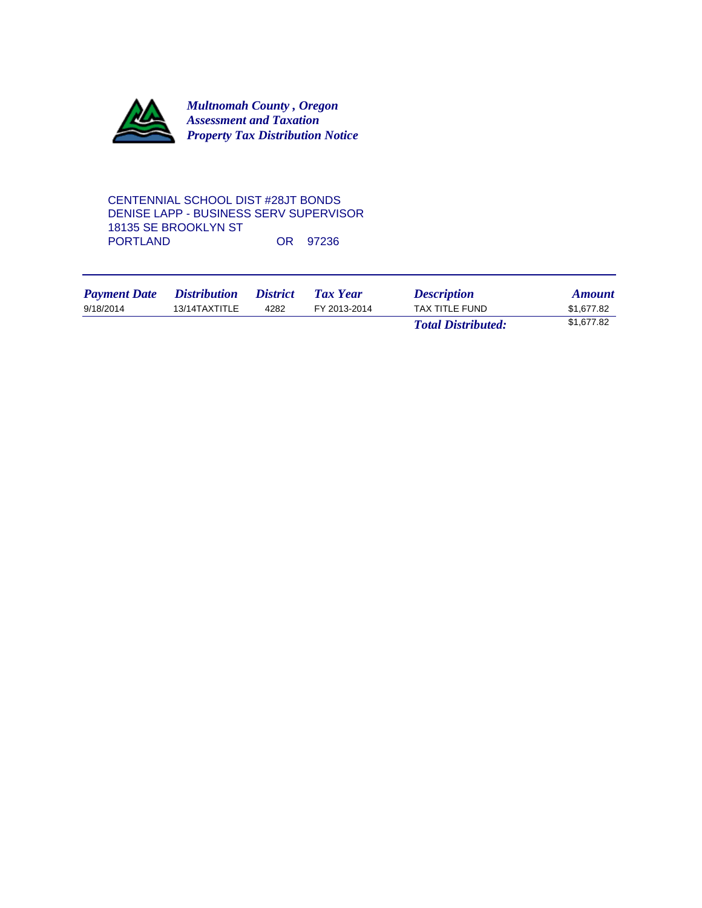

## CENTENNIAL SCHOOL DIST #28JT BONDS DENISE LAPP - BUSINESS SERV SUPERVISOR 18135 SE BROOKLYN ST OR 97236

| <b>Payment Date</b> | <i>Distribution</i> | <i>District</i> | <b>Tax Year</b> | <b>Description</b>        | <b>Amount</b> |
|---------------------|---------------------|-----------------|-----------------|---------------------------|---------------|
| 9/18/2014           | 13/14TAXTITLE       | 4282            | FY 2013-2014    | <b>TAX TITLE FUND</b>     | \$1.677.82    |
|                     |                     |                 |                 | <b>Total Distributed:</b> | \$1,677.82    |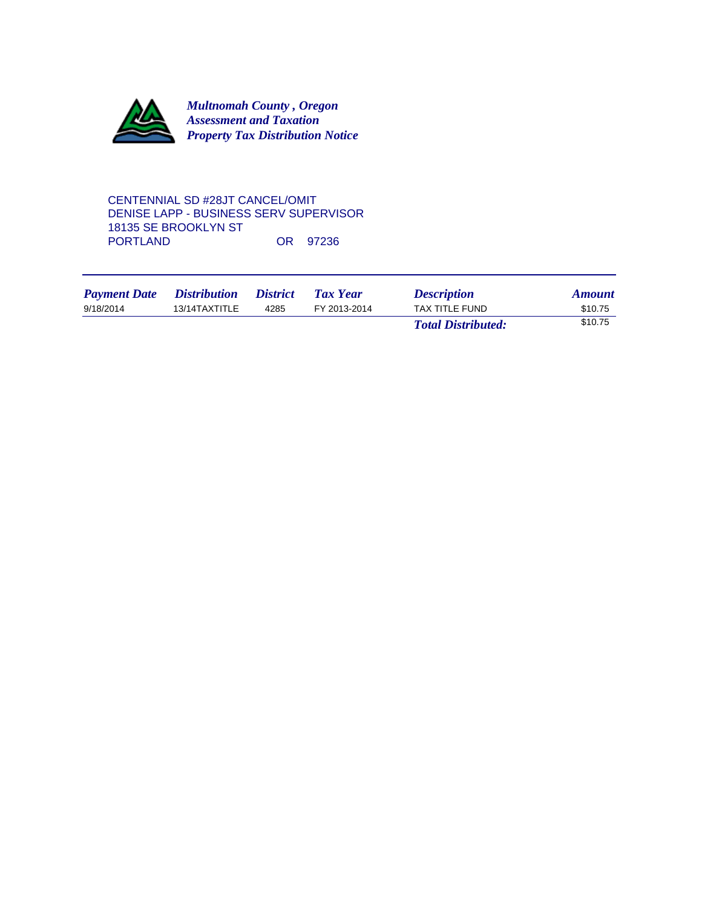

CENTENNIAL SD #28JT CANCEL/OMIT DENISE LAPP - BUSINESS SERV SUPERVISOR 18135 SE BROOKLYN ST OR 97236

| <b>Payment Date</b> | <i><b>Distribution</b></i> | <i>District</i> | <b>Tax Year</b> | <b>Description</b>        | <b>Amount</b> |
|---------------------|----------------------------|-----------------|-----------------|---------------------------|---------------|
| 9/18/2014           | 13/14TAXTITLE              | 4285            | FY 2013-2014    | TAX TITLE FUND            | \$10.75       |
|                     |                            |                 |                 | <b>Total Distributed:</b> | \$10.75       |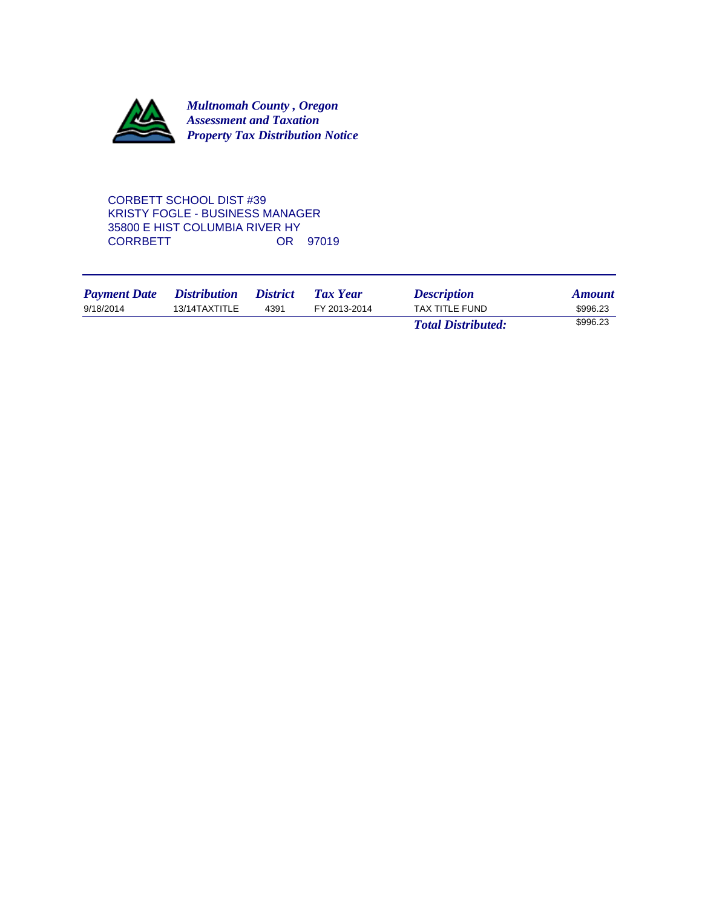

CORBETT SCHOOL DIST #39 KRISTY FOGLE - BUSINESS MANAGER 35800 E HIST COLUMBIA RIVER HY **CORRBETT** 

| <b>Payment Date</b> | <i>Distribution</i> | <i>District</i> | Tax Year     | <b>Description</b>        | <b>Amount</b> |
|---------------------|---------------------|-----------------|--------------|---------------------------|---------------|
| 9/18/2014           | 13/14TAXTITLE       | 4391            | FY 2013-2014 | TAX TITLE FUND            | \$996.23      |
|                     |                     |                 |              | <b>Total Distributed:</b> | \$996.23      |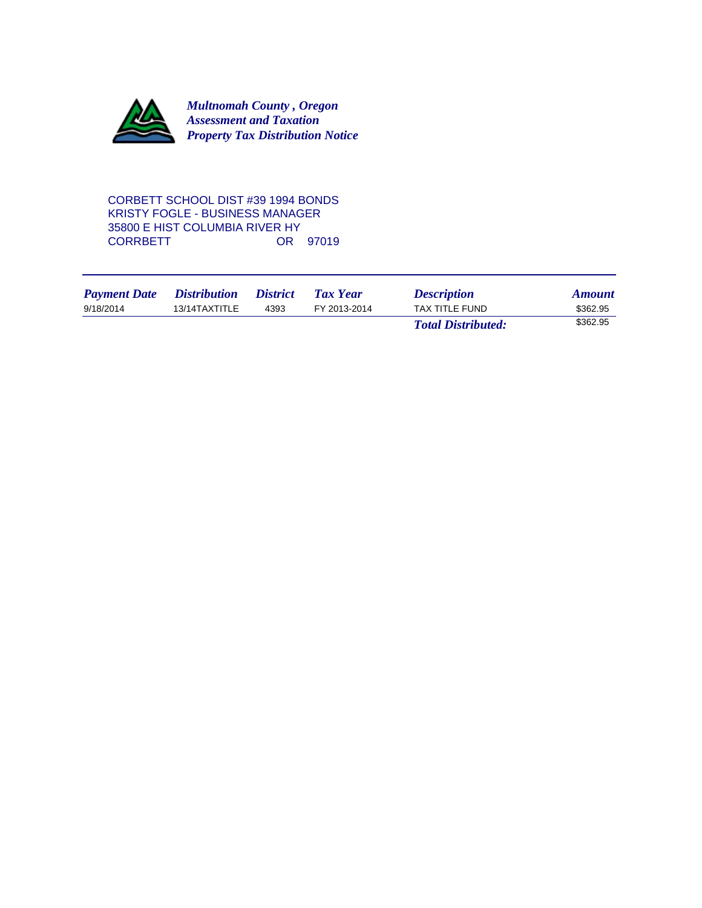

CORBETT SCHOOL DIST #39 1994 BONDS KRISTY FOGLE - BUSINESS MANAGER 35800 E HIST COLUMBIA RIVER HY **CORRBETT** 

| <b>Payment Date</b> | <i>Distribution</i> | <i><b>District</b></i> | Tax Year     | <b>Description</b>        | <b>Amount</b> |
|---------------------|---------------------|------------------------|--------------|---------------------------|---------------|
| 9/18/2014           | 13/14TAXTITLE       | 4393                   | FY 2013-2014 | TAX TITLE FUND            | \$362.95      |
|                     |                     |                        |              | <b>Total Distributed:</b> | \$362.95      |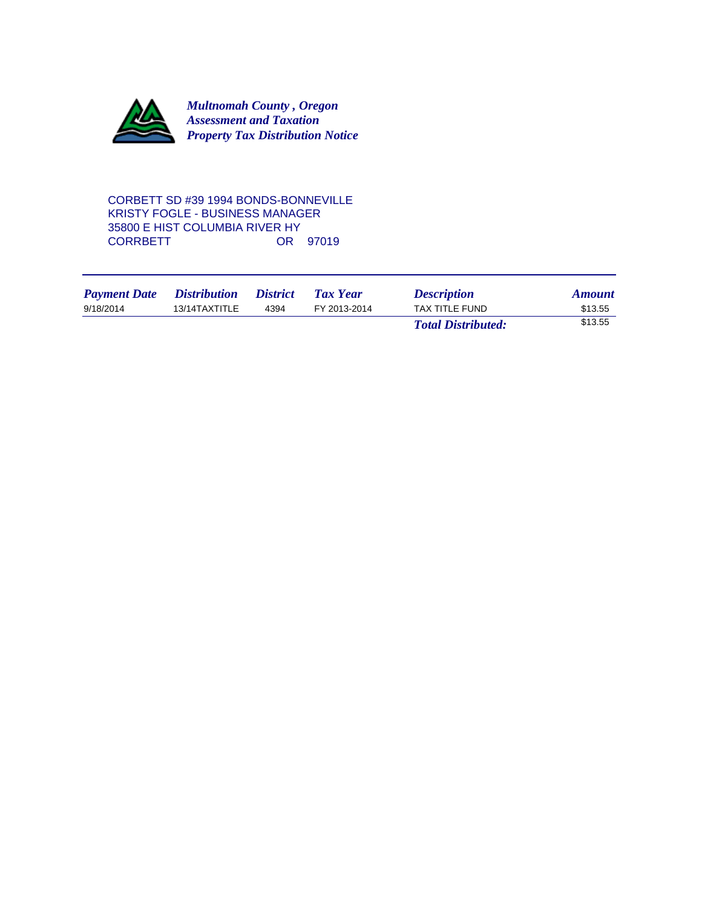

CORBETT SD #39 1994 BONDS-BONNEVILLE KRISTY FOGLE - BUSINESS MANAGER 35800 E HIST COLUMBIA RIVER HY **CORRBETT** 

| <b>Payment Date</b> | <i><b>Distribution</b></i> | <i><b>District</b></i> | <b>Tax Year</b> | <b>Description</b>        | <b>Amount</b> |
|---------------------|----------------------------|------------------------|-----------------|---------------------------|---------------|
| 9/18/2014           | 13/14TAXTITLE              | 4394                   | FY 2013-2014    | TAX TITLE FUND            | \$13.55       |
|                     |                            |                        |                 | <b>Total Distributed:</b> | \$13.55       |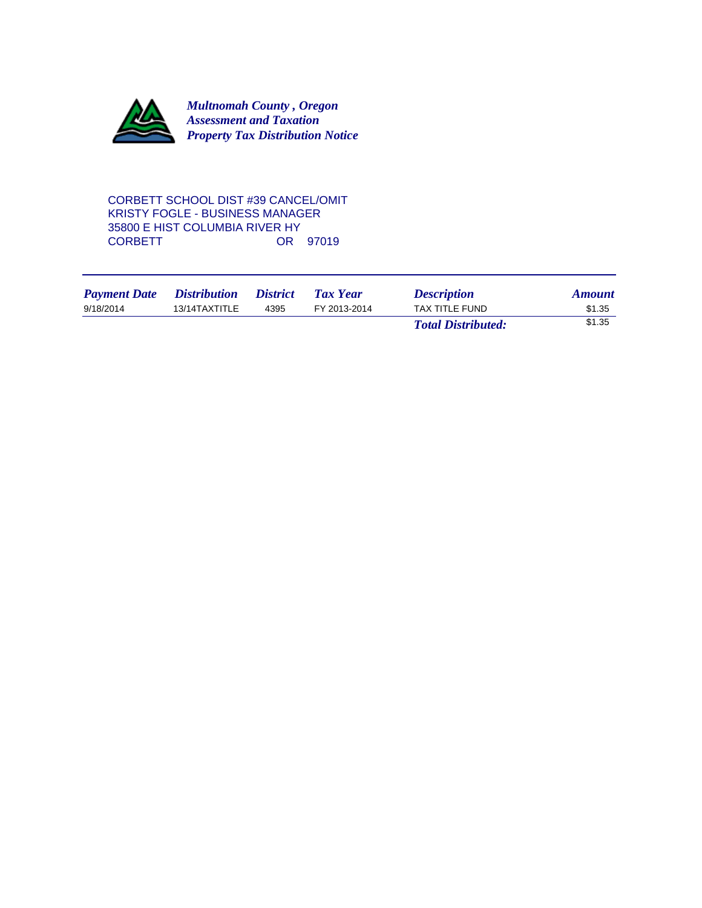

CORBETT SCHOOL DIST #39 CANCEL/OMIT KRISTY FOGLE - BUSINESS MANAGER 35800 E HIST COLUMBIA RIVER HY OR 97019

| <b>Payment Date</b> | <i><b>Distribution</b></i> | <i>District</i> | <b>Tax Year</b> | <b>Description</b>        | <b>Amount</b> |
|---------------------|----------------------------|-----------------|-----------------|---------------------------|---------------|
| 9/18/2014           | 13/14TAXTITLE              | 4395            | FY 2013-2014    | TAX TITLE FUND            | \$1.35        |
|                     |                            |                 |                 | <b>Total Distributed:</b> | \$1.35        |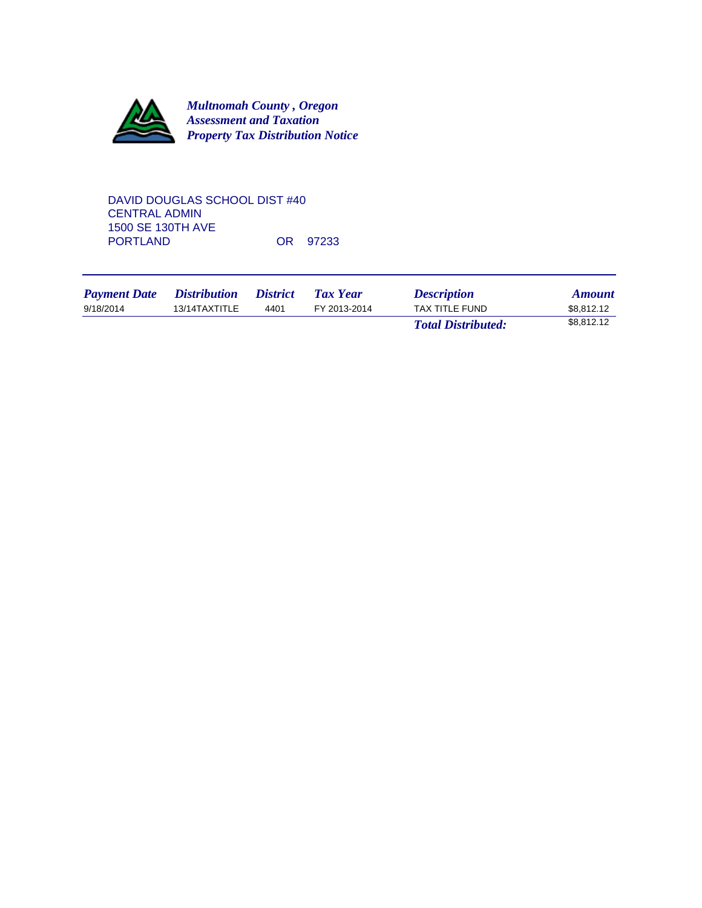

DAVID DOUGLAS SCHOOL DIST #40 CENTRAL ADMIN 1500 SE 130TH AVE OR 97233

| <b>Payment Date</b> | <i>Distribution</i> | <i>District</i> | Tax Year     | <b>Description</b>        | <b>Amount</b> |
|---------------------|---------------------|-----------------|--------------|---------------------------|---------------|
| 9/18/2014           | 13/14TAXTITLE       | 4401            | FY 2013-2014 | TAX TITLE FUND            | \$8.812.12    |
|                     |                     |                 |              | <b>Total Distributed:</b> | \$8,812.12    |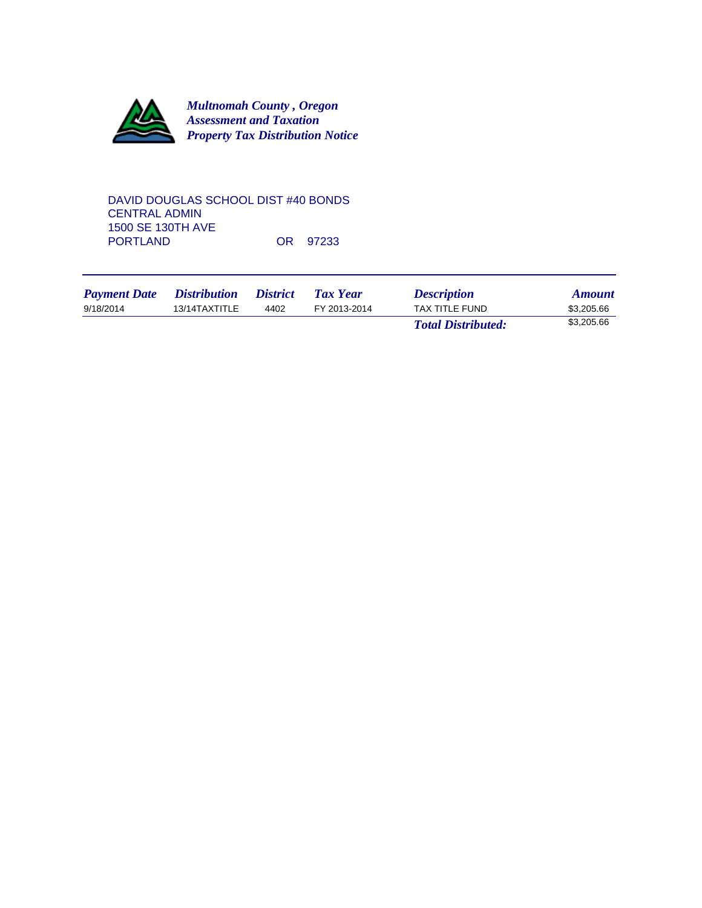

DAVID DOUGLAS SCHOOL DIST #40 BONDS CENTRAL ADMIN 1500 SE 130TH AVE OR 97233

| <b>Payment Date</b> | <i>Distribution</i> | <i>District</i> | Tax Year     | <b>Description</b>        | <b>Amount</b> |
|---------------------|---------------------|-----------------|--------------|---------------------------|---------------|
| 9/18/2014           | 13/14TAXTITLE       | 4402            | FY 2013-2014 | TAX TITLE FUND            | \$3,205.66    |
|                     |                     |                 |              | <b>Total Distributed:</b> | \$3,205.66    |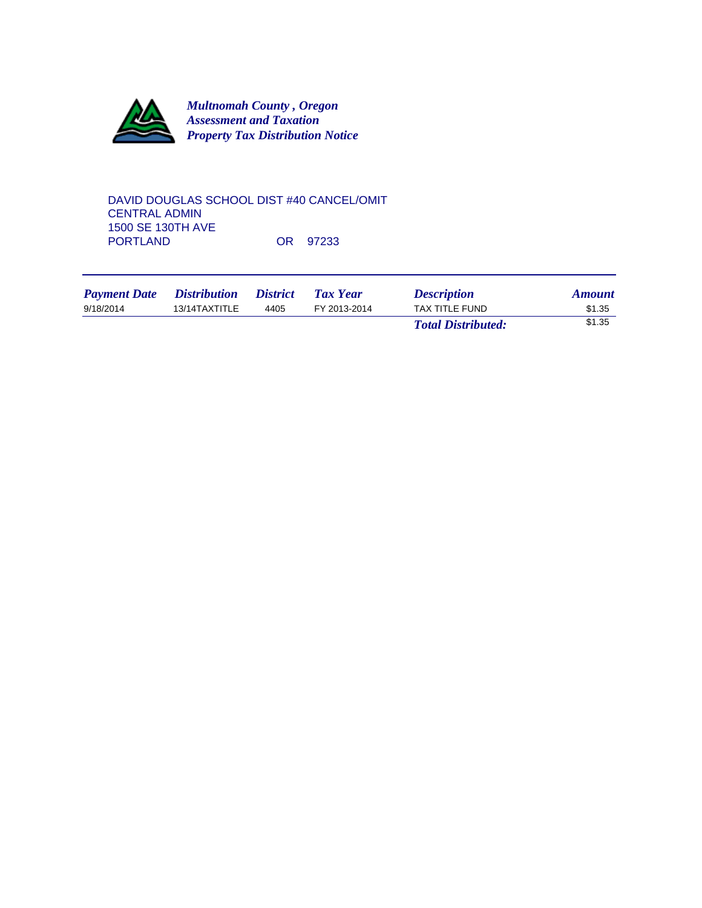

DAVID DOUGLAS SCHOOL DIST #40 CANCEL/OMIT CENTRAL ADMIN 1500 SE 130TH AVE OR 97233

| <b>Payment Date</b> | <i>Distribution</i> | <i><b>District</b></i> | <b>Tax Year</b> | <b>Description</b>        | <b>Amount</b> |
|---------------------|---------------------|------------------------|-----------------|---------------------------|---------------|
| 9/18/2014           | 13/14TAXTITLE       | 4405                   | FY 2013-2014    | TAX TITLE FUND            | \$1.35        |
|                     |                     |                        |                 | <b>Total Distributed:</b> | \$1.35        |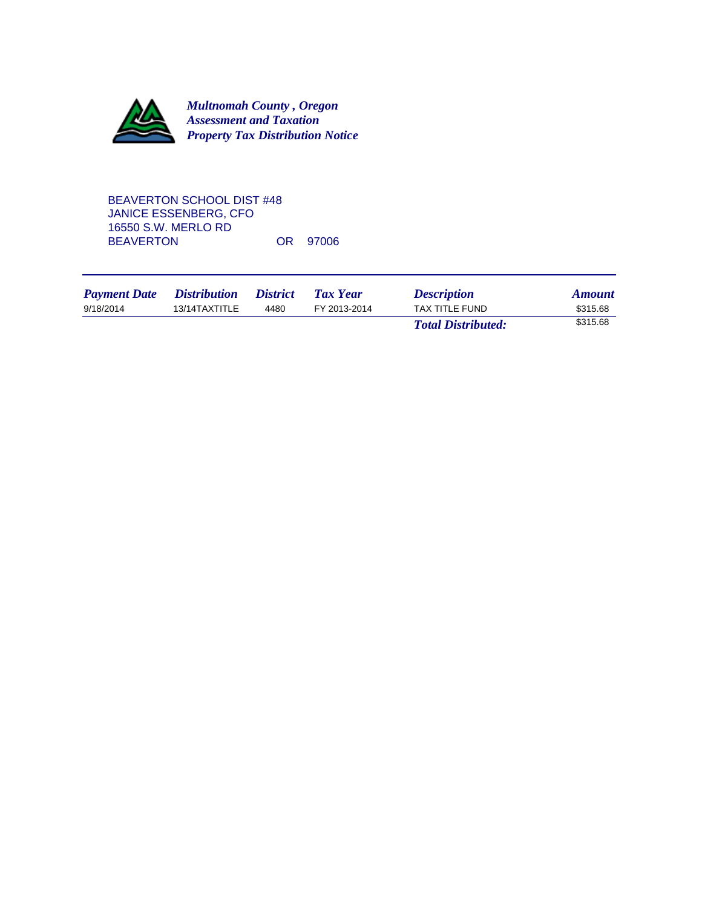

## BEAVERTON SCHOOL DIST #48 JANICE ESSENBERG, CFO 16550 S.W. MERLO RD BEAVERTON OR 97006

| <b>Payment Date</b> | <i>Distribution</i> | <i><b>District</b></i> | <b>Tax Year</b> | <b>Description</b>        | <b>Amount</b> |
|---------------------|---------------------|------------------------|-----------------|---------------------------|---------------|
| 9/18/2014           | 13/14TAXTITLE       | 4480                   | FY 2013-2014    | TAX TITLE FUND            | \$315.68      |
|                     |                     |                        |                 | <b>Total Distributed:</b> | \$315.68      |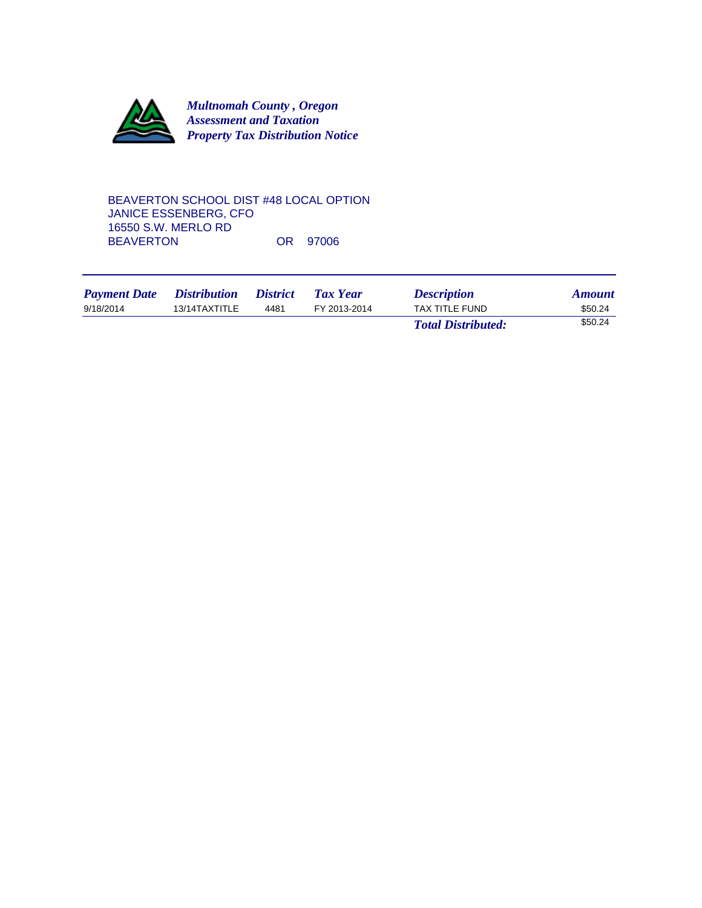

BEAVERTON SCHOOL DIST #48 LOCAL OPTION JANICE ESSENBERG, CFO 16550 S.W. MERLO RD BEAVERTON OR 97006

| <b>Payment Date</b> | <i>Distribution</i> | <i><b>District</b></i> | Tax Year     | <b>Description</b>        | <b>Amount</b> |
|---------------------|---------------------|------------------------|--------------|---------------------------|---------------|
| 9/18/2014           | 13/14TAXTITLE       | 4481                   | FY 2013-2014 | TAX TITLE FUND            | \$50.24       |
|                     |                     |                        |              | <b>Total Distributed:</b> | \$50.24       |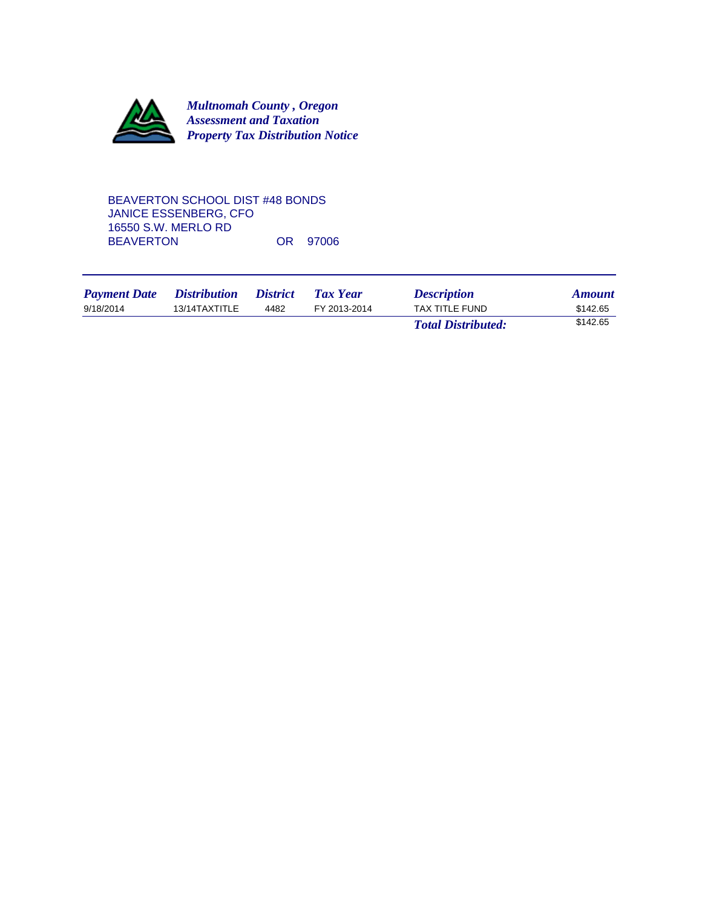

### BEAVERTON SCHOOL DIST #48 BONDS JANICE ESSENBERG, CFO 16550 S.W. MERLO RD BEAVERTON OR 97006

| <b>Payment Date</b> | <i>Distribution</i> | <i>District</i> | Tax Year     | <b>Description</b>        | <b>Amount</b> |
|---------------------|---------------------|-----------------|--------------|---------------------------|---------------|
| 9/18/2014           | 13/14TAXTITLE       | 4482            | FY 2013-2014 | TAX TITLE FUND            | \$142.65      |
|                     |                     |                 |              | <b>Total Distributed:</b> | \$142.65      |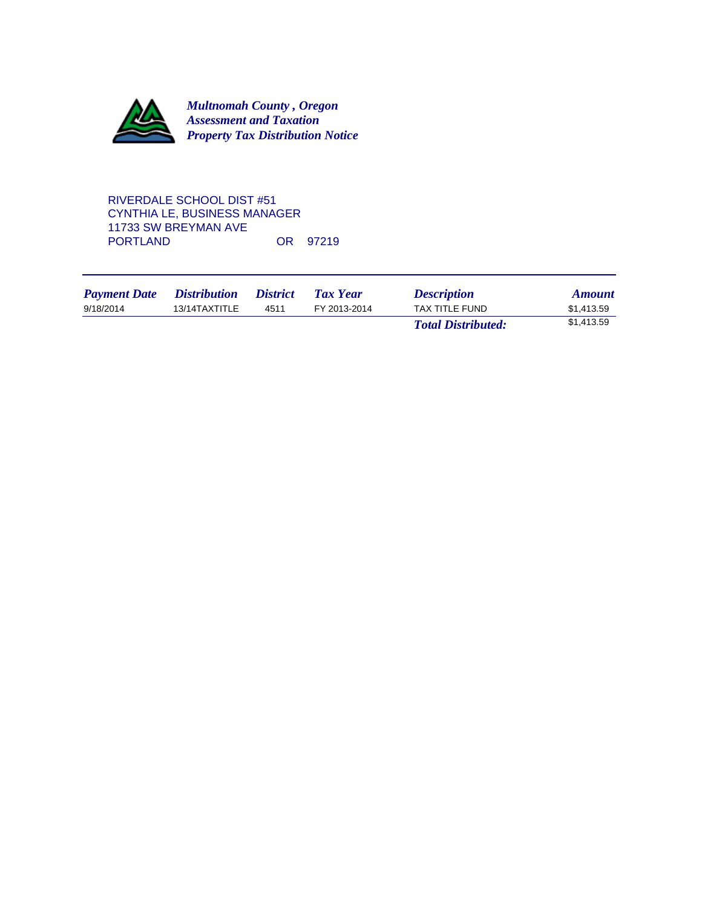

# RIVERDALE SCHOOL DIST #51 CYNTHIA LE, BUSINESS MANAGER 11733 SW BREYMAN AVE OR 97219

| <b>Payment Date</b> | <i>Distribution</i> | <i>District</i> | Tax Year     | <b>Description</b>        | <b>Amount</b> |
|---------------------|---------------------|-----------------|--------------|---------------------------|---------------|
| 9/18/2014           | 13/14TAXTITLE       | 4511            | FY 2013-2014 | TAX TITLE FUND            | \$1,413.59    |
|                     |                     |                 |              | <b>Total Distributed:</b> | \$1,413.59    |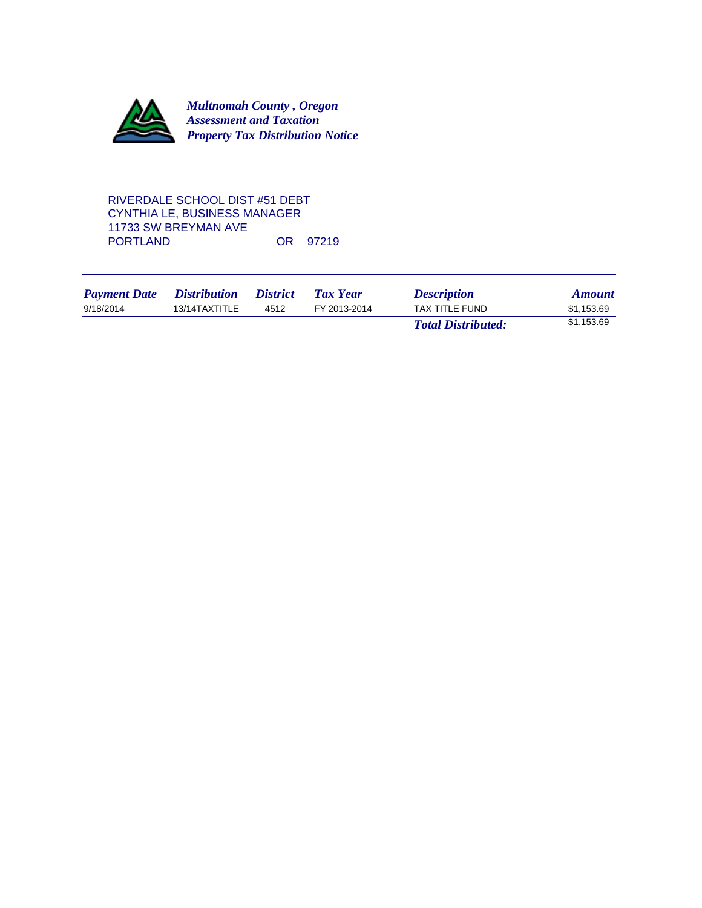

## RIVERDALE SCHOOL DIST #51 DEBT CYNTHIA LE, BUSINESS MANAGER 11733 SW BREYMAN AVE OR 97219

| <b>Payment Date</b> | <i>Distribution</i> | <i>District</i> | <b>Tax Year</b> | <b>Description</b>        | <b>Amount</b> |
|---------------------|---------------------|-----------------|-----------------|---------------------------|---------------|
| 9/18/2014           | 13/14TAXTITLE       | 4512            | FY 2013-2014    | <b>TAX TITLE FUND</b>     | \$1.153.69    |
|                     |                     |                 |                 | <b>Total Distributed:</b> | \$1,153.69    |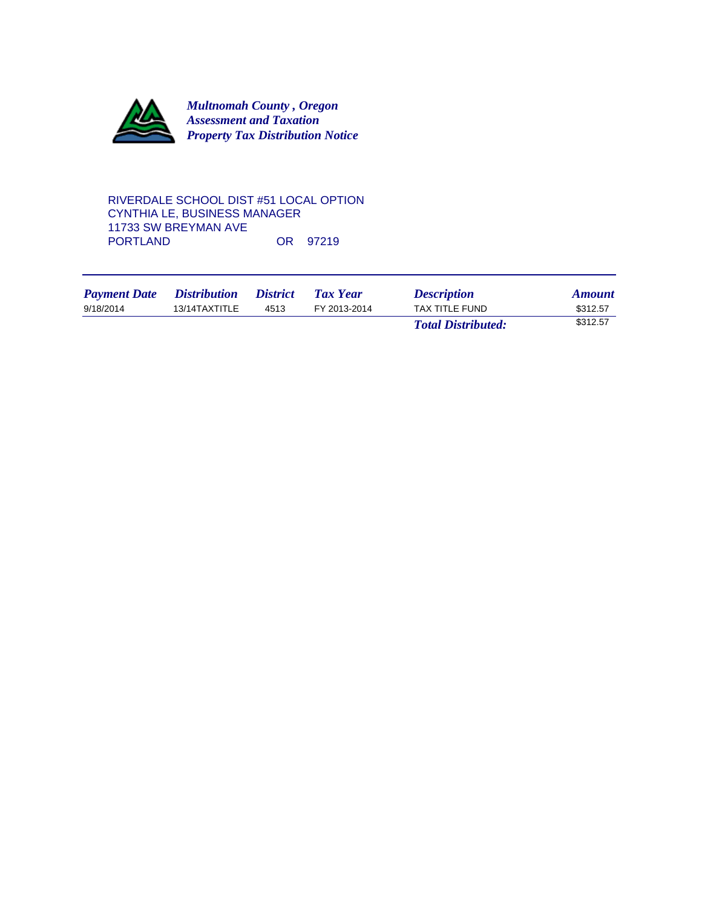

### RIVERDALE SCHOOL DIST #51 LOCAL OPTION CYNTHIA LE, BUSINESS MANAGER 11733 SW BREYMAN AVE OR 97219

| <b>Payment Date</b> | <i>Distribution</i> | <i><b>District</b></i> | Tax Year     | <b>Description</b>        | <b>Amount</b> |
|---------------------|---------------------|------------------------|--------------|---------------------------|---------------|
| 9/18/2014           | 13/14TAXTITLE       | 4513                   | FY 2013-2014 | <b>TAX TITLE FUND</b>     | \$312.57      |
|                     |                     |                        |              | <b>Total Distributed:</b> | \$312.57      |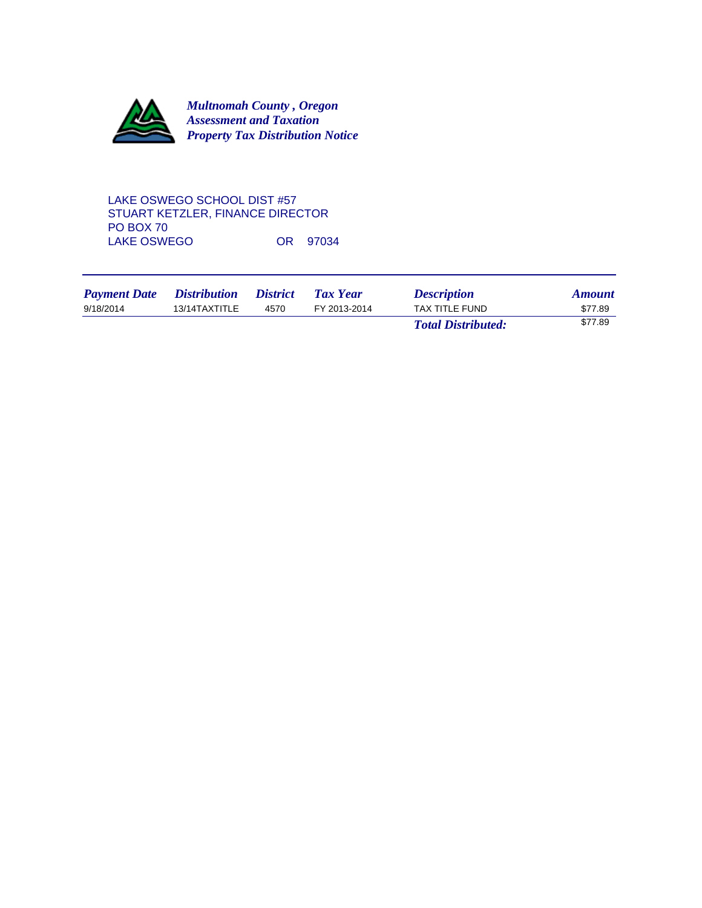

# LAKE OSWEGO SCHOOL DIST #57 STUART KETZLER, FINANCE DIRECTOR PO BOX 70 LAKE OSWEGO OR 97034

| <b>Payment Date</b> | <i>Distribution</i> | <i><b>District</b></i> | Tax Year     | <b>Description</b>        | <b>Amount</b> |
|---------------------|---------------------|------------------------|--------------|---------------------------|---------------|
| 9/18/2014           | 13/14TAXTITLE       | 4570                   | FY 2013-2014 | TAX TITLE FUND            | \$77.89       |
|                     |                     |                        |              | <b>Total Distributed:</b> | \$77.89       |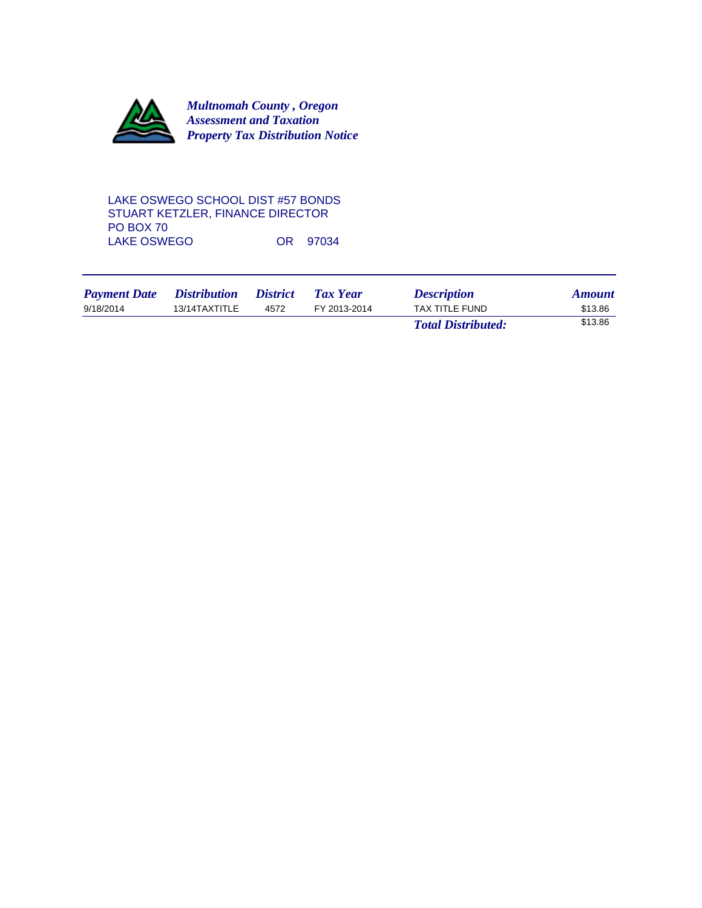

## LAKE OSWEGO SCHOOL DIST #57 BONDS STUART KETZLER, FINANCE DIRECTOR PO BOX 70 LAKE OSWEGO OR 97034

| <b>Payment Date</b> | <i>Distribution</i> | <i><b>District</b></i> | Tax Year     | <b>Description</b>        | <b>Amount</b> |
|---------------------|---------------------|------------------------|--------------|---------------------------|---------------|
| 9/18/2014           | 13/14TAXTITLE       | 4572                   | FY 2013-2014 | TAX TITLE FUND            | \$13.86       |
|                     |                     |                        |              | <b>Total Distributed:</b> | \$13.86       |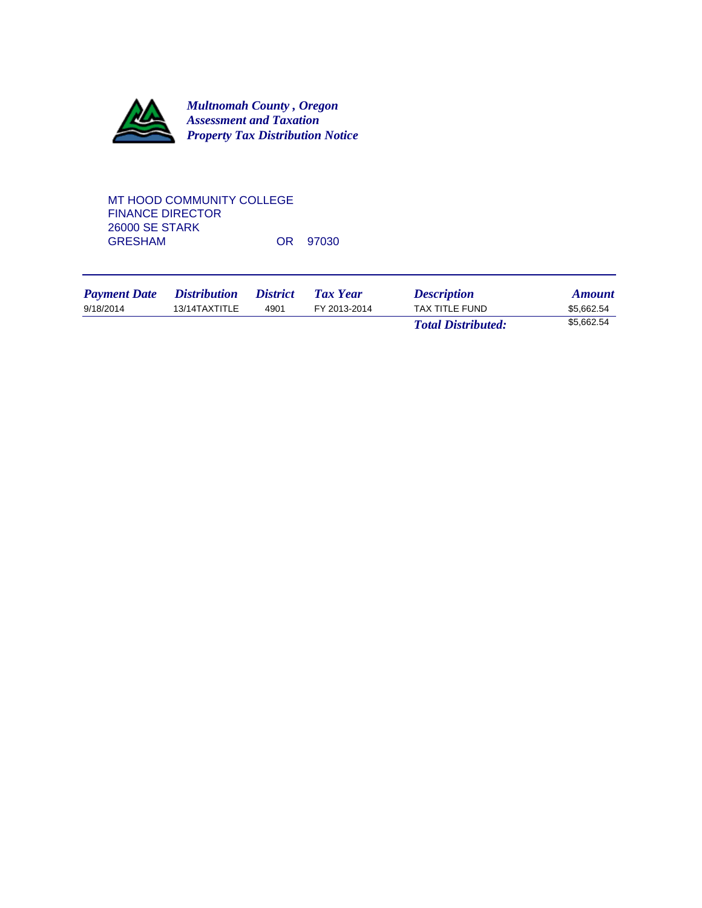

## MT HOOD COMMUNITY COLLEGE FINANCE DIRECTOR 26000 SE STARK OR 97030

| <b>Payment Date</b> | <i>Distribution</i> | <i>District</i> | Tax Year     | <b>Description</b>        | <b>Amount</b> |
|---------------------|---------------------|-----------------|--------------|---------------------------|---------------|
| 9/18/2014           | 13/14TAXTITLE       | 4901            | FY 2013-2014 | <b>TAX TITLE FUND</b>     | \$5.662.54    |
|                     |                     |                 |              | <b>Total Distributed:</b> | \$5.662.54    |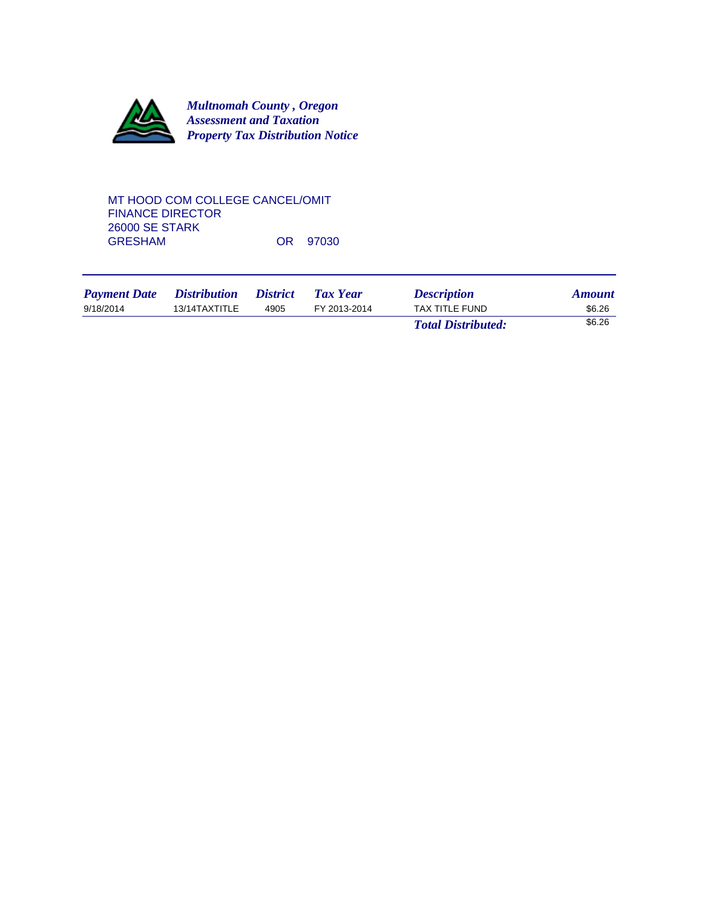

### MT HOOD COM COLLEGE CANCEL/OMIT FINANCE DIRECTOR 26000 SE STARK OR 97030

| <b>Payment Date</b> | <i>Distribution</i> | <i><b>District</b></i> | Tax Year     | <b>Description</b>        | <b>Amount</b> |
|---------------------|---------------------|------------------------|--------------|---------------------------|---------------|
| 9/18/2014           | 13/14TAXTITLE       | 4905                   | FY 2013-2014 | <b>TAX TITLE FUND</b>     | \$6.26        |
|                     |                     |                        |              | <b>Total Distributed:</b> | \$6.26        |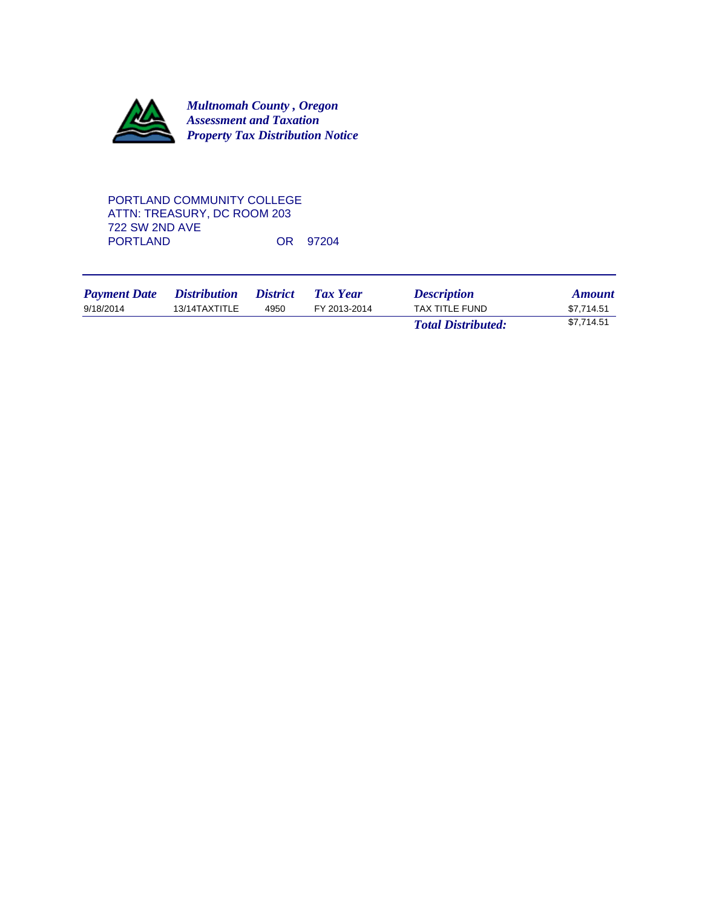

## PORTLAND COMMUNITY COLLEGE ATTN: TREASURY, DC ROOM 203 722 SW 2ND AVE OR 97204

| <b>Payment Date</b> | <i>Distribution</i> | <i><b>District</b></i> | Tax Year     | <b>Description</b>        | <b>Amount</b> |
|---------------------|---------------------|------------------------|--------------|---------------------------|---------------|
| 9/18/2014           | 13/14TAXTITLE       | 4950                   | FY 2013-2014 | TAX TITLE FUND            | \$7.714.51    |
|                     |                     |                        |              | <b>Total Distributed:</b> | \$7,714.51    |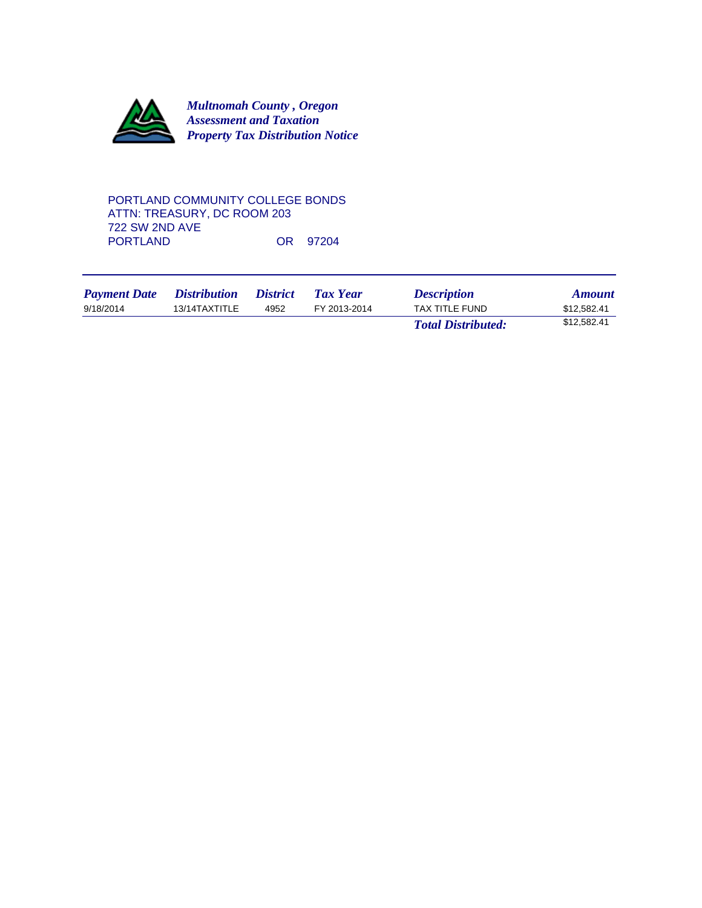

## PORTLAND COMMUNITY COLLEGE BONDS ATTN: TREASURY, DC ROOM 203 722 SW 2ND AVE OR 97204

| <b>Payment Date</b> | <i>Distribution</i> | <i><b>District</b></i> | Tax Year     | <b>Description</b>        | <b>Amount</b> |
|---------------------|---------------------|------------------------|--------------|---------------------------|---------------|
| 9/18/2014           | 13/14TAXTITLE       | 4952                   | FY 2013-2014 | TAX TITLE FUND            | \$12.582.41   |
|                     |                     |                        |              | <b>Total Distributed:</b> | \$12,582.41   |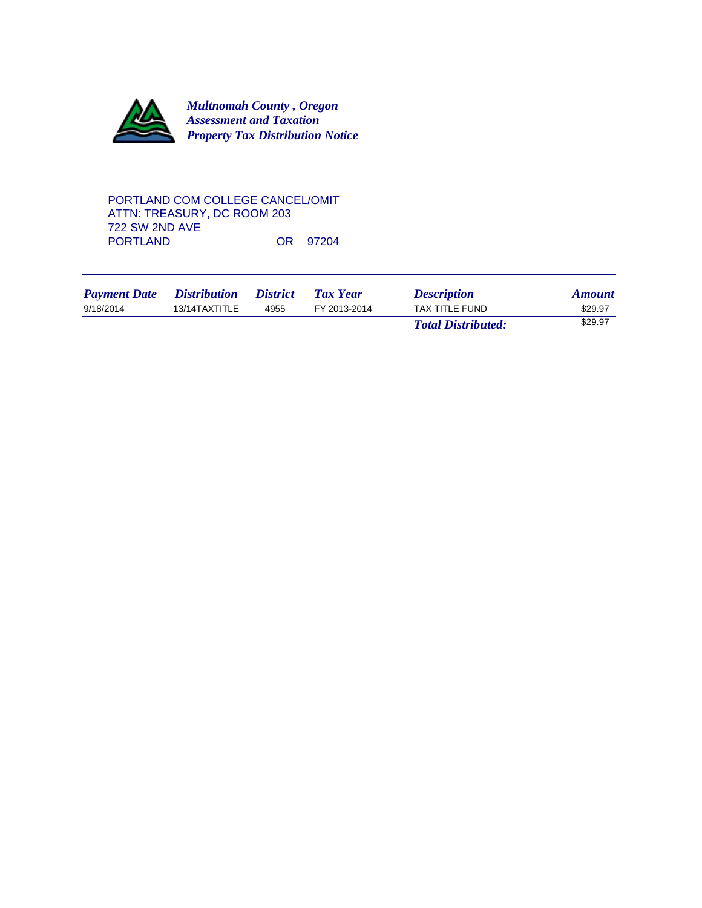

## PORTLAND COM COLLEGE CANCEL/OMIT ATTN: TREASURY, DC ROOM 203 722 SW 2ND AVE OR 97204

| <b>Payment Date</b> | <i>Distribution</i> | <i><b>District</b></i> | <b>Tax Year</b> | <b>Description</b>        | <b>Amount</b> |
|---------------------|---------------------|------------------------|-----------------|---------------------------|---------------|
| 9/18/2014           | 13/14TAXTITLE       | 4955                   | FY 2013-2014    | <b>TAX TITLE FUND</b>     | \$29.97       |
|                     |                     |                        |                 | <b>Total Distributed:</b> | \$29.97       |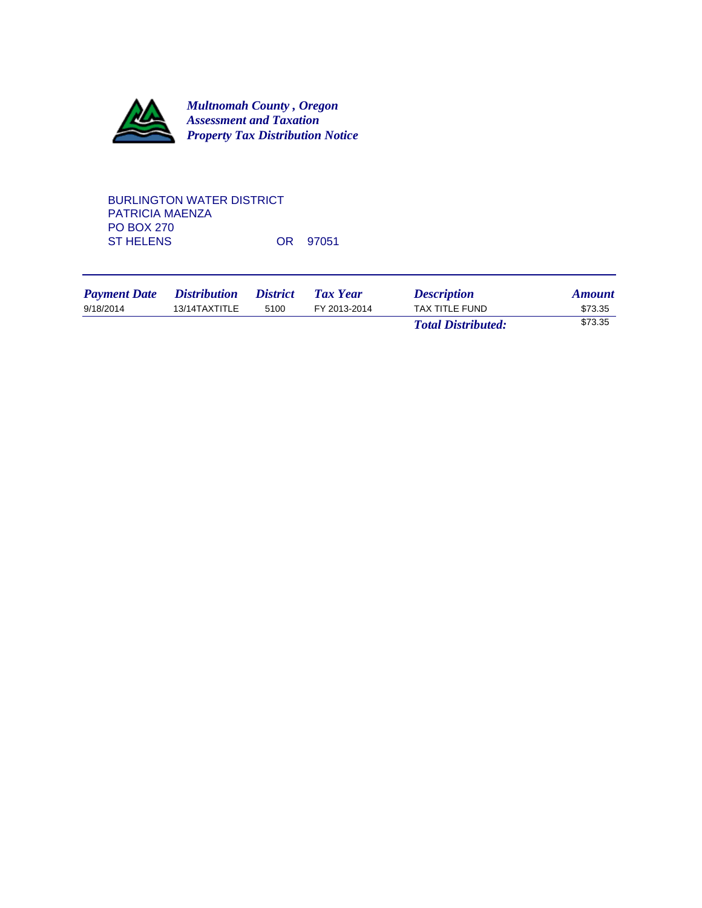

## BURLINGTON WATER DISTRICT PATRICIA MAENZA PO BOX 270<br>ST HELENS OR 97051

| <b>Payment Date</b> | <i>Distribution</i> | <i><b>District</b></i> | Tax Year     | <b>Description</b>        | <b>Amount</b> |
|---------------------|---------------------|------------------------|--------------|---------------------------|---------------|
| 9/18/2014           | 13/14TAXTITLE       | 5100                   | FY 2013-2014 | <b>TAX TITLE FUND</b>     | \$73.35       |
|                     |                     |                        |              | <b>Total Distributed:</b> | \$73.35       |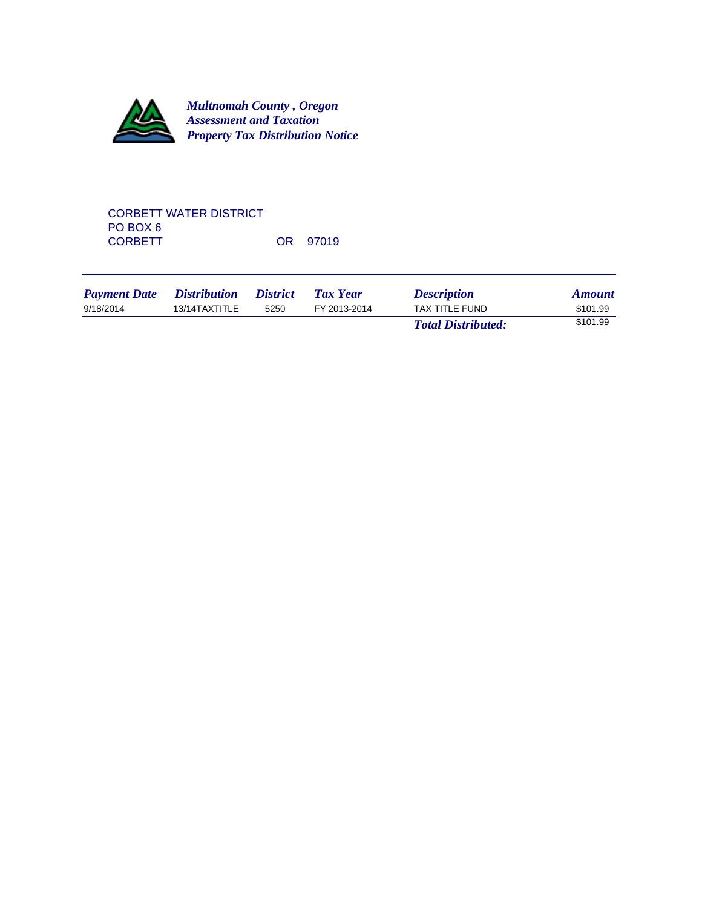

# CORBETT WATER DISTRICT PO BOX 6<br>CORBETT OR 97019

| <b>Payment Date</b> | <i>Distribution</i> | <i><b>District</b></i> | Tax Year     | <b>Description</b>        | <b>Amount</b> |
|---------------------|---------------------|------------------------|--------------|---------------------------|---------------|
| 9/18/2014           | 13/14TAXTITLE       | 5250                   | FY 2013-2014 | TAX TITLE FUND            | \$101.99      |
|                     |                     |                        |              | <b>Total Distributed:</b> | \$101.99      |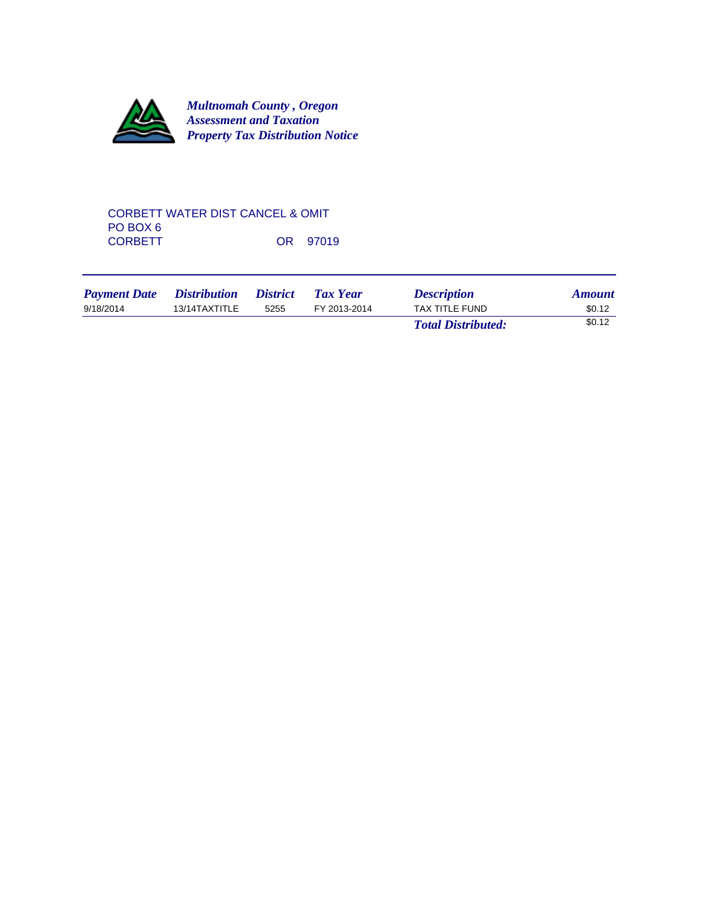

## CORBETT WATER DIST CANCEL & OMIT PO BOX 6<br>CORBETT OR 97019

| <b>Payment Date</b> | <i>Distribution</i> | <i><b>District</b></i> | <b>Tax Year</b> | <b>Description</b>        | <b>Amount</b> |
|---------------------|---------------------|------------------------|-----------------|---------------------------|---------------|
| 9/18/2014           | 13/14TAXTITLE       | 5255                   | FY 2013-2014    | TAX TITLE FUND            | \$0.12        |
|                     |                     |                        |                 | <b>Total Distributed:</b> | \$0.12        |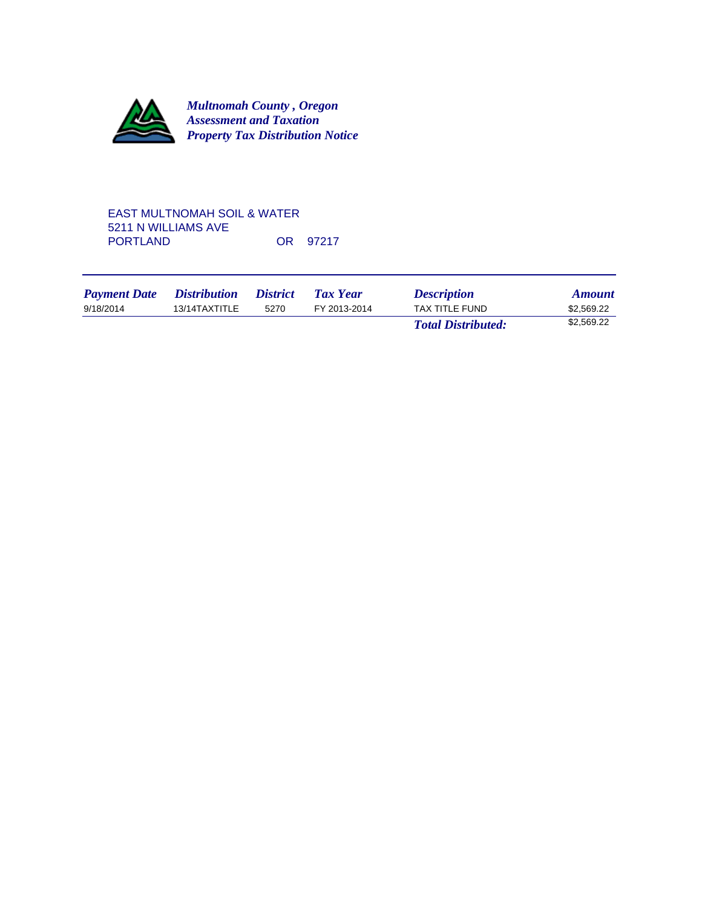

## EAST MULTNOMAH SOIL & WATER 5211 N WILLIAMS AVE OR 97217

| <b>Payment Date</b> | <i>Distribution</i> | <i>District</i> | Tax Year     | <b>Description</b>        | <b>Amount</b> |
|---------------------|---------------------|-----------------|--------------|---------------------------|---------------|
| 9/18/2014           | 13/14TAXTITLE       | 5270            | FY 2013-2014 | TAX TITLE FUND            | \$2,569.22    |
|                     |                     |                 |              | <b>Total Distributed:</b> | \$2,569.22    |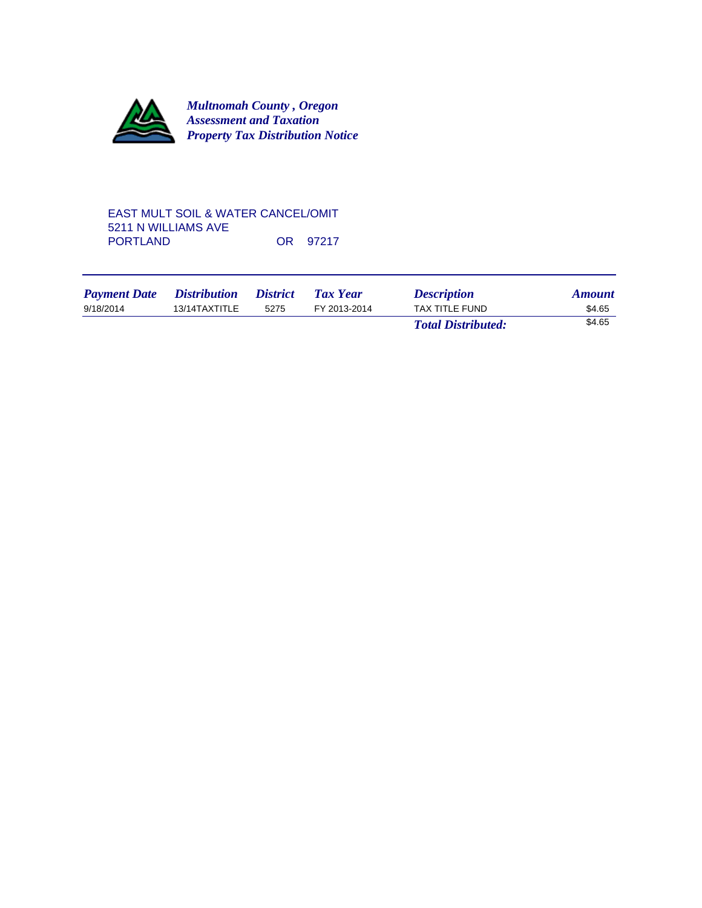

#### EAST MULT SOIL & WATER CANCEL/OMIT 5211 N WILLIAMS AVE OR 97217

| <b>Payment Date</b> | <i><b>Distribution</b></i> | <i>District</i> | <b>Tax Year</b> | <b>Description</b>        | <b>Amount</b> |
|---------------------|----------------------------|-----------------|-----------------|---------------------------|---------------|
| 9/18/2014           | 13/14TAXTITLE              | 5275            | FY 2013-2014    | TAX TITLE FUND            | \$4.65        |
|                     |                            |                 |                 | <b>Total Distributed:</b> | \$4.65        |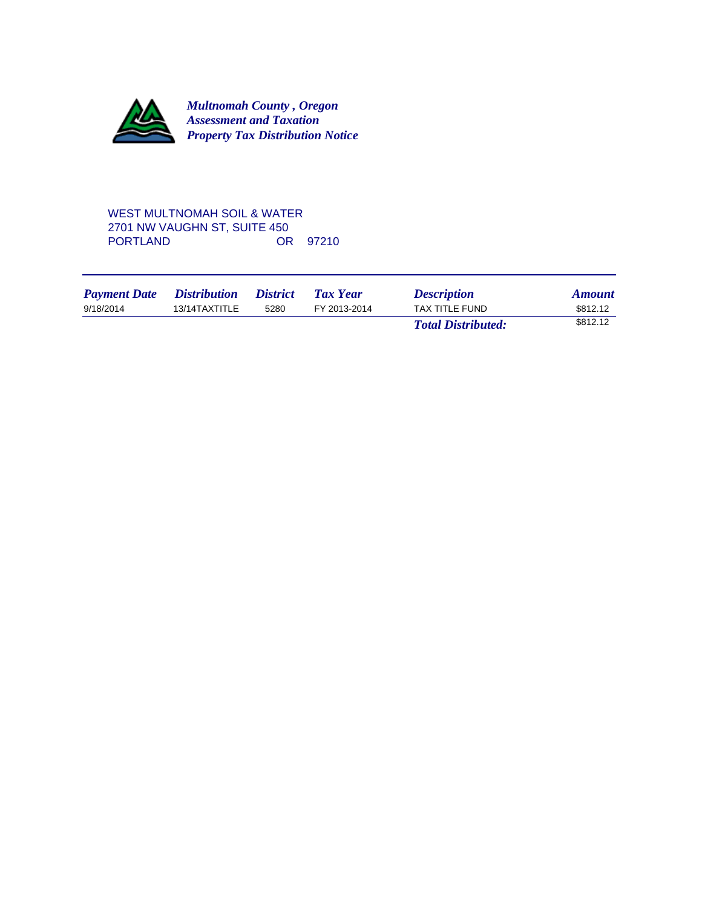

## WEST MULTNOMAH SOIL & WATER 2701 NW VAUGHN ST, SUITE 450 OR 97210

| <b>Payment Date</b> | <i>Distribution</i> | <i><b>District</b></i> | Tax Year     | <b>Description</b>        | <b>Amount</b> |
|---------------------|---------------------|------------------------|--------------|---------------------------|---------------|
| 9/18/2014           | 13/14TAXTITLE       | 5280                   | FY 2013-2014 | TAX TITLE FUND            | \$812.12      |
|                     |                     |                        |              | <b>Total Distributed:</b> | \$812.12      |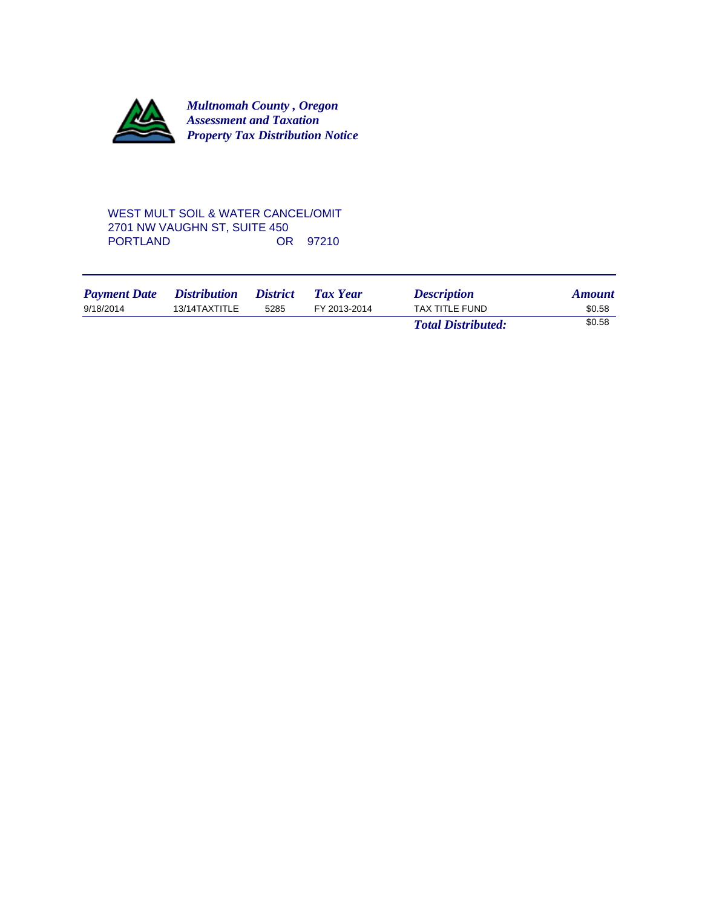

## WEST MULT SOIL & WATER CANCEL/OMIT 2701 NW VAUGHN ST, SUITE 450 OR 97210

| <b>Payment Date</b> | <i>Distribution</i> | <i><b>District</b></i> | Tax Year     | <b>Description</b>        | <b>Amount</b> |
|---------------------|---------------------|------------------------|--------------|---------------------------|---------------|
| 9/18/2014           | 13/14TAXTITLE       | 5285                   | FY 2013-2014 | TAX TITLE FUND            | \$0.58        |
|                     |                     |                        |              | <b>Total Distributed:</b> | \$0.58        |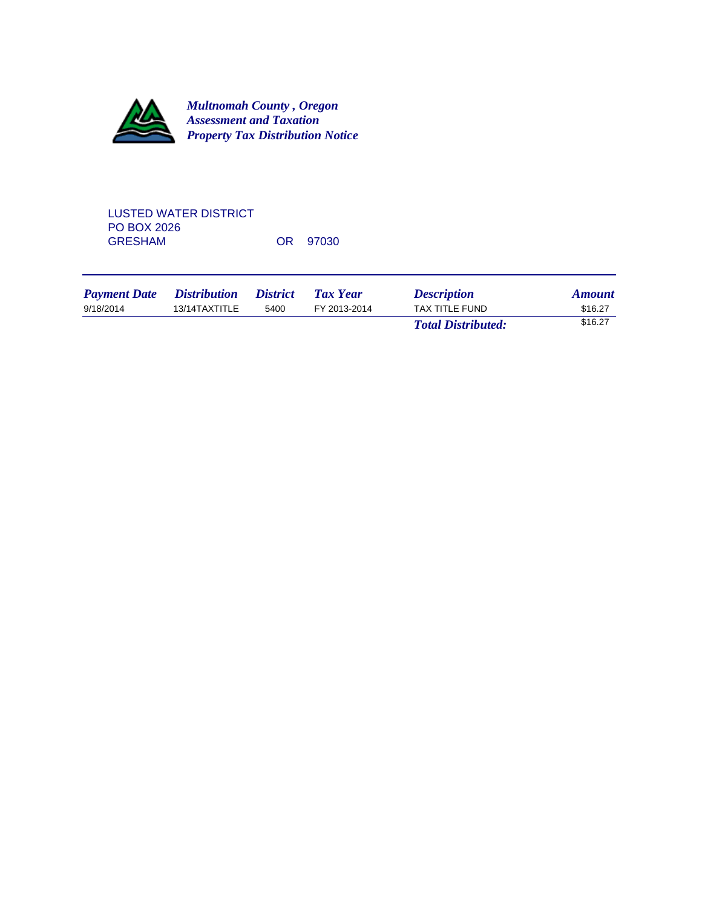

# LUSTED WATER DISTRICT PO BOX 2026<br>GRESHAM OR 97030

| <b>Payment Date</b> | <i>Distribution</i> | <i><b>District</b></i> | Tax Year     | <b>Description</b>        | <b>Amount</b> |
|---------------------|---------------------|------------------------|--------------|---------------------------|---------------|
| 9/18/2014           | 13/14TAXTITLE       | 5400                   | FY 2013-2014 | TAX TITLE FUND            | \$16.27       |
|                     |                     |                        |              | <b>Total Distributed:</b> | \$16.27       |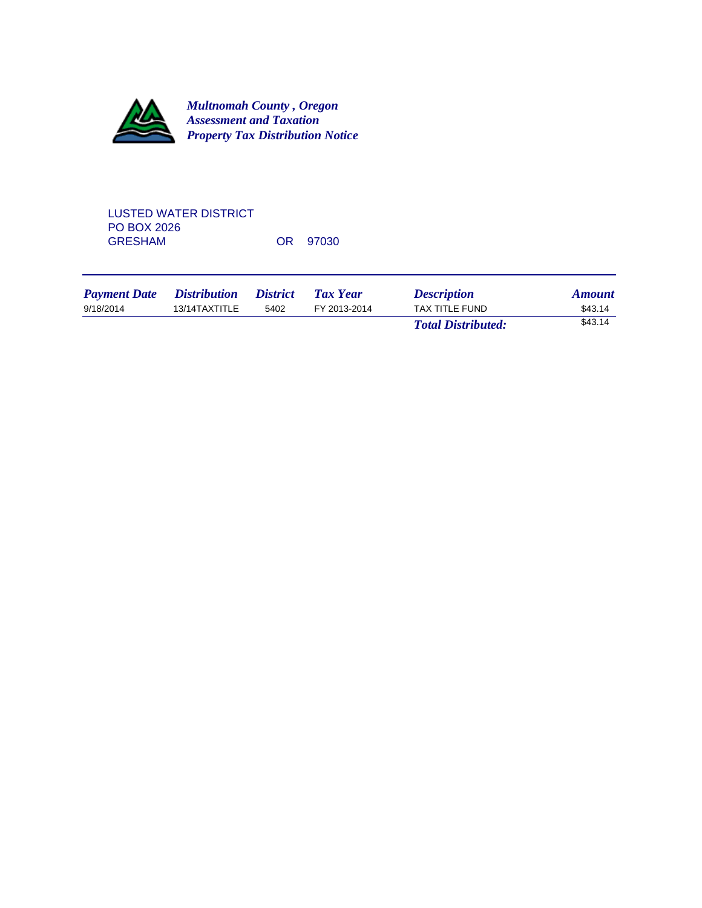

# LUSTED WATER DISTRICT PO BOX 2026<br>GRESHAM OR 97030

| <b>Payment Date</b> | <i>Distribution</i> | <i><b>District</b></i> | Tax Year     | <b>Description</b>        | <b>Amount</b> |
|---------------------|---------------------|------------------------|--------------|---------------------------|---------------|
| 9/18/2014           | 13/14TAXTITLE       | 5402                   | FY 2013-2014 | TAX TITLE FUND            | \$43.14       |
|                     |                     |                        |              | <b>Total Distributed:</b> | \$43.14       |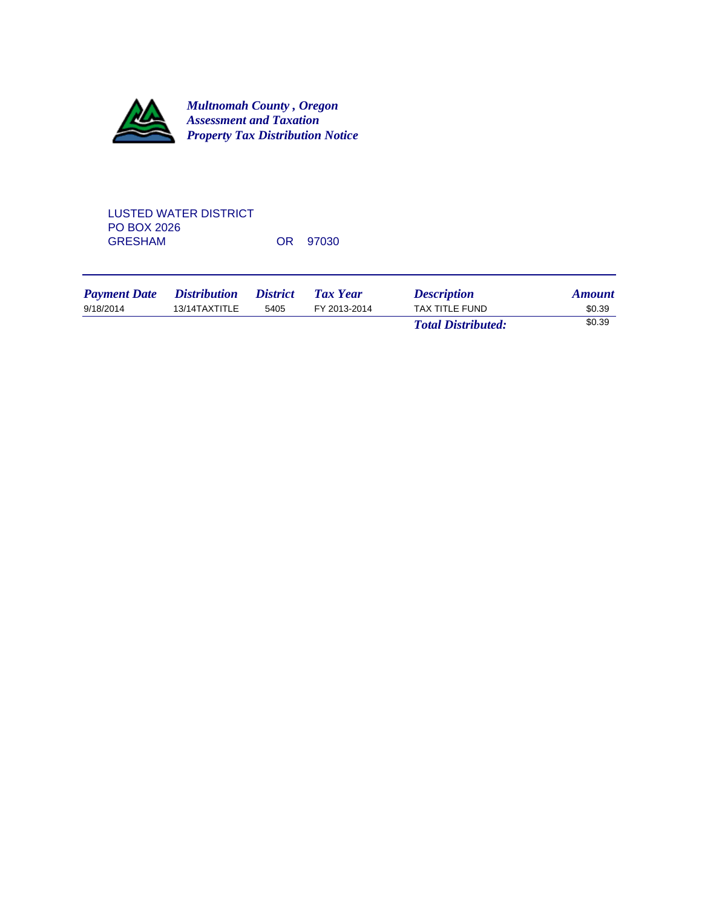

# LUSTED WATER DISTRICT PO BOX 2026<br>GRESHAM OR 97030

| <b>Payment Date</b> | <i>Distribution</i> | <i><b>District</b></i> | Tax Year     | <b>Description</b>        | <b>Amount</b> |
|---------------------|---------------------|------------------------|--------------|---------------------------|---------------|
| 9/18/2014           | 13/14TAXTITLE       | 5405                   | FY 2013-2014 | TAX TITLE FUND            | \$0.39        |
|                     |                     |                        |              | <b>Total Distributed:</b> | \$0.39        |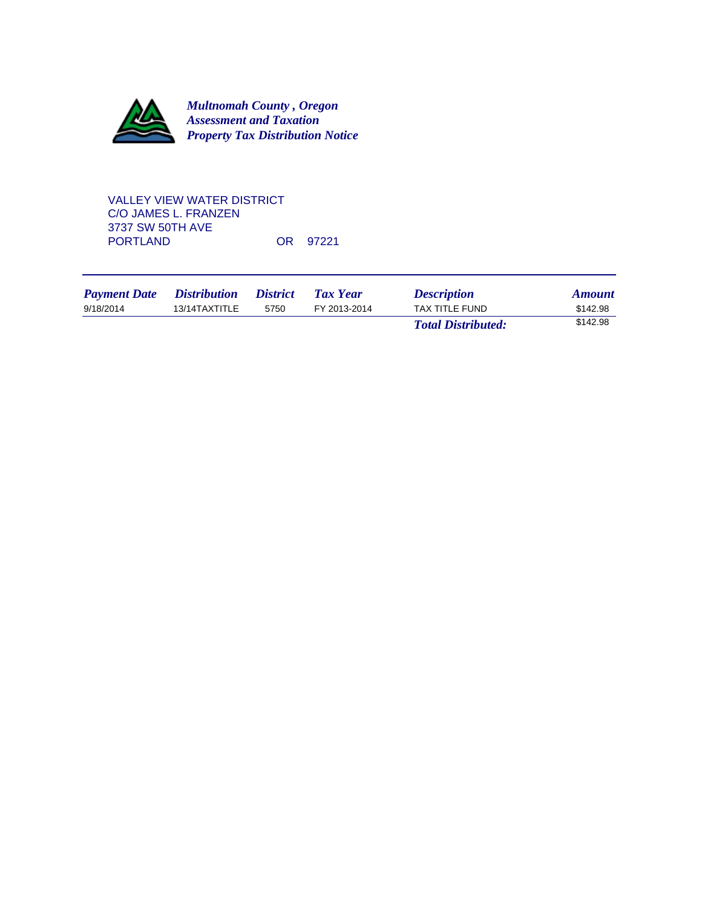

# VALLEY VIEW WATER DISTRICT C/O JAMES L. FRANZEN 3737 SW 50TH AVE OR 97221

| <b>Payment Date</b> | <i>Distribution</i> | <i><b>District</b></i> | Tax Year     | <b>Description</b>        | <b>Amount</b> |
|---------------------|---------------------|------------------------|--------------|---------------------------|---------------|
| 9/18/2014           | 13/14TAXTITLE       | 5750                   | FY 2013-2014 | TAX TITLE FUND            | \$142.98      |
|                     |                     |                        |              | <b>Total Distributed:</b> | \$142.98      |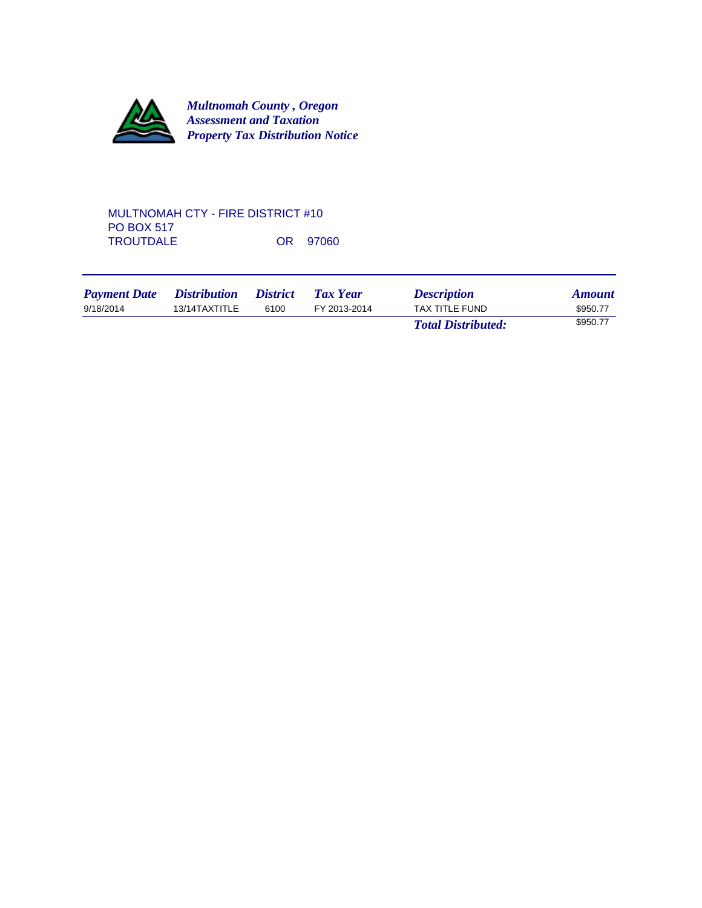

## MULTNOMAH CTY - FIRE DISTRICT #10 PO BOX 517 TROUTDALE OR 97060

| <b>Payment Date</b> | <i>Distribution</i> | <i>District</i> | Tax Year     | <b>Description</b>        | <b>Amount</b> |
|---------------------|---------------------|-----------------|--------------|---------------------------|---------------|
| 9/18/2014           | 13/14TAXTITLE       | 6100            | FY 2013-2014 | <b>TAX TITLE FUND</b>     | \$950.77      |
|                     |                     |                 |              | <b>Total Distributed:</b> | \$950.77      |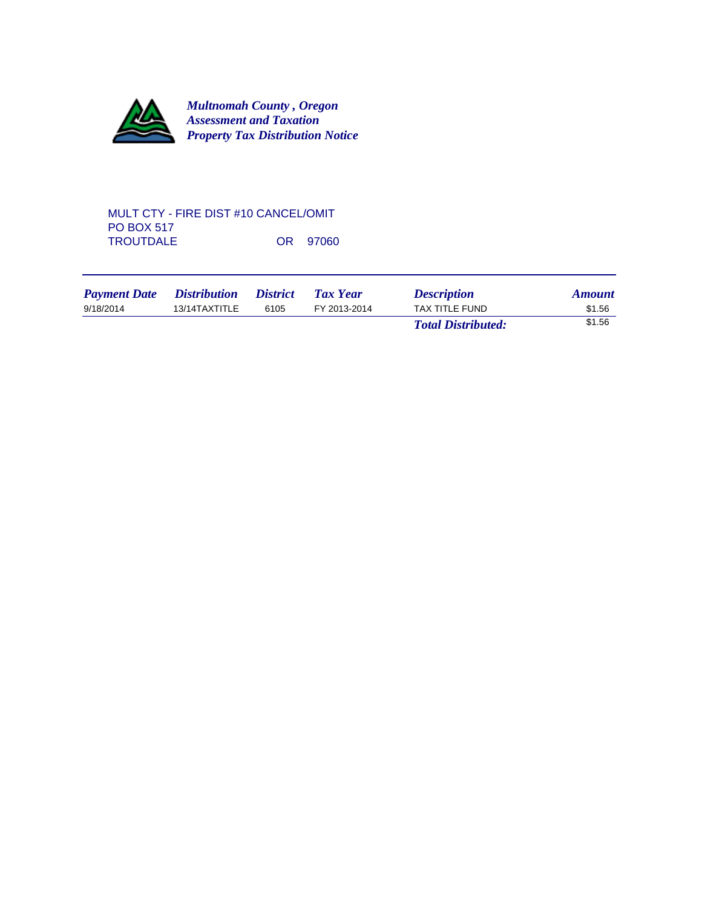

## MULT CTY - FIRE DIST #10 CANCEL/OMIT PO BOX 517 TROUTDALE OR 97060

| <b>Payment Date</b> | <i>Distribution</i> | <i><b>District</b></i> | Tax Year     | <b>Description</b>        | <b>Amount</b> |
|---------------------|---------------------|------------------------|--------------|---------------------------|---------------|
| 9/18/2014           | 13/14TAXTITLE       | 6105                   | FY 2013-2014 | TAX TITLE FUND            | \$1.56        |
|                     |                     |                        |              | <b>Total Distributed:</b> | \$1.56        |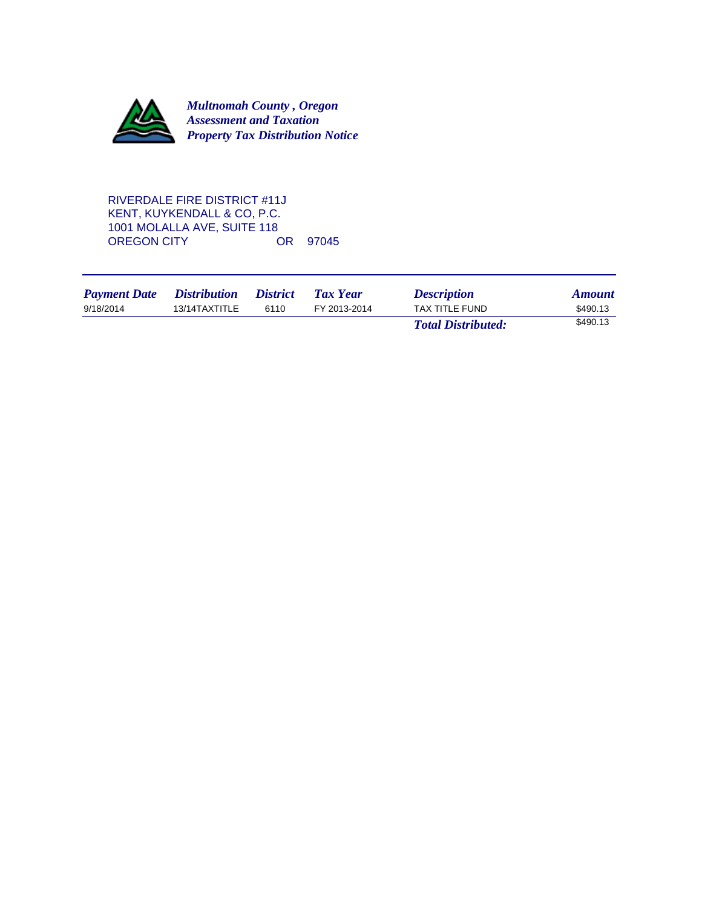

RIVERDALE FIRE DISTRICT #11J KENT, KUYKENDALL & CO, P.C. 1001 MOLALLA AVE, SUITE 118<br>OREGON CITY OR 97045 OREGON CITY

| <b>Payment Date</b> | <i>Distribution</i> | <i>District</i> | Tax Year     | <b>Description</b>        | <b>Amount</b> |
|---------------------|---------------------|-----------------|--------------|---------------------------|---------------|
| 9/18/2014           | 13/14TAXTITLE       | 6110            | FY 2013-2014 | TAX TITLE FUND            | \$490.13      |
|                     |                     |                 |              | <b>Total Distributed:</b> | \$490.13      |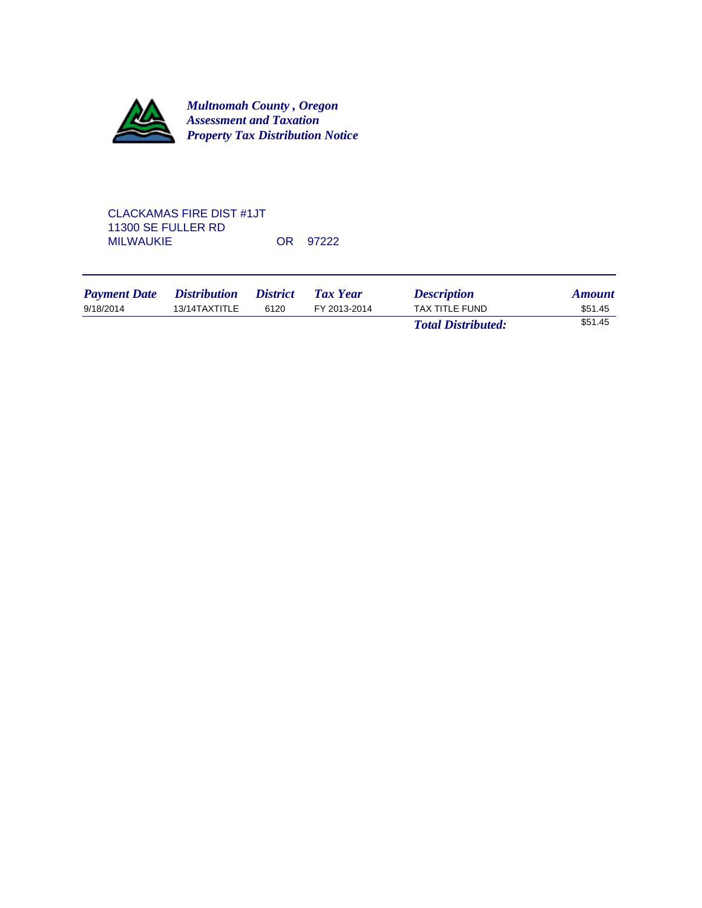

# CLACKAMAS FIRE DIST #1JT 11300 SE FULLER RD MILWAUKIE OR 97222

| <b>Payment Date</b> | <i>Distribution</i> | <i><b>District</b></i> | Tax Year     | <b>Description</b>        | <b>Amount</b> |
|---------------------|---------------------|------------------------|--------------|---------------------------|---------------|
| 9/18/2014           | 13/14TAXTITLE       | 6120                   | FY 2013-2014 | TAX TITLE FUND            | \$51.45       |
|                     |                     |                        |              | <b>Total Distributed:</b> | \$51.45       |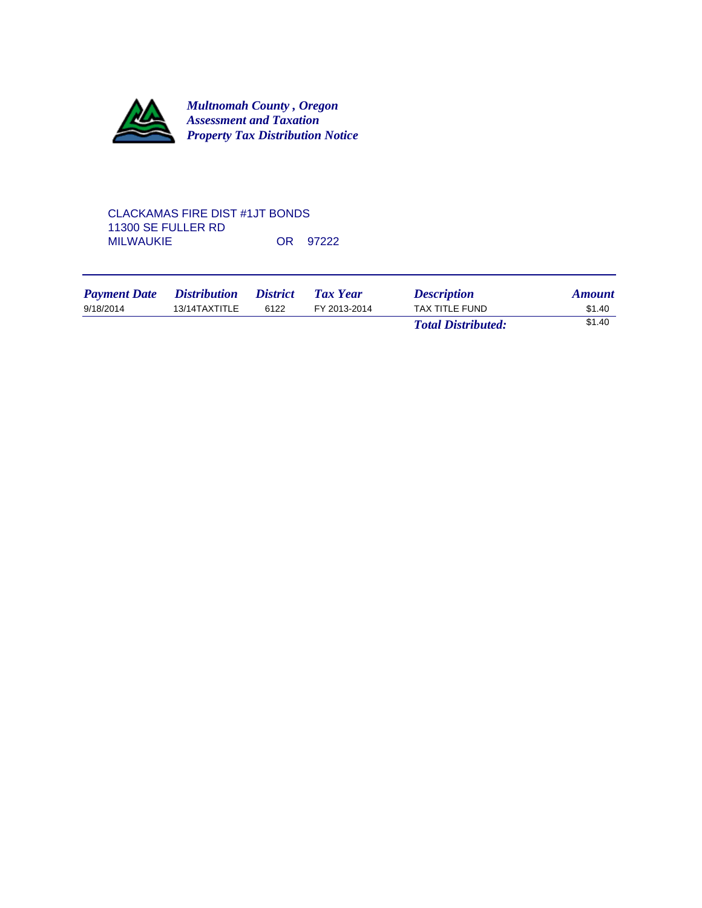

### CLACKAMAS FIRE DIST #1JT BONDS 11300 SE FULLER RD OR 97222

| <b>Payment Date</b> | <i><b>Distribution</b></i> | <i><b>District</b></i> | <b>Tax Year</b> | <b>Description</b>        | <b>Amount</b> |
|---------------------|----------------------------|------------------------|-----------------|---------------------------|---------------|
| 9/18/2014           | 13/14TAXTITLE              | 6122                   | FY 2013-2014    | TAX TITLE FUND            | \$1.40        |
|                     |                            |                        |                 | <b>Total Distributed:</b> | \$1.40        |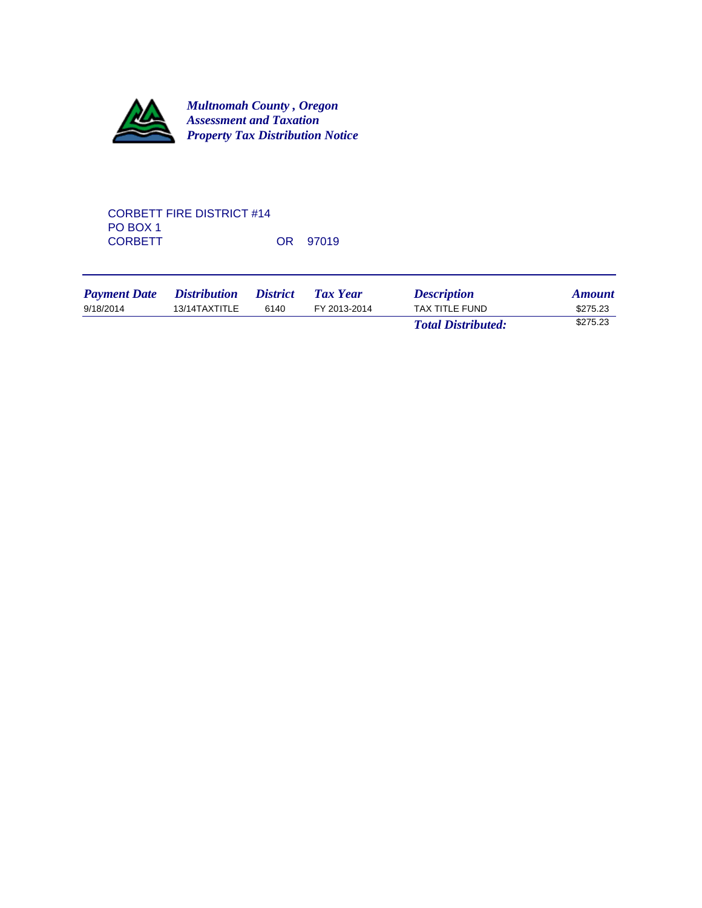

# CORBETT FIRE DISTRICT #14 PO BOX 1<br>CORBETT OR 97019

| <b>Payment Date</b> | <i>Distribution</i> | <i><b>District</b></i> | <b>Tax Year</b> | <b>Description</b>        | <b>Amount</b> |
|---------------------|---------------------|------------------------|-----------------|---------------------------|---------------|
| 9/18/2014           | 13/14TAXTITLE       | 6140                   | FY 2013-2014    | TAX TITLE FUND            | \$275.23      |
|                     |                     |                        |                 | <b>Total Distributed:</b> | \$275.23      |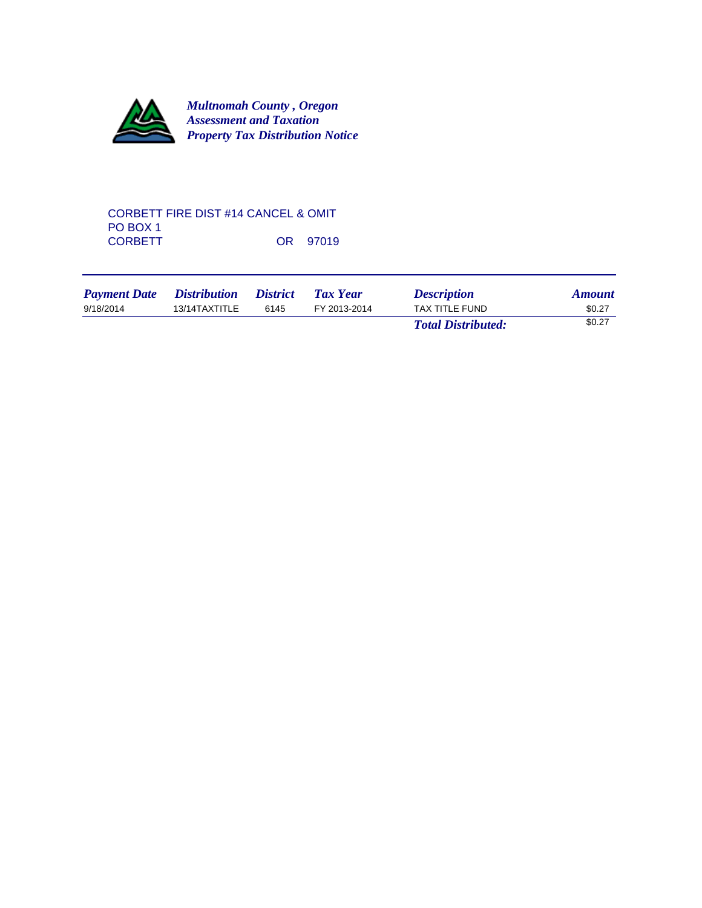

## CORBETT FIRE DIST #14 CANCEL & OMIT PO BOX 1<br>CORBETT OR 97019

| <b>Payment Date</b> | <i>Distribution</i> | <i><b>District</b></i> | <b>Tax Year</b> | <b>Description</b>        | <b>Amount</b> |
|---------------------|---------------------|------------------------|-----------------|---------------------------|---------------|
| 9/18/2014           | 13/14TAXTITLE       | 6145                   | FY 2013-2014    | <b>TAX TITLE FUND</b>     | \$0.27        |
|                     |                     |                        |                 | <b>Total Distributed:</b> | \$0.27        |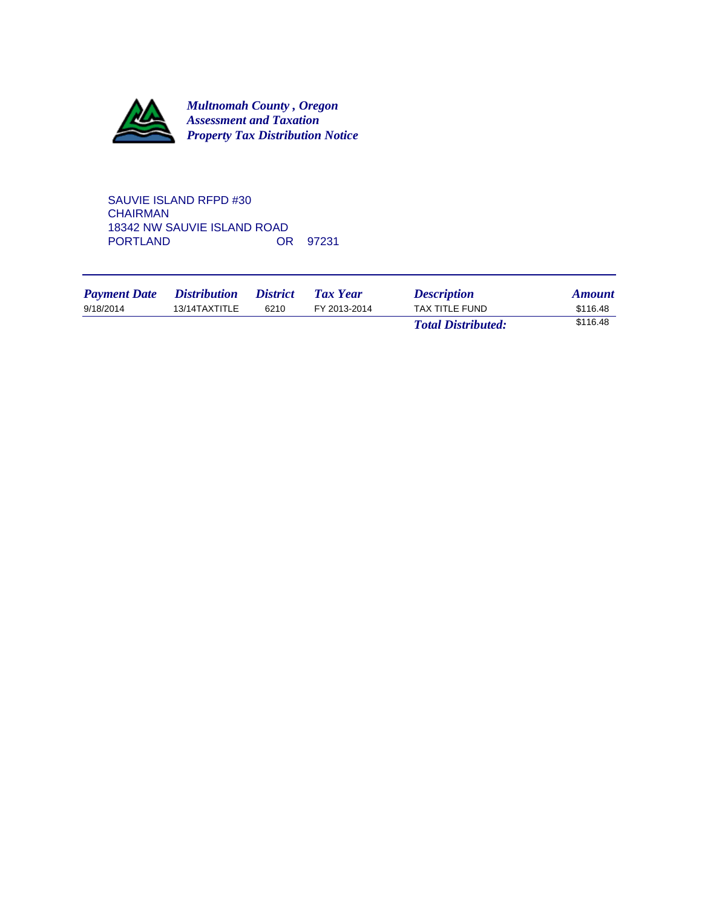

SAUVIE ISLAND RFPD #30 **CHAIRMAN** 18342 NW SAUVIE ISLAND ROAD<br>PORTLAND OR OR 97231

| <b>Payment Date</b> | <i>Distribution</i> | <i>District</i> | <b>Tax Year</b> | <b>Description</b>        | <b>Amount</b> |
|---------------------|---------------------|-----------------|-----------------|---------------------------|---------------|
| 9/18/2014           | 13/14TAXTITLE       | 6210            | FY 2013-2014    | <b>TAX TITLE FUND</b>     | \$116.48      |
|                     |                     |                 |                 | <b>Total Distributed:</b> | \$116.48      |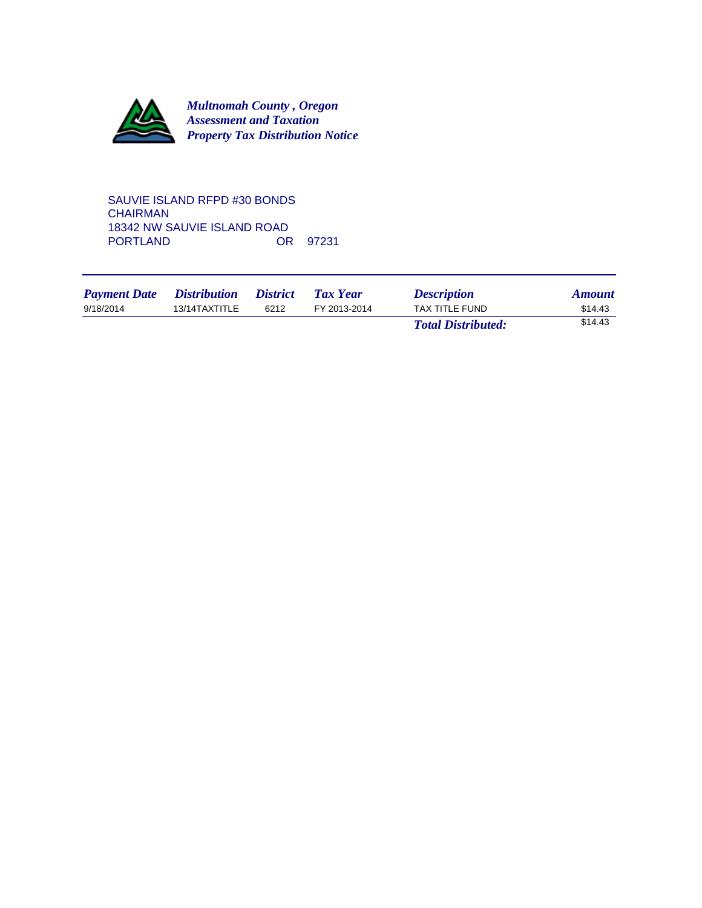

SAUVIE ISLAND RFPD #30 BONDS **CHAIRMAN** 18342 NW SAUVIE ISLAND ROAD<br>PORTLAND 0R 97231 PORTLAND

| <b>Payment Date</b> | <i>Distribution</i> | <i><b>District</b></i> | <b>Tax Year</b> | <b>Description</b>        | <b>Amount</b> |
|---------------------|---------------------|------------------------|-----------------|---------------------------|---------------|
| 9/18/2014           | 13/14TAXTITLE       | 6212                   | FY 2013-2014    | <b>TAX TITLE FUND</b>     | \$14.43       |
|                     |                     |                        |                 | <b>Total Distributed:</b> | \$14.43       |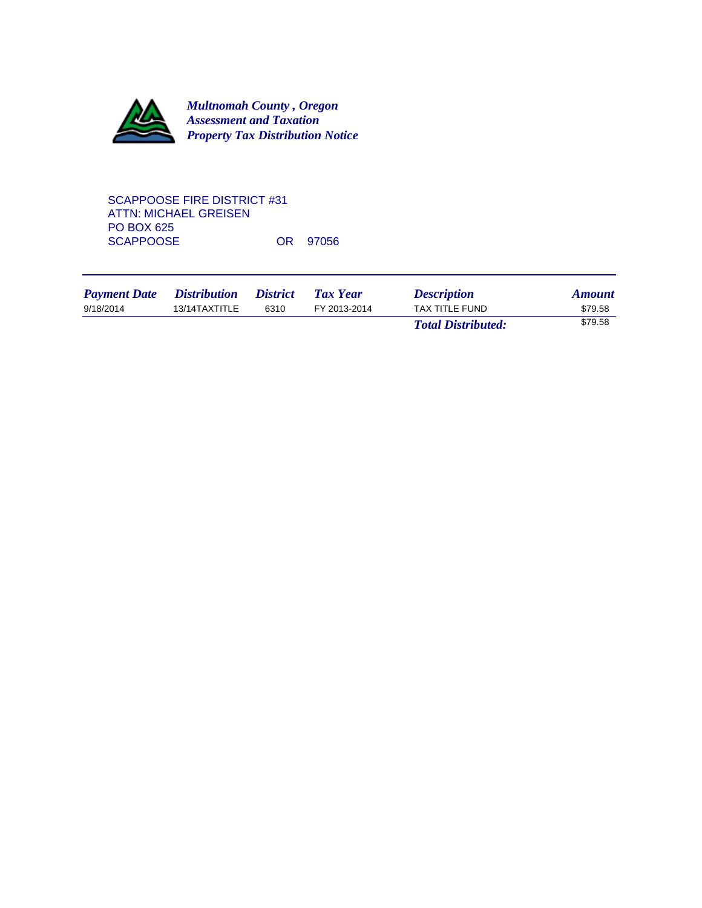

# SCAPPOOSE FIRE DISTRICT #31 ATTN: MICHAEL GREISEN PO BOX 625 SCAPPOOSE OR 97056

| <b>Payment Date</b> | <i>Distribution</i> | <i><b>District</b></i> | Tax Year     | <b>Description</b>        | <b>Amount</b> |
|---------------------|---------------------|------------------------|--------------|---------------------------|---------------|
| 9/18/2014           | 13/14TAXTITLE       | 6310                   | FY 2013-2014 | TAX TITLE FUND            | \$79.58       |
|                     |                     |                        |              | <b>Total Distributed:</b> | \$79.58       |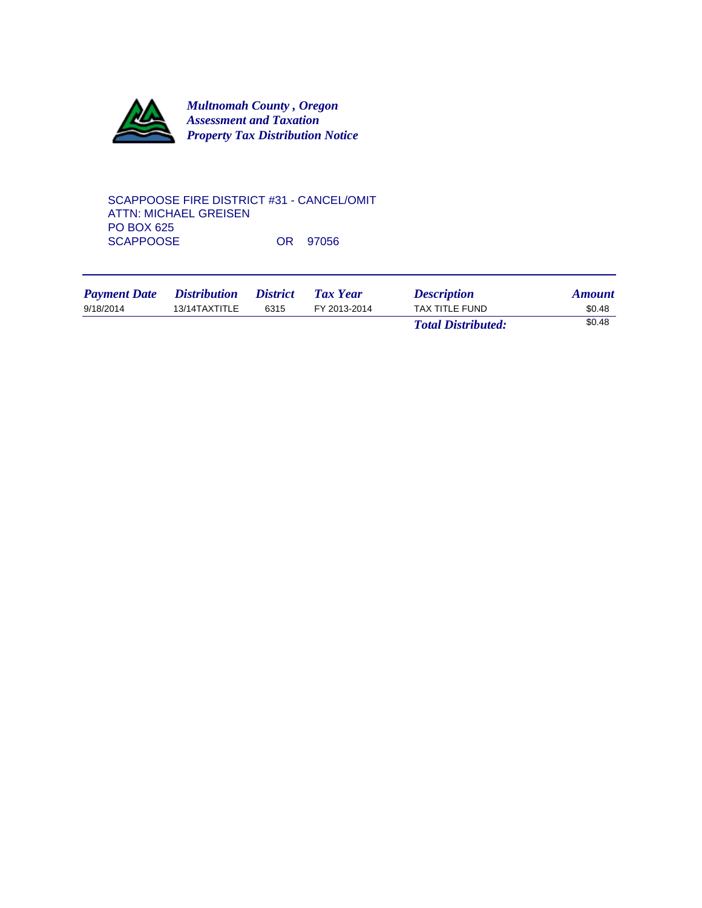

SCAPPOOSE FIRE DISTRICT #31 - CANCEL/OMIT ATTN: MICHAEL GREISEN PO BOX 625 SCAPPOOSE OR 97056

| <b>Payment Date</b> | <i>Distribution</i> | <i><b>District</b></i> | <b>Tax Year</b> | <b>Description</b>        | <b>Amount</b> |
|---------------------|---------------------|------------------------|-----------------|---------------------------|---------------|
| 9/18/2014           | 13/14TAXTITLE       | 6315                   | FY 2013-2014    | TAX TITLE FUND            | \$0.48        |
|                     |                     |                        |                 | <b>Total Distributed:</b> | \$0.48        |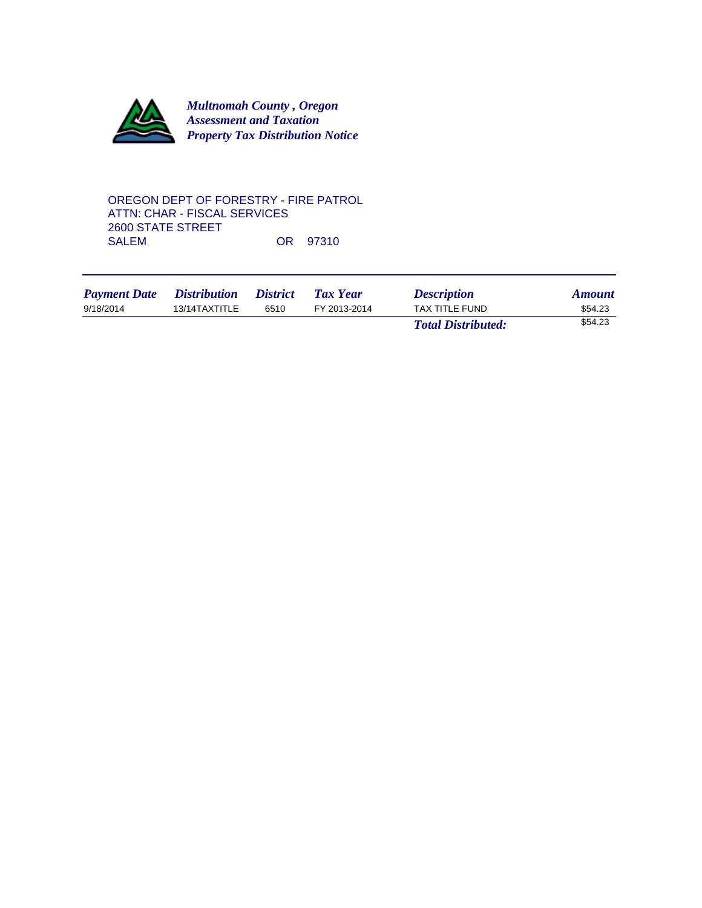

OREGON DEPT OF FORESTRY - FIRE PATROL ATTN: CHAR - FISCAL SERVICES 2600 STATE STREET OR 97310

| <b>Payment Date</b> | <i>Distribution</i> | <i><b>District</b></i> | Tax Year     | <b>Description</b>        | <b>Amount</b> |
|---------------------|---------------------|------------------------|--------------|---------------------------|---------------|
| 9/18/2014           | 13/14TAXTITLE       | 6510                   | FY 2013-2014 | TAX TITLE FUND            | \$54.23       |
|                     |                     |                        |              | <b>Total Distributed:</b> | \$54.23       |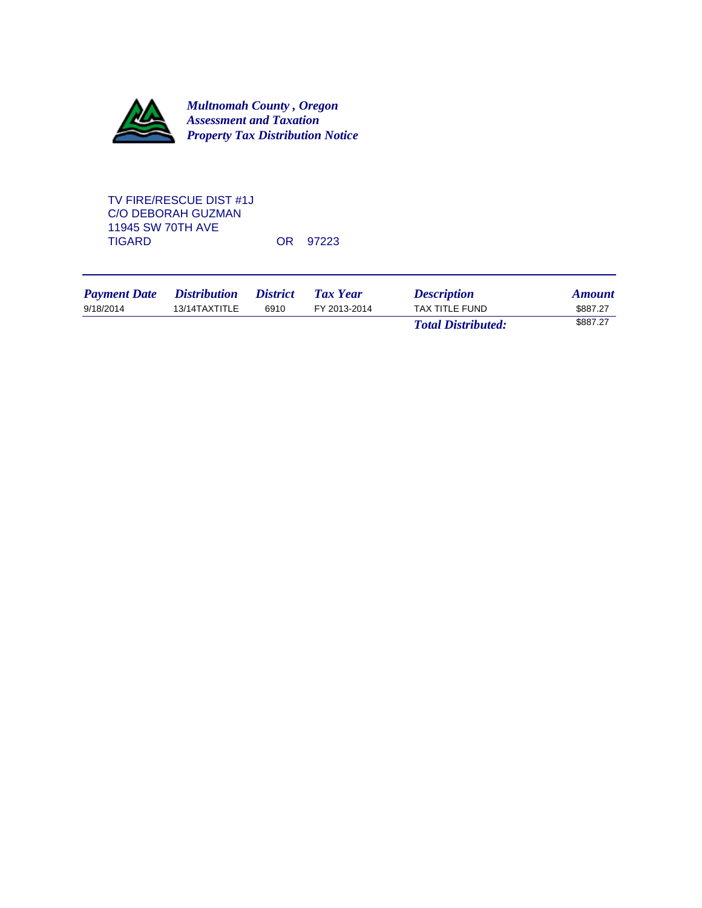

TV FIRE/RESCUE DIST #1J C/O DEBORAH GUZMAN 11945 SW 70TH AVE OR 97223

*Payment Date* Distribution District Tax Year **Description** *Amount* 9/18/2014 13/14TAXTITLE 6910 FY 2013-2014 TAX TITLE FUND \$887.27 *Total Distributed:* \$887.27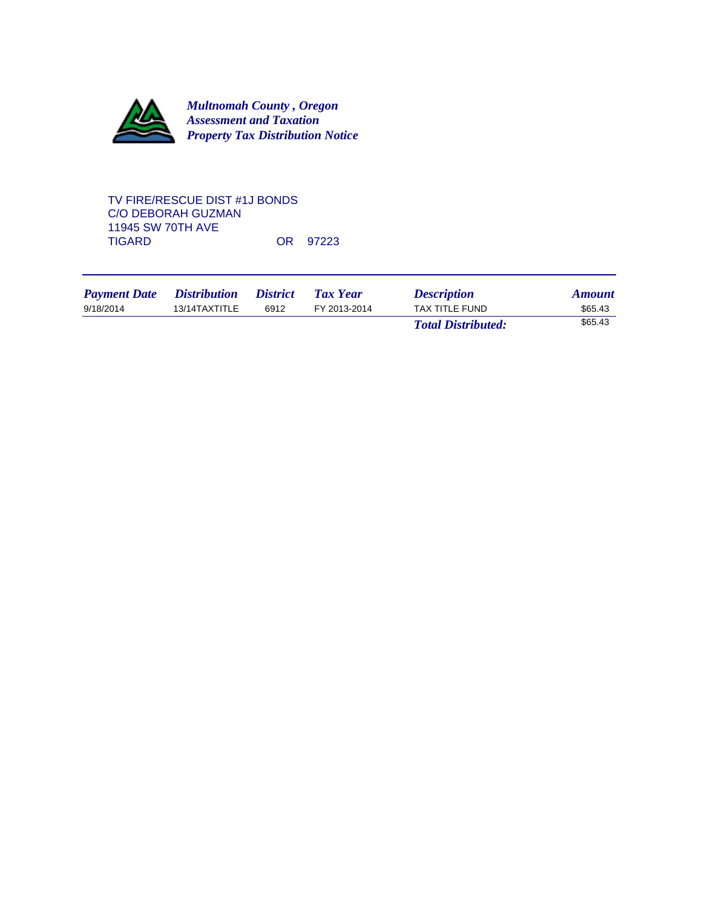

# TV FIRE/RESCUE DIST #1J BONDS C/O DEBORAH GUZMAN 11945 SW 70TH AVE OR 97223

| <b>Payment Date</b> | <i>Distribution</i> | <i><b>District</b></i> | Tax Year     | <b>Description</b>        | <b>Amount</b> |
|---------------------|---------------------|------------------------|--------------|---------------------------|---------------|
| 9/18/2014           | 13/14TAXTITLE       | 6912                   | FY 2013-2014 | TAX TITLE FUND            | \$65.43       |
|                     |                     |                        |              | <b>Total Distributed:</b> | \$65.43       |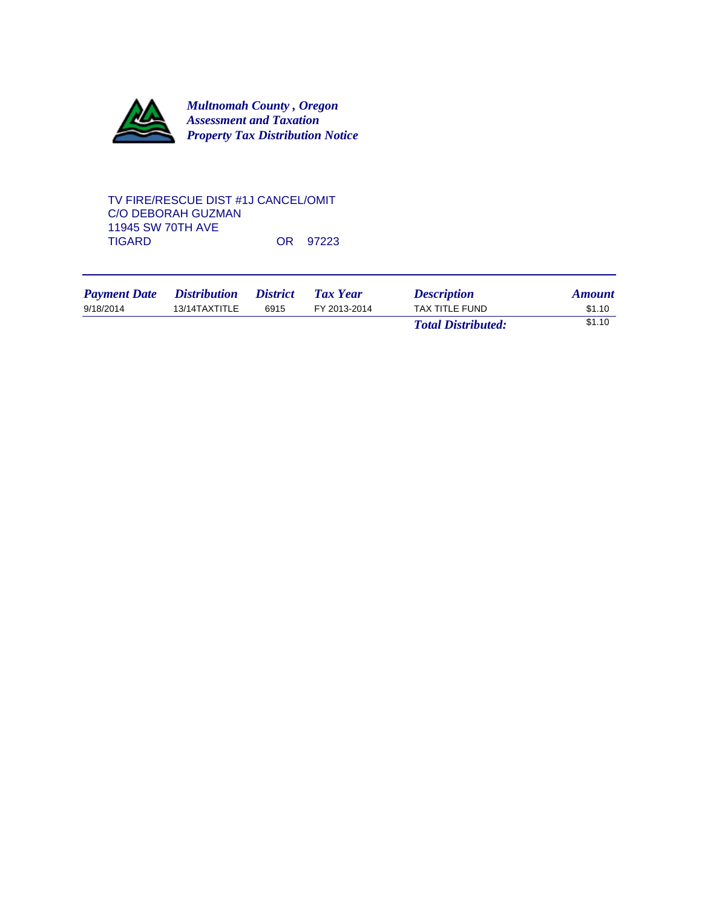

# TV FIRE/RESCUE DIST #1J CANCEL/OMIT C/O DEBORAH GUZMAN 11945 SW 70TH AVE OR 97223

| <b>Payment Date</b> | <i>Distribution</i> | <i><b>District</b></i> | Tax Year     | <b>Description</b>        | <b>Amount</b> |
|---------------------|---------------------|------------------------|--------------|---------------------------|---------------|
| 9/18/2014           | 13/14TAXTITLE       | 6915                   | FY 2013-2014 | TAX TITLE FUND            | \$1.10        |
|                     |                     |                        |              | <b>Total Distributed:</b> | \$1.10        |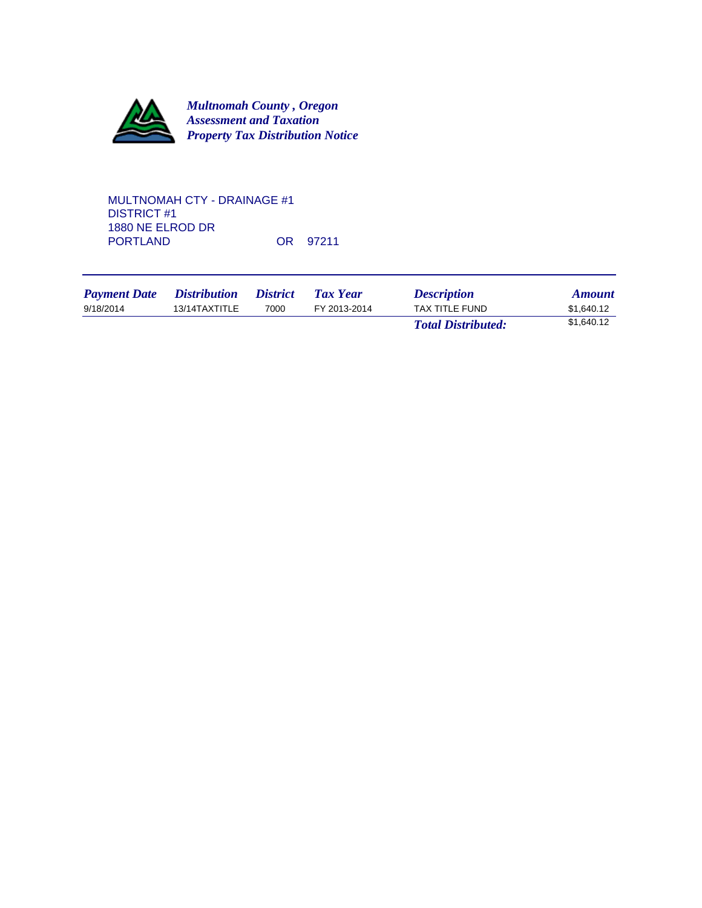

# MULTNOMAH CTY - DRAINAGE #1 DISTRICT #1 1880 NE ELROD DR OR 97211

| <b>Payment Date</b> | <i>Distribution</i> | <i>District</i> | <b>Tax Year</b> | <b>Description</b>        | <b>Amount</b> |
|---------------------|---------------------|-----------------|-----------------|---------------------------|---------------|
| 9/18/2014           | 13/14TAXTITLE       | 7000            | FY 2013-2014    | TAX TITLE FUND            | \$1,640.12    |
|                     |                     |                 |                 | <b>Total Distributed:</b> | \$1,640.12    |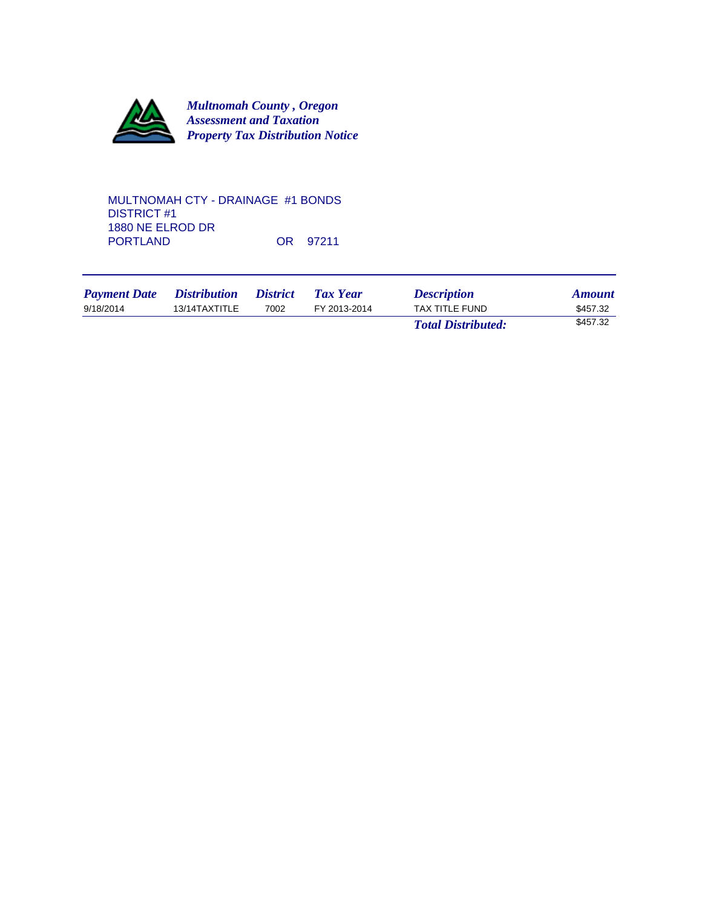

MULTNOMAH CTY - DRAINAGE #1 BONDS DISTRICT #1 1880 NE ELROD DR OR 97211

| <b>Payment Date</b> | <i>Distribution</i> | <i>District</i> | Tax Year     | <b>Description</b>        | <b>Amount</b> |
|---------------------|---------------------|-----------------|--------------|---------------------------|---------------|
| 9/18/2014           | 13/14TAXTITLE       | 7002            | FY 2013-2014 | TAX TITLE FUND            | \$457.32      |
|                     |                     |                 |              | <b>Total Distributed:</b> | \$457.32      |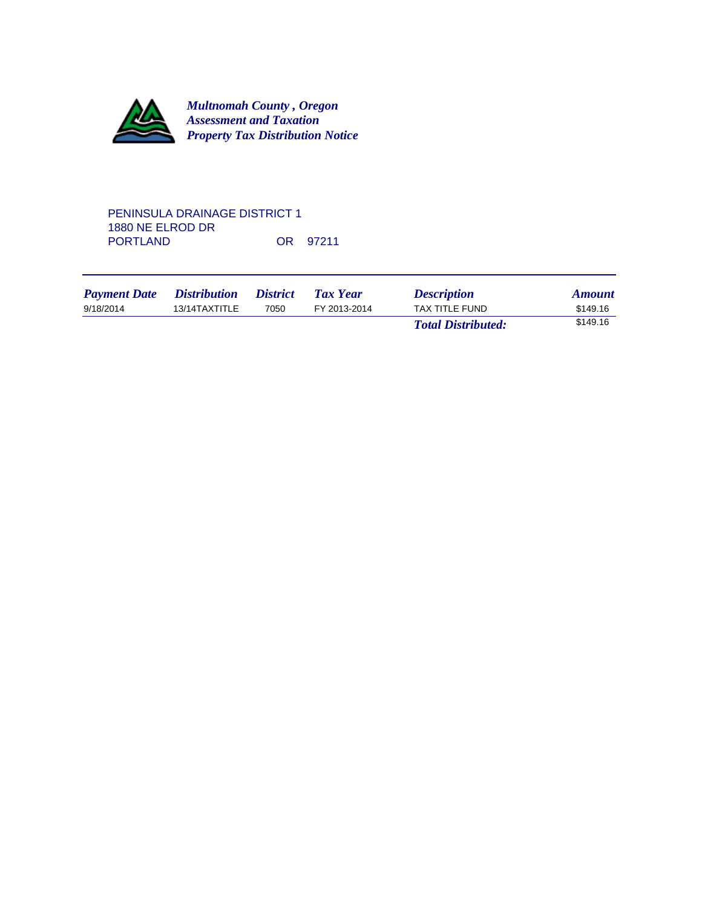

# PENINSULA DRAINAGE DISTRICT 1 1880 NE ELROD DR OR 97211

| <b>Payment Date</b> | <i>Distribution</i> | <i><b>District</b></i> | Tax Year     | <b>Description</b>        | <b>Amount</b> |
|---------------------|---------------------|------------------------|--------------|---------------------------|---------------|
| 9/18/2014           | 13/14TAXTITLE       | 7050                   | FY 2013-2014 | TAX TITLE FUND            | \$149.16      |
|                     |                     |                        |              | <b>Total Distributed:</b> | \$149.16      |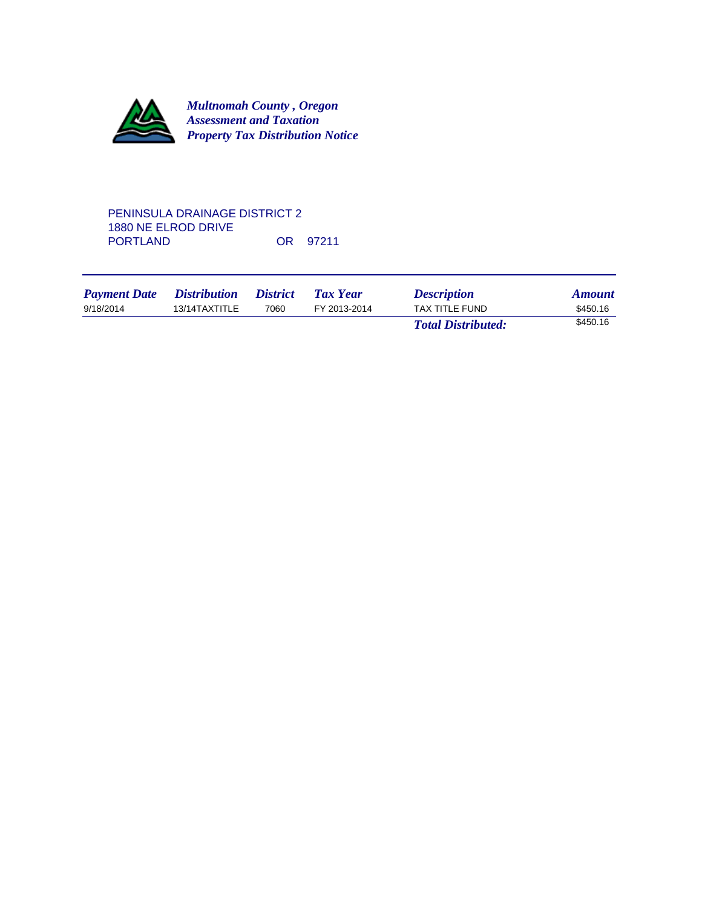

## PENINSULA DRAINAGE DISTRICT 2 1880 NE ELROD DRIVE OR 97211

| <b>Payment Date</b> | <i>Distribution</i> | <i><b>District</b></i> | <b>Tax Year</b> | <b>Description</b>        | <b>Amount</b> |
|---------------------|---------------------|------------------------|-----------------|---------------------------|---------------|
| 9/18/2014           | 13/14TAXTITLE       | 7060                   | FY 2013-2014    | TAX TITLE FUND            | \$450.16      |
|                     |                     |                        |                 | <b>Total Distributed:</b> | \$450.16      |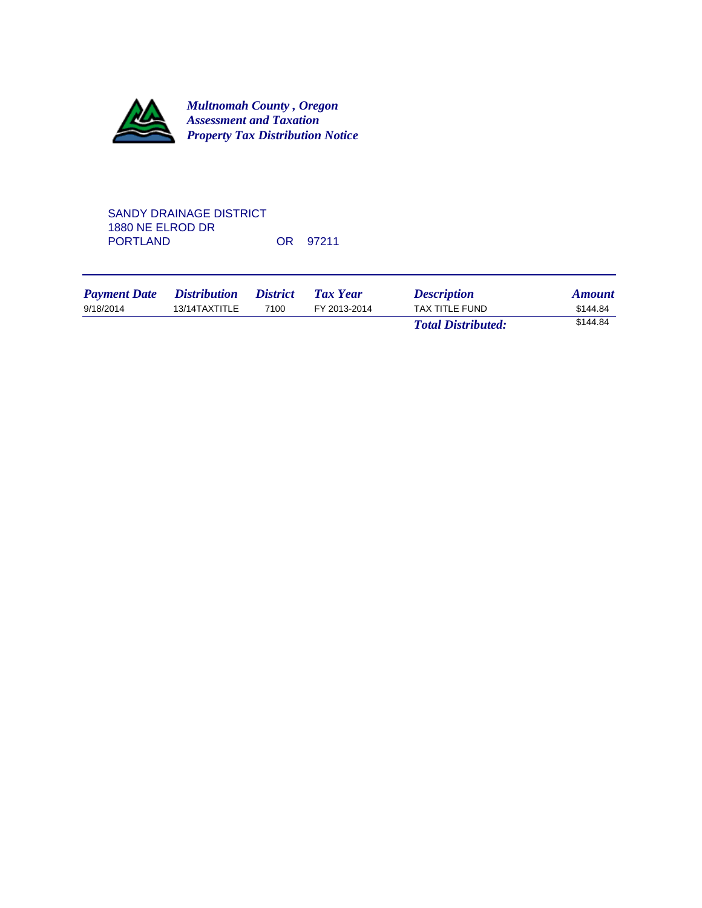

# SANDY DRAINAGE DISTRICT 1880 NE ELROD DR OR 97211

| <b>Payment Date</b> | <i>Distribution</i> | <i><b>District</b></i> | Tax Year     | <b>Description</b>        | <b>Amount</b> |
|---------------------|---------------------|------------------------|--------------|---------------------------|---------------|
| 9/18/2014           | 13/14TAXTITLE       | 7100                   | FY 2013-2014 | TAX TITLE FUND            | \$144.84      |
|                     |                     |                        |              | <b>Total Distributed:</b> | \$144.84      |